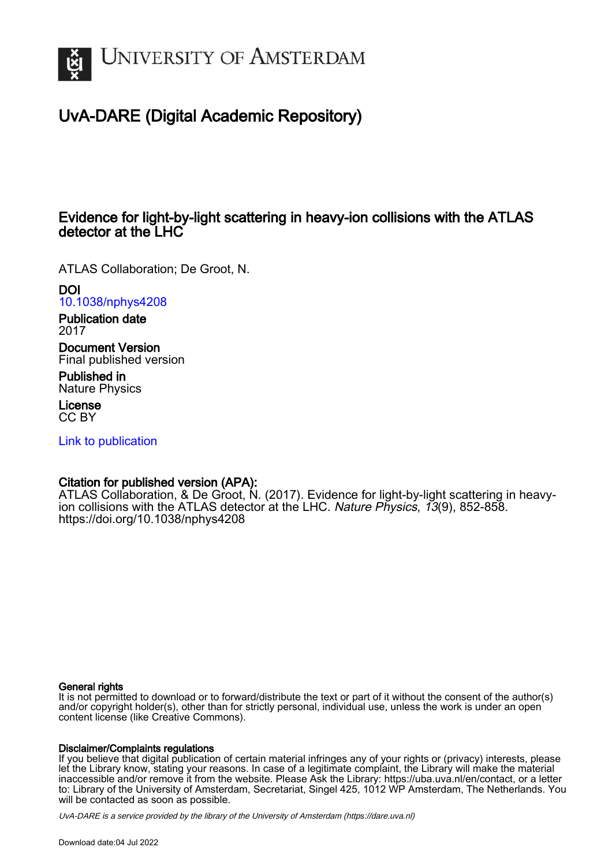

# UvA-DARE (Digital Academic Repository)

# Evidence for light-by-light scattering in heavy-ion collisions with the ATLAS detector at the LHC

ATLAS Collaboration; De Groot, N.

DOI [10.1038/nphys4208](https://doi.org/10.1038/nphys4208)

Publication date 2017

Document Version Final published version

Published in Nature Physics

License CC BY

[Link to publication](https://dare.uva.nl/personal/pure/en/publications/evidence-for-lightbylight-scattering-in-heavyion-collisions-with-the-atlas-detector-at-the-lhc(afac8e4e-9915-47f8-855a-8d18c29b797a).html)

## Citation for published version (APA):

ATLAS Collaboration, & De Groot, N. (2017). Evidence for light-by-light scattering in heavyion collisions with the ATLAS detector at the LHC. Nature Physics, 13(9), 852-858. <https://doi.org/10.1038/nphys4208>

### General rights

It is not permitted to download or to forward/distribute the text or part of it without the consent of the author(s) and/or copyright holder(s), other than for strictly personal, individual use, unless the work is under an open content license (like Creative Commons).

### Disclaimer/Complaints regulations

If you believe that digital publication of certain material infringes any of your rights or (privacy) interests, please let the Library know, stating your reasons. In case of a legitimate complaint, the Library will make the material inaccessible and/or remove it from the website. Please Ask the Library: https://uba.uva.nl/en/contact, or a letter to: Library of the University of Amsterdam, Secretariat, Singel 425, 1012 WP Amsterdam, The Netherlands. You will be contacted as soon as possible.

UvA-DARE is a service provided by the library of the University of Amsterdam (http*s*://dare.uva.nl)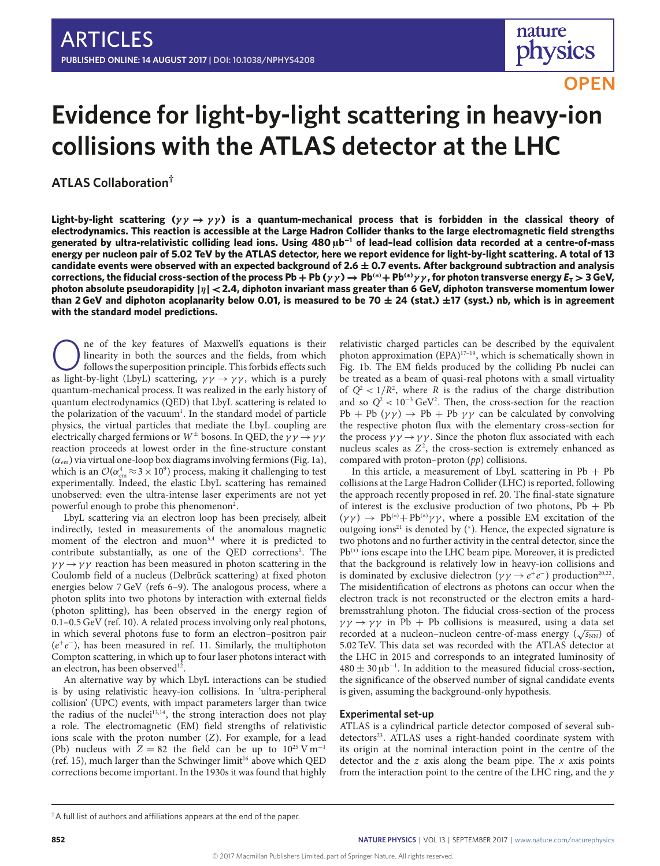# **Evidence for light-by-light scattering in heavy-ion collisions with the ATLAS detector at the LHC**

**ATLAS Collaboration†**

Light-by-light scattering ( $\gamma \gamma \to \gamma \gamma$ ) is a quantum-mechanical process that is forbidden in the classical theory of **electrodynamics. This reaction is accessible at the Large Hadron Collider thanks to the large electromagnetic field strengths generated by ultra-relativistic colliding lead ions. Using 480** µ**b** <sup>−</sup>**<sup>1</sup> of lead–lead collision data recorded at a centre-of-mass energy per nucleon pair of 5.02 TeV by the ATLAS detector, here we report evidence for light-by-light scattering. A total of 13 candidate events were observed with an expected background of 2.6** ± **0.7 events. After background subtraction and analysis corrections, the fiducial cross-section of the process Pb + Pb (** $\gamma \gamma$ **)**  $\rightarrow$  **Pb<sup>(\*)</sup> + Pb<sup>(\*)</sup>y, for photon transverse energy**  $E_T > 3$  **GeV, photon absolute pseudorapidity** |η|<**2.4, diphoton invariant mass greater than 6 GeV, diphoton transverse momentum lower than 2 GeV and diphoton acoplanarity below 0.01, is measured to be 70** ± **24 (stat.)** ±**17 (syst.) nb, which is in agreement with the standard model predictions.**

**O** are of the key features of Maxwell's equations is their linearity in both the sources and the fields, from which follows the superposition principle. This forbids effects such as light-by-light (LbyL) scattering,  $\gamma \$ ne of the key features of Maxwell's equations is their linearity in both the sources and the fields, from which follows the superposition principle. This forbids effects such quantum-mechanical process. It was realized in the early history of quantum electrodynamics (QED) that LbyL scattering is related to the polarization of the vacuum<sup>[1](#page-6-0)</sup>. In the standard model of particle physics, the virtual particles that mediate the LbyL coupling are electrically charged fermions or  $W^{\pm}$  bosons. In QED, the  $\gamma \gamma \rightarrow \gamma \gamma$ reaction proceeds at lowest order in the fine-structure constant  $(\alpha_{em})$  via virtual one-loop box diagrams involving fermions (Fig. [1a\)](#page-2-0), which is an  $\mathcal{O}(\alpha_{\rm em}^4 \approx 3 \times 10^9)$  process, making it challenging to test experimentally. Indeed, the elastic LbyL scattering has remained unobserved: even the ultra-intense laser experiments are not yet powerful enough to probe this phenomenon<sup>[2](#page-6-1)</sup>.

LbyL scattering via an electron loop has been precisely, albeit indirectly, tested in measurements of the anomalous magnetic moment of the electron and muon<sup>[3,](#page-6-2)[4](#page-6-3)</sup> where it is predicted to contribute substantially, as one of the QED corrections<sup>[5](#page-6-4)</sup>. The  $\gamma \gamma \rightarrow \gamma \gamma$  reaction has been measured in photon scattering in the Coulomb field of a nucleus (Delbrück scattering) at fixed photon energies below 7 GeV (refs [6–](#page-6-5)[9\)](#page-6-6). The analogous process, where a photon splits into two photons by interaction with external fields (photon splitting), has been observed in the energy region of 0.1–0.5 GeV (ref. [10\)](#page-6-7). A related process involving only real photons, in which several photons fuse to form an electron–positron pair  $(e^+e^-)$ , has been measured in ref. [11.](#page-6-8) Similarly, the multiphoton Compton scattering, in which up to four laser photons interact with an electron, has been observed<sup>[12](#page-6-9)</sup>.

An alternative way by which LbyL interactions can be studied is by using relativistic heavy-ion collisions. In 'ultra-peripheral collision' (UPC) events, with impact parameters larger than twice the radius of the nuclei<sup>[13,](#page-6-10)[14](#page-6-11)</sup>, the strong interaction does not play a role. The electromagnetic (EM) field strengths of relativistic ions scale with the proton number (Z). For example, for a lead (Pb) nucleus with  $Z = 82$  the field can be up to  $10^{25}$  V m<sup>-1</sup> (ref. [15\)](#page-6-12), much larger than the Schwinger limit<sup>[16](#page-6-13)</sup> above which QED corrections become important. In the 1930s it was found that highly relativistic charged particles can be described by the equivalent photon approximation (EPA)[17–](#page-6-14)[19](#page-6-15), which is schematically shown in Fig. [1b.](#page-2-0) The EM fields produced by the colliding Pb nuclei can be treated as a beam of quasi-real photons with a small virtuality of  $Q^2 < 1/R^2$ , where R is the radius of the charge distribution and so  $Q^2 < 10^{-3}$  GeV<sup>2</sup>. Then, the cross-section for the reaction Pb + Pb ( $\gamma \gamma$ )  $\rightarrow$  Pb + Pb  $\gamma \gamma$  can be calculated by convolving the respective photon flux with the elementary cross-section for the process  $\gamma \gamma \rightarrow \gamma \gamma$ . Since the photon flux associated with each nucleus scales as  $Z^2$ , the cross-section is extremely enhanced as compared with proton–proton  $(pp)$  collisions.

nature

physics

In this article, a measurement of LbyL scattering in  $Pb + Pb$ collisions at the Large Hadron Collider (LHC) is reported, following the approach recently proposed in ref. [20.](#page-6-16) The final-state signature of interest is the exclusive production of two photons,  $Pb + Pb$  $(\gamma \gamma) \rightarrow Pb^{(*)} + Pb^{(*)} \gamma \gamma$ , where a possible EM excitation of the outgoing ions<sup>[21](#page-6-17)</sup> is denoted by  $(*)$ . Hence, the expected signature is two photons and no further activity in the central detector, since the Pb<sup>(\*)</sup> ions escape into the LHC beam pipe. Moreover, it is predicted that the background is relatively low in heavy-ion collisions and is dominated by exclusive dielectron ( $\gamma \gamma \rightarrow e^+ e^-$ ) production<sup>[20,](#page-6-16)[22](#page-6-18)</sup>. The misidentification of electrons as photons can occur when the electron track is not reconstructed or the electron emits a hardbremsstrahlung photon. The fiducial cross-section of the process  $\gamma \gamma \rightarrow \gamma \gamma$  in Pb + Pb collisions is measured, using a data set  $\gamma\gamma \rightarrow \gamma\gamma$  in P0 + P0 collisions is measured, using a data set recorded at a nucleon–nucleon centre-of-mass energy ( $\sqrt{s_{NN}}$ ) of 5.02 TeV. This data set was recorded with the ATLAS detector at the LHC in 2015 and corresponds to an integrated luminosity of  $480 \pm 30 \,\mathrm{\upmu b^{-1}}$ . In addition to the measured fiducial cross-section, the significance of the observed number of signal candidate events is given, assuming the background-only hypothesis.

### **Experimental set-up**

ATLAS is a cylindrical particle detector composed of several sub-detectors<sup>[23](#page-6-19)</sup>. ATLAS uses a right-handed coordinate system with its origin at the nominal interaction point in the centre of the detector and the z axis along the beam pipe. The  $x$  axis points from the interaction point to the centre of the LHC ring, and the  $y$ 

 $\dagger$ A full list of authors and affiliations appears at the end of the paper.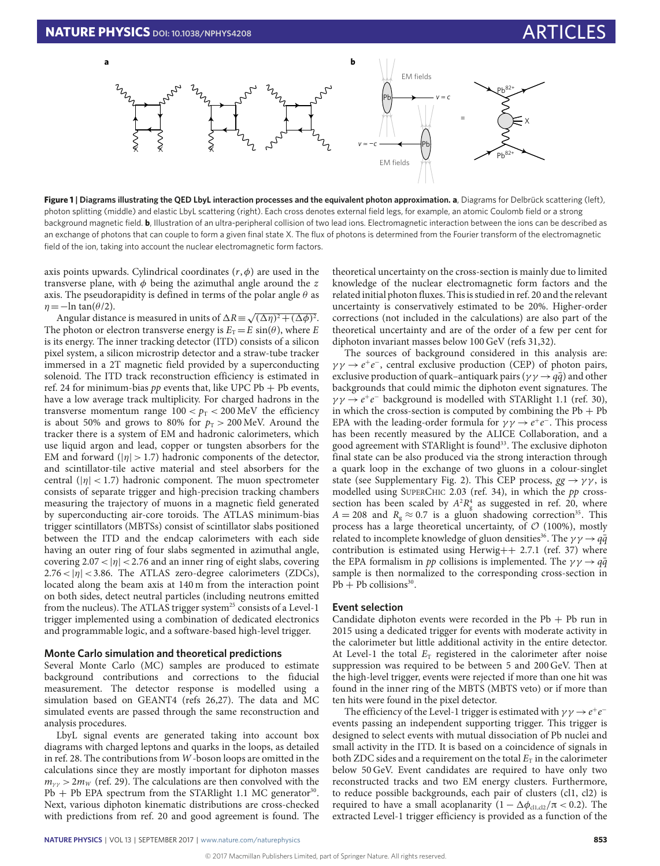<span id="page-2-0"></span>

**Figure 1 | Diagrams illustrating the QED LbyL interaction processes and the equivalent photon approximation. a**, Diagrams for Delbrück scattering (left), photon splitting (middle) and elastic LbyL scattering (right). Each cross denotes external field legs, for example, an atomic Coulomb field or a strong background magnetic field. **b**, Illustration of an ultra-peripheral collision of two lead ions. Electromagnetic interaction between the ions can be described as an exchange of photons that can couple to form a given final state X. The flux of photons is determined from the Fourier transform of the electromagnetic field of the ion, taking into account the nuclear electromagnetic form factors.

axis points upwards. Cylindrical coordinates  $(r, \phi)$  are used in the transverse plane, with  $\phi$  being the azimuthal angle around the z axis. The pseudorapidity is defined in terms of the polar angle  $\theta$  as  $\eta = -\ln \tan(\theta/2)$ .

 $=$  −1n tan( $θ/2$ ).<br>Angular distance is measured in units of Δ $R$   $\equiv$   $\sqrt{(\Delta η)^2 + (\Delta φ)^2}$ . The photon or electron transverse energy is  $E_T = E \sin(\theta)$ , where E is its energy. The inner tracking detector (ITD) consists of a silicon pixel system, a silicon microstrip detector and a straw-tube tracker immersed in a 2T magnetic field provided by a superconducting solenoid. The ITD track reconstruction efficiency is estimated in ref. [24](#page-6-20) for minimum-bias  $pp$  events that, like UPC Pb + Pb events, have a low average track multiplicity. For charged hadrons in the transverse momentum range  $100 < p_T < 200$  MeV the efficiency is about 50% and grows to 80% for  $p_T > 200$  MeV. Around the tracker there is a system of EM and hadronic calorimeters, which use liquid argon and lead, copper or tungsten absorbers for the EM and forward ( $|\eta| > 1.7$ ) hadronic components of the detector, and scintillator-tile active material and steel absorbers for the central  $(|\eta| < 1.7)$  hadronic component. The muon spectrometer consists of separate trigger and high-precision tracking chambers measuring the trajectory of muons in a magnetic field generated by superconducting air-core toroids. The ATLAS minimum-bias trigger scintillators (MBTSs) consist of scintillator slabs positioned between the ITD and the endcap calorimeters with each side having an outer ring of four slabs segmented in azimuthal angle, covering  $2.07 < |\eta| < 2.76$  and an inner ring of eight slabs, covering  $2.76 < |\eta| < 3.86$ . The ATLAS zero-degree calorimeters (ZDCs), located along the beam axis at 140 m from the interaction point on both sides, detect neutral particles (including neutrons emitted from the nucleus). The ATLAS trigger system<sup>[25](#page-6-21)</sup> consists of a Level-1 trigger implemented using a combination of dedicated electronics and programmable logic, and a software-based high-level trigger.

#### **Monte Carlo simulation and theoretical predictions**

Several Monte Carlo (MC) samples are produced to estimate background contributions and corrections to the fiducial measurement. The detector response is modelled using a simulation based on GEANT4 (refs [26,](#page-6-22)[27\)](#page-6-23). The data and MC simulated events are passed through the same reconstruction and analysis procedures.

LbyL signal events are generated taking into account box diagrams with charged leptons and quarks in the loops, as detailed in ref. [28.](#page-6-24) The contributions from W-boson loops are omitted in the calculations since they are mostly important for diphoton masses  $m_{\gamma\gamma} > 2m_W$  (ref. [29\)](#page-6-25). The calculations are then convolved with the  $Pb + Pb$  EPA spectrum from the STARlight 1.1 MC generator<sup>[30](#page-6-26)</sup>. Next, various diphoton kinematic distributions are cross-checked with predictions from ref. [20](#page-6-16) and good agreement is found. The

theoretical uncertainty on the cross-section is mainly due to limited knowledge of the nuclear electromagnetic form factors and the related initial photon fluxes. This is studied in ref. [20](#page-6-16) and the relevant uncertainty is conservatively estimated to be 20%. Higher-order corrections (not included in the calculations) are also part of the theoretical uncertainty and are of the order of a few per cent for diphoton invariant masses below 100 GeV (refs [31,](#page-6-27)[32\)](#page-6-28).

The sources of background considered in this analysis are:  $\gamma \gamma \rightarrow e^+e^-$ , central exclusive production (CEP) of photon pairs, exclusive production of quark–antiquark pairs ( $\gamma \gamma \rightarrow q\bar{q}$ ) and other backgrounds that could mimic the diphoton event signatures. The  $\gamma \gamma \rightarrow e^+e^-$  background is modelled with STARlight 1.1 (ref. [30\)](#page-6-26), in which the cross-section is computed by combining the  $Pb + Pb$ EPA with the leading-order formula for  $\gamma \gamma \rightarrow e^+e^-$ . This process has been recently measured by the ALICE Collaboration, and a good agreement with STARlight is found<sup>[33](#page-6-29)</sup>. The exclusive diphoton final state can be also produced via the strong interaction through a quark loop in the exchange of two gluons in a colour-singlet state (see Supplementary Fig. 2). This CEP process,  $gg \rightarrow \gamma \gamma$ , is modelled using SUPERCHIC 2.03 (ref. [34\)](#page-6-30), in which the pp crosssection has been scaled by  $A^2 R_g^4$  as suggested in ref. [20,](#page-6-16) where  $A = 208$  and  $R<sub>g</sub> \approx 0.7$  is a gluon shadowing correction<sup>[35](#page-6-31)</sup>. This process has a large theoretical uncertainty, of  $O$  (100%), mostly related to incomplete knowledge of gluon densities<sup>[36](#page-6-32)</sup>. The  $\gamma \gamma \rightarrow q\bar{q}$ contribution is estimated using Herwig++ 2.7.1 (ref. [37\)](#page-6-33) where the EPA formalism in *pp* collisions is implemented. The  $\gamma \gamma \rightarrow q\bar{q}$ sample is then normalized to the corresponding cross-section in  $Pb + Pb$  collisions<sup>[30](#page-6-26)</sup>.

#### **Event selection**

Candidate diphoton events were recorded in the  $Pb + Pb$  run in 2015 using a dedicated trigger for events with moderate activity in the calorimeter but little additional activity in the entire detector. At Level-1 the total  $E_T$  registered in the calorimeter after noise suppression was required to be between 5 and 200 GeV. Then at the high-level trigger, events were rejected if more than one hit was found in the inner ring of the MBTS (MBTS veto) or if more than ten hits were found in the pixel detector.

The efficiency of the Level-1 trigger is estimated with  $\gamma \gamma \rightarrow e^+e^$ events passing an independent supporting trigger. This trigger is designed to select events with mutual dissociation of Pb nuclei and small activity in the ITD. It is based on a coincidence of signals in both ZDC sides and a requirement on the total  $E_T$  in the calorimeter below 50 GeV. Event candidates are required to have only two reconstructed tracks and two EM energy clusters. Furthermore, to reduce possible backgrounds, each pair of clusters (cl1, cl2) is required to have a small acoplanarity  $(1 - \Delta \phi_{\text{cl1,cl2}}/\pi < 0.2)$ . The extracted Level-1 trigger efficiency is provided as a function of the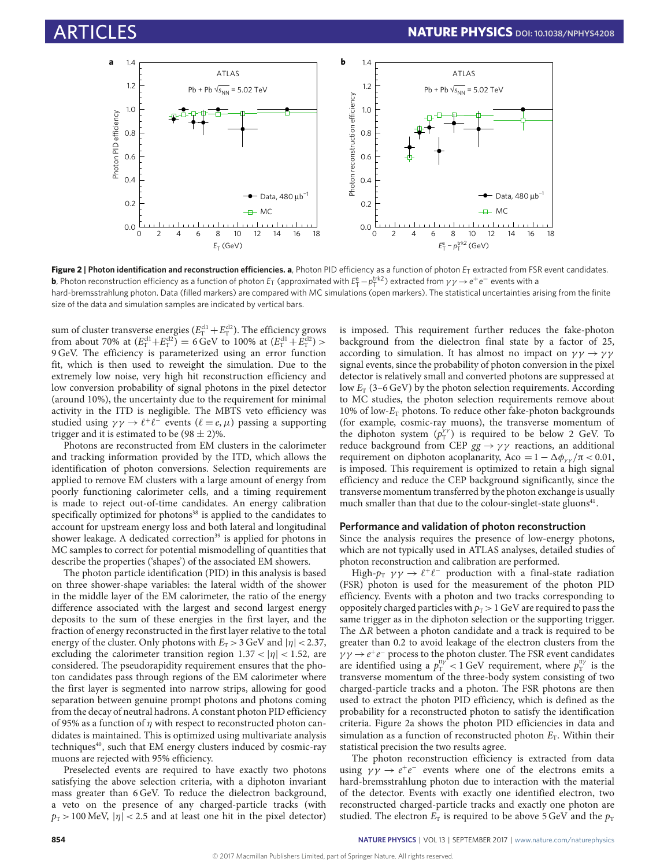<span id="page-3-0"></span>

Figure 2 | Photon identification and reconstruction efficiencies. a, Photon PID efficiency as a function of photon *E*<sub>T</sub> extracted from FSR event candidates **b**, Photon reconstruction efficiency as a function of photon  $E_T$  (approximated with  $E_T^{\rm e}-p_T^{\rm trk2}$ ) extracted from  $\gamma\gamma\to{\rm e^+e^-}$  events with a hard-bremsstrahlung photon. Data (filled markers) are compared with MC simulations (open markers). The statistical uncertainties arising from the finite size of the data and simulation samples are indicated by vertical bars.

sum of cluster transverse energies ( $E_T^{\text{cl1}} + E_T^{\text{cl2}}$ ). The efficiency grows from about 70% at  $(E_{\text{T}}^{\text{cl1}} + E_{\text{T}}^{\text{cl2}}) = 6 \text{ GeV}$  to 100% at  $(E_{\text{T}}^{\text{cl1}} + E_{\text{T}}^{\text{cl2}})$  > 9 GeV. The efficiency is parameterized using an error function fit, which is then used to reweight the simulation. Due to the extremely low noise, very high hit reconstruction efficiency and low conversion probability of signal photons in the pixel detector (around 10%), the uncertainty due to the requirement for minimal activity in the ITD is negligible. The MBTS veto efficiency was studied using  $\gamma \gamma \rightarrow \ell^+ \ell^-$  events  $(\ell = e, \mu)$  passing a supporting trigger and it is estimated to be  $(98 \pm 2)\%$ .

Photons are reconstructed from EM clusters in the calorimeter and tracking information provided by the ITD, which allows the identification of photon conversions. Selection requirements are applied to remove EM clusters with a large amount of energy from poorly functioning calorimeter cells, and a timing requirement is made to reject out-of-time candidates. An energy calibration specifically optimized for photons<sup>[38](#page-6-34)</sup> is applied to the candidates to account for upstream energy loss and both lateral and longitudinal shower leakage. A dedicated correction<sup>[39](#page-6-35)</sup> is applied for photons in MC samples to correct for potential mismodelling of quantities that describe the properties ('shapes') of the associated EM showers.

The photon particle identification (PID) in this analysis is based on three shower-shape variables: the lateral width of the shower in the middle layer of the EM calorimeter, the ratio of the energy difference associated with the largest and second largest energy deposits to the sum of these energies in the first layer, and the fraction of energy reconstructed in the first layer relative to the total energy of the cluster. Only photons with  $E_T > 3$  GeV and  $|\eta| < 2.37$ , excluding the calorimeter transition region  $1.37 < |\eta| < 1.52$ , are considered. The pseudorapidity requirement ensures that the photon candidates pass through regions of the EM calorimeter where the first layer is segmented into narrow strips, allowing for good separation between genuine prompt photons and photons coming from the decay of neutral hadrons. A constant photon PID efficiency of 95% as a function of  $\eta$  with respect to reconstructed photon candidates is maintained. This is optimized using multivariate analysis techniques<sup>[40](#page-6-36)</sup>, such that EM energy clusters induced by cosmic-ray muons are rejected with 95% efficiency.

Preselected events are required to have exactly two photons satisfying the above selection criteria, with a diphoton invariant mass greater than 6 GeV. To reduce the dielectron background, a veto on the presence of any charged-particle tracks (with  $p_T > 100$  MeV,  $|\eta| < 2.5$  and at least one hit in the pixel detector)

is imposed. This requirement further reduces the fake-photon background from the dielectron final state by a factor of 25, according to simulation. It has almost no impact on  $\gamma \gamma \rightarrow \gamma \gamma$ signal events, since the probability of photon conversion in the pixel detector is relatively small and converted photons are suppressed at low  $E_T$  (3–6 GeV) by the photon selection requirements. According to MC studies, the photon selection requirements remove about 10% of low- $E_T$  photons. To reduce other fake-photon backgrounds (for example, cosmic-ray muons), the transverse momentum of the diphoton system  $(p_T^{\gamma\gamma})$  is required to be below 2 GeV. To reduce background from CEP  $gg \rightarrow \gamma \gamma$  reactions, an additional requirement on diphoton acoplanarity, Aco =  $1 - \Delta \phi_{\nu \nu} / \pi < 0.01$ , is imposed. This requirement is optimized to retain a high signal efficiency and reduce the CEP background significantly, since the transverse momentum transferred by the photon exchange is usually much smaller than that due to the colour-singlet-state gluons<sup>[41](#page-6-37)</sup>.

#### **Performance and validation of photon reconstruction**

Since the analysis requires the presence of low-energy photons, which are not typically used in ATLAS analyses, detailed studies of photon reconstruction and calibration are performed.

High- $p_T$   $\gamma \gamma \rightarrow \ell^+ \ell^-$  production with a final-state radiation (FSR) photon is used for the measurement of the photon PID efficiency. Events with a photon and two tracks corresponding to oppositely charged particles with  $p_T > 1$  GeV are required to pass the same trigger as in the diphoton selection or the supporting trigger. The  $\Delta R$  between a photon candidate and a track is required to be greater than 0.2 to avoid leakage of the electron clusters from the  $\gamma \gamma \rightarrow e^+e^-$  process to the photon cluster. The FSR event candidates are identified using a  $p_T^{\text{tty}} < 1$  GeV requirement, where  $p_T^{\text{tty}}$  is the transverse momentum of the three-body system consisting of two charged-particle tracks and a photon. The FSR photons are then used to extract the photon PID efficiency, which is defined as the probability for a reconstructed photon to satisfy the identification criteria. Figure [2a](#page-3-0) shows the photon PID efficiencies in data and simulation as a function of reconstructed photon  $E_T$ . Within their statistical precision the two results agree.

The photon reconstruction efficiency is extracted from data using  $\gamma \gamma \rightarrow e^+e^-$  events where one of the electrons emits a hard-bremsstrahlung photon due to interaction with the material of the detector. Events with exactly one identified electron, two reconstructed charged-particle tracks and exactly one photon are studied. The electron  $E_T$  is required to be above 5 GeV and the  $p_T$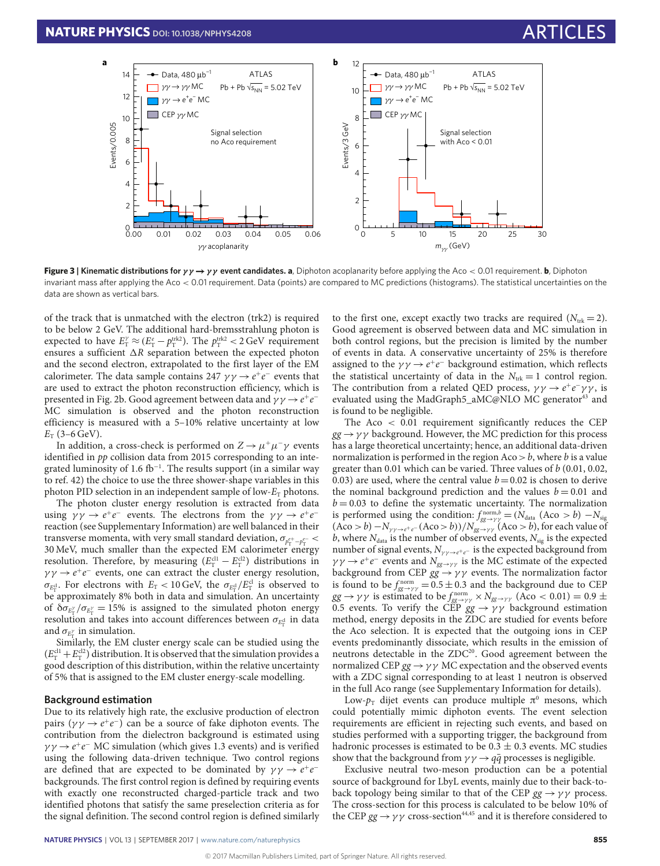<span id="page-4-0"></span>

**Figure 3 | Kinematic distributions for** γ γ →γ γ **event candidates. a**, Diphoton acoplanarity before applying the Aco < 0.01 requirement. **b**, Diphoton invariant mass after applying the Aco < 0.01 requirement. Data (points) are compared to MC predictions (histograms). The statistical uncertainties on the data are shown as vertical bars.

of the track that is unmatched with the electron (trk2) is required to be below 2 GeV. The additional hard-bremsstrahlung photon is expected to have  $E_{\rm T}^{\gamma} \approx (E_{\rm T}^e - p_{\rm T}^{\rm trk2})$ . The  $p_{\rm T}^{\rm trk2} < 2$  GeV requirement ensures a sufficient  $\Delta R$  separation between the expected photon and the second electron, extrapolated to the first layer of the EM calorimeter. The data sample contains 247  $\gamma \gamma \rightarrow e^+e^-$  events that are used to extract the photon reconstruction efficiency, which is presented in Fig. [2b.](#page-3-0) Good agreement between data and  $\gamma\gamma\!\rightarrow\! e^+e^-$ MC simulation is observed and the photon reconstruction efficiency is measured with a 5–10% relative uncertainty at low  $E_T$  (3–6 GeV).

In addition, a cross-check is performed on  $Z \to \mu^+ \mu^- \gamma$  events identified in *pp* collision data from 2015 corresponding to an integrated luminosity of 1.6 fb<sup>−1</sup>. The results support (in a similar way to ref. [42\)](#page-6-38) the choice to use the three shower-shape variables in this photon PID selection in an independent sample of low- $E_T$  photons.

The photon cluster energy resolution is extracted from data using  $\gamma \gamma \rightarrow e^+e^-$  events. The electrons from the  $\gamma \gamma \rightarrow e^+e^$ reaction (see Supplementary Information) are well balanced in their transverse momenta, with very small standard deviation,  $\sigma_{p_T^{e+}-p_T^{e-}}$ 30 MeV, much smaller than the expected EM calorimeter energy resolution. Therefore, by measuring  $(E_{\text{T}}^{\text{cl1}} - E_{\text{T}}^{\text{cl2}})$  distributions in  $\gamma \gamma \rightarrow e^+e^-$  events, one can extract the cluster energy resolution,  $\sigma_{E_{\rm T}^{\rm cl}}$ . For electrons with  $E_{\rm T}$  < 10 GeV, the  $\sigma_{E_{\rm T}^{\rm cl}}/E_{\rm T}^{\rm cl}$  is observed to  $\vec{b}$  approximately 8% both in data and simulation. An uncertainty of  $\delta \sigma_{E_{\rm T}^{\gamma}}/\sigma_{E_{\rm T}^{\gamma}} = 15\%$  is assigned to the simulated photon energy resolution and takes into account differences between  $\sigma_{E_T^{\text{cl}}}$  in data and  $\sigma_{E_{\text{T}}^{\gamma}}$  in simulation.

Similarly, the EM cluster energy scale can be studied using the  $(E_{\rm T}^{\rm cl1} + E_{\rm T}^{\rm cl2})$  distribution. It is observed that the simulation provides a good description of this distribution, within the relative uncertainty of 5% that is assigned to the EM cluster energy-scale modelling.

#### **Background estimation**

Due to its relatively high rate, the exclusive production of electron pairs ( $\gamma \gamma \rightarrow e^+e^-$ ) can be a source of fake diphoton events. The contribution from the dielectron background is estimated using  $\gamma \gamma \rightarrow e^+e^-$  MC simulation (which gives 1.3 events) and is verified using the following data-driven technique. Two control regions are defined that are expected to be dominated by  $\gamma \gamma \rightarrow e^+e^$ backgrounds. The first control region is defined by requiring events with exactly one reconstructed charged-particle track and two identified photons that satisfy the same preselection criteria as for the signal definition. The second control region is defined similarly to the first one, except exactly two tracks are required  $(N_{\text{trk}} = 2)$ . Good agreement is observed between data and MC simulation in both control regions, but the precision is limited by the number of events in data. A conservative uncertainty of 25% is therefore assigned to the  $\gamma \gamma \rightarrow e^+e^-$  background estimation, which reflects the statistical uncertainty of data in the  $N_{\text{trk}} = 1$  control region. The contribution from a related QED process,  $\gamma \gamma \rightarrow e^+ e^- \gamma \gamma$ , is evaluated using the MadGraph5\_aMC@NLO MC generator<sup>[43](#page-6-39)</sup> and is found to be negligible.

The Aco < 0.01 requirement significantly reduces the CEP  $gg \rightarrow \gamma \gamma$  background. However, the MC prediction for this process has a large theoretical uncertainty; hence, an additional data-driven normalization is performed in the region  $A\cos b$ , where b is a value greater than 0.01 which can be varied. Three values of b (0.01, 0.02, 0.03) are used, where the central value  $b=0.02$  is chosen to derive the nominal background prediction and the values  $b = 0.01$  and  $b = 0.03$  to define the systematic uncertainty. The normalization is performed using the condition:  $f_{gg \to \gamma\gamma}^{\text{norm},b} = (N_{\text{data}} \text{ (Aco} > b) - N_{\text{sig}})$  $(Aco > b) - N_{\gamma\gamma \to e^+e^-} (Aco > b) / N_{gg \to \gamma\gamma} (Aco > b)$ , for each value of b, where  $N_{data}$  is the number of observed events,  $N_{size}$  is the expected number of signal events,  $N_{\gamma\gamma \to e^+e^-}$  is the expected background from  $\gamma \gamma \rightarrow e^+e^-$  events and  $N_{gg \rightarrow \gamma \gamma}$  is the MC estimate of the expected background from CEP  $gg \rightarrow \gamma \gamma$  events. The normalization factor is found to be  $f_{gg \to \gamma\gamma}^{\text{norm}} = 0.5 \pm 0.3$  and the background due to CEP  $gg \to \gamma \gamma$  is estimated to be  $f_{gg \to \gamma\gamma}^{\text{norm}} \times N_{gg \to \gamma\gamma}$  (Aco  $< 0.01$ ) = 0.9  $\pm$ 0.5 events. To verify the CEP  $gg \rightarrow \gamma \gamma$  background estimation method, energy deposits in the ZDC are studied for events before the Aco selection. It is expected that the outgoing ions in CEP events predominantly dissociate, which results in the emission of neutrons detectable in the ZDC<sup>[20](#page-6-16)</sup>. Good agreement between the normalized CEP  $gg \rightarrow \gamma \gamma$  MC expectation and the observed events with a ZDC signal corresponding to at least 1 neutron is observed in the full Aco range (see Supplementary Information for details).

Low- $p_T$  dijet events can produce multiple  $\pi^0$  mesons, which could potentially mimic diphoton events. The event selection requirements are efficient in rejecting such events, and based on studies performed with a supporting trigger, the background from hadronic processes is estimated to be  $0.3 \pm 0.3$  events. MC studies show that the background from  $\gamma \gamma \rightarrow q\bar{q}$  processes is negligible.

Exclusive neutral two-meson production can be a potential source of background for LbyL events, mainly due to their back-toback topology being similar to that of the CEP  $gg \rightarrow \gamma \gamma$  process. The cross-section for this process is calculated to be below 10% of the CEP  $gg \rightarrow \gamma \gamma$  cross-section<sup>[44](#page-6-40)[,45](#page-6-41)</sup> and it is therefore considered to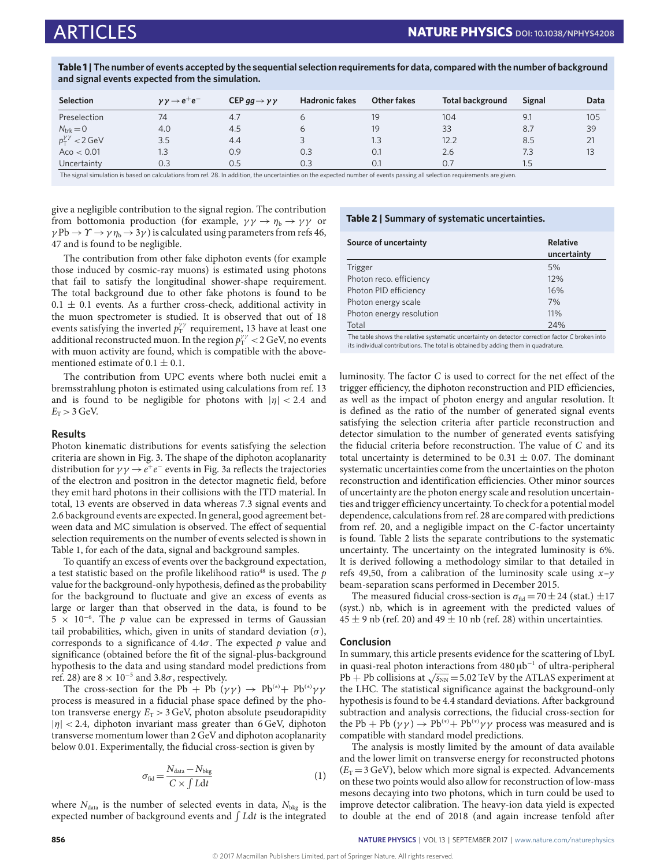<span id="page-5-0"></span>**Table 1 | The number of events accepted by the sequential selection requirements for data, compared with the number of background and signal events expected from the simulation.**

| <b>Selection</b>             | $\gamma \gamma \rightarrow e^+e^-$ | CEP $qq \rightarrow \gamma \gamma$ | <b>Hadronic fakes</b> | Other fakes | Total background | Signal  | Data |
|------------------------------|------------------------------------|------------------------------------|-----------------------|-------------|------------------|---------|------|
| Preselection                 | 74                                 | 4.7                                | $\sigma$              | 19          | 104              | 9.1     | 105  |
| $N_{\text{trk}} = 0$         | 4.0                                | 4.5                                |                       | 19          | 33               | 8.7     | 39   |
| $p_T^{\gamma\gamma}$ < 2 GeV | 3.5                                | 4.4                                |                       |             | 12.2             | 8.5     | 21   |
| Acco < 0.01                  | 1.3                                | 0.9                                | 0.3                   | 0.1         | 2.6              | 7.3     | 13   |
| Uncertainty                  | 0.3                                | 0.5                                | 0.3                   | 0.1         | 0.7              | $1.5\,$ |      |

The signal simulation is based on calculations from ref. [28.](#page-6-24) In addition, the uncertainties on the expected number of events passing all selection requirements are given

give a negligible contribution to the signal region. The contribution from bottomonia production (for example,  $\gamma \gamma \rightarrow \eta_b \rightarrow \gamma \gamma$  or  $\gamma$ Pb  $\rightarrow \gamma \rightarrow \gamma \eta_b \rightarrow 3\gamma$ ) is calculated using parameters from refs [46,](#page-6-42) [47](#page-6-43) and is found to be negligible.

The contribution from other fake diphoton events (for example those induced by cosmic-ray muons) is estimated using photons that fail to satisfy the longitudinal shower-shape requirement. The total background due to other fake photons is found to be  $0.1 \pm 0.1$  events. As a further cross-check, additional activity in the muon spectrometer is studied. It is observed that out of 18 events satisfying the inverted  $p_T^{\gamma\gamma}$  requirement, 13 have at least one additional reconstructed muon. In the region  $p_T^{\gamma\gamma} < 2$  GeV, no events with muon activity are found, which is compatible with the abovementioned estimate of  $0.1 \pm 0.1$ .

The contribution from UPC events where both nuclei emit a bremsstrahlung photon is estimated using calculations from ref. [13](#page-6-10) and is found to be negligible for photons with  $|\eta| < 2.4$  and  $E_T > 3$  GeV.

#### **Results**

Photon kinematic distributions for events satisfying the selection criteria are shown in Fig. [3.](#page-4-0) The shape of the diphoton acoplanarity distribution for  $\gamma \gamma \rightarrow e^+ e^-$  events in Fig. [3a](#page-4-0) reflects the trajectories of the electron and positron in the detector magnetic field, before they emit hard photons in their collisions with the ITD material. In total, 13 events are observed in data whereas 7.3 signal events and 2.6 background events are expected. In general, good agreement between data and MC simulation is observed. The effect of sequential selection requirements on the number of events selected is shown in Table [1,](#page-5-0) for each of the data, signal and background samples.

To quantify an excess of events over the background expectation, a test statistic based on the profile likelihood ratio $48$  is used. The  $p$ value for the background-only hypothesis, defined as the probability for the background to fluctuate and give an excess of events as large or larger than that observed in the data, is found to be  $5 \times 10^{-6}$ . The p value can be expressed in terms of Gaussian tail probabilities, which, given in units of standard deviation  $(\sigma)$ , corresponds to a significance of  $4.4\sigma$ . The expected p value and significance (obtained before the fit of the signal-plus-background hypothesis to the data and using standard model predictions from ref. [28\)](#page-6-24) are  $8 \times 10^{-5}$  and 3.8 $\sigma$ , respectively.

The cross-section for the Pb + Pb ( $\gamma \gamma$ )  $\rightarrow$  Pb<sup>(\*)</sup>+ Pb<sup>(\*)</sup> $\gamma \gamma$ process is measured in a fiducial phase space defined by the photon transverse energy  $E_T > 3$  GeV, photon absolute pseudorapidity  $|\eta|$  < 2.4, diphoton invariant mass greater than 6 GeV, diphoton transverse momentum lower than 2 GeV and diphoton acoplanarity below 0.01. Experimentally, the fiducial cross-section is given by

$$
\sigma_{\text{fid}} = \frac{N_{\text{data}} - N_{\text{bkg}}}{C \times \int L dt}
$$
\n(1)

where  $N_{data}$  is the number of selected events in data,  $N_{bkg}$  is the expected number of background events and  $\int L dt$  is the integrated

#### <span id="page-5-1"></span>**Table 2 | Summary of systematic uncertainties.**

| Source of uncertainty    | <b>Relative</b> |  |  |
|--------------------------|-----------------|--|--|
|                          | uncertainty     |  |  |
| Trigger                  | 5%              |  |  |
| Photon reco. efficiency  | 12%             |  |  |
| Photon PID efficiency    | 16%             |  |  |
| Photon energy scale      | 7%              |  |  |
| Photon energy resolution | 11%             |  |  |
| Total                    | 24%             |  |  |

The table shows the relative systematic uncertainty on detector correction factor *C* broken into its individual contributions. The total is obtained by adding them in quadrature

luminosity. The factor C is used to correct for the net effect of the trigger efficiency, the diphoton reconstruction and PID efficiencies, as well as the impact of photon energy and angular resolution. It is defined as the ratio of the number of generated signal events satisfying the selection criteria after particle reconstruction and detector simulation to the number of generated events satisfying the fiducial criteria before reconstruction. The value of C and its total uncertainty is determined to be  $0.31 \pm 0.07$ . The dominant systematic uncertainties come from the uncertainties on the photon reconstruction and identification efficiencies. Other minor sources of uncertainty are the photon energy scale and resolution uncertainties and trigger efficiency uncertainty. To check for a potential model dependence, calculations from ref. [28](#page-6-24) are compared with predictions from ref. [20,](#page-6-16) and a negligible impact on the C-factor uncertainty is found. Table [2](#page-5-1) lists the separate contributions to the systematic uncertainty. The uncertainty on the integrated luminosity is 6%. It is derived following a methodology similar to that detailed in refs [49,](#page-6-45)[50,](#page-6-46) from a calibration of the luminosity scale using  $x-y$ beam-separation scans performed in December 2015.

The measured fiducial cross-section is  $\sigma_{\text{fid}} = 70 \pm 24$  (stat.)  $\pm 17$ (syst.) nb, which is in agreement with the predicted values of  $45 \pm 9$  nb (ref. [20\)](#page-6-16) and  $49 \pm 10$  nb (ref. [28\)](#page-6-24) within uncertainties.

#### **Conclusion**

In summary, this article presents evidence for the scattering of LbyL in quasi-real photon interactions from  $480 \mu b^{-1}$  of ultra-peripheral In quasi-real photon interactions from 480 μb  $\cdot$  of ultra-peripheral<br>Pb + Pb collisions at  $\sqrt{s_{NN}}$  = 5.02 TeV by the ATLAS experiment at the LHC. The statistical significance against the background-only hypothesis is found to be 4.4 standard deviations. After background subtraction and analysis corrections, the fiducial cross-section for the Pb + Pb ( $\gamma \gamma$ )  $\rightarrow$  Pb<sup>(\*)</sup>+ Pb<sup>(\*)</sup> $\gamma \gamma$  process was measured and is compatible with standard model predictions.

The analysis is mostly limited by the amount of data available and the lower limit on transverse energy for reconstructed photons  $(E_T = 3 \text{ GeV})$ , below which more signal is expected. Advancements on these two points would also allow for reconstruction of low-mass mesons decaying into two photons, which in turn could be used to improve detector calibration. The heavy-ion data yield is expected to double at the end of 2018 (and again increase tenfold after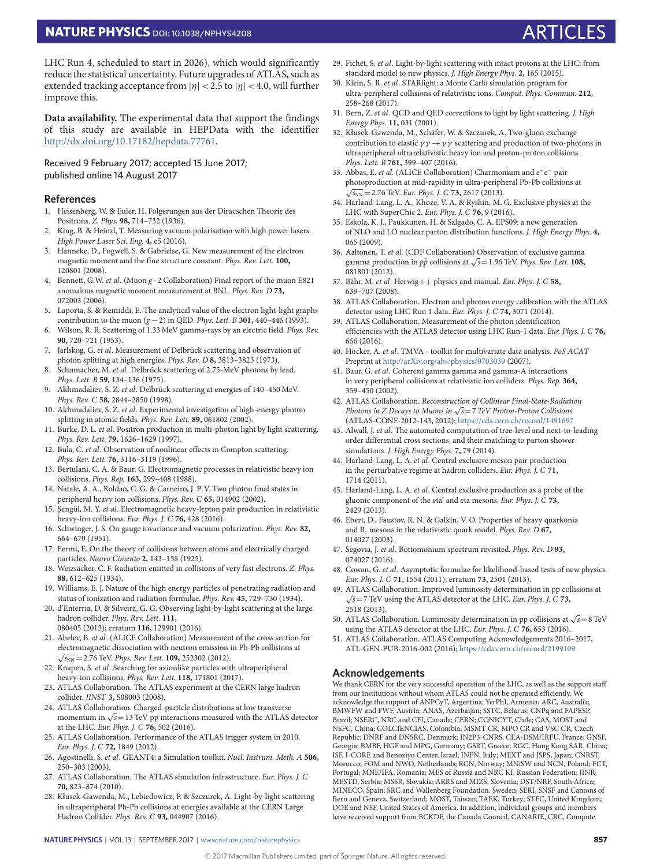

LHC Run 4, scheduled to start in 2026), which would significantly reduce the statistical uncertainty. Future upgrades of ATLAS, such as extended tracking acceptance from  $|\eta|$  < 2.5 to  $|\eta|$  < 4.0, will further improve this.

**Data availability.** The experimental data that support the findings of this study are available in HEPData with the identifier [http://dx.doi.org/10.17182/hepdata.77761.](http://dx.doi.org/10.17182/hepdata.77761)

Received 9 February 2017; accepted 15 June 2017; published online 14 August 2017

### **References**

- <span id="page-6-0"></span>1. Heisenberg, W. & Euler, H. Folgerungen aus der Diracschen Theorie des Positrons. Z. Phys. **98,** 714–732 (1936).
- <span id="page-6-1"></span>2. King, B. & Heinzl, T. Measuring vacuum polarisation with high power lasers. High Power Laser Sci. Eng. **4,** e5 (2016).
- <span id="page-6-2"></span>3. Hanneke, D., Fogwell, S. & Gabrielse, G. New measurement of the electron magnetic moment and the fine structure constant. Phys. Rev. Lett. **100,** 120801 (2008).
- <span id="page-6-3"></span>4. Bennett, G.W. et al. (Muon g–2 Collaboration) Final report of the muon E821 anomalous magnetic moment measurement at BNL. Phys. Rev. D **73,** 072003 (2006).
- <span id="page-6-4"></span>5. Laporta, S. & Remiddi, E. The analytical value of the electron light-light graphs contribution to the muon  $(g - 2)$  in QED. Phys. Lett. B **301,** 440–446 (1993).
- <span id="page-6-5"></span>6. Wilson, R. R. Scattering of 1.33 MeV gamma-rays by an electric field. Phys. Rev. **90,** 720–721 (1953).
- 7. Jarlskog, G. et al. Measurement of Delbrück scattering and observation of photon splitting at high energies. Phys. Rev. D **8,** 3813–3823 (1973).
- 8. Schumacher, M. et al. Delbrück scattering of 2.75-MeV photons by lead. Phys. Lett. B **59,** 134–136 (1975).
- <span id="page-6-6"></span>9. Akhmadaliev, S. Z. et al. Delbrück scattering at energies of 140–450 MeV. Phys. Rev. C **58,** 2844–2850 (1998).
- <span id="page-6-7"></span>10. Akhmadaliev, S. Z. et al. Experimental investigation of high-energy photon splitting in atomic fields. Phys. Rev. Lett. **89,** 061802 (2002).
- <span id="page-6-8"></span>11. Burke, D. L. et al. Positron production in multi-photon light by light scattering. Phys. Rev. Lett. **79,** 1626–1629 (1997).
- <span id="page-6-9"></span>12. Bula, C. et al. Observation of nonlinear effects in Compton scattering. Phys. Rev. Lett. **76,** 3116–3119 (1996).
- <span id="page-6-10"></span>13. Bertulani, C. A. & Baur, G. Electromagnetic processes in relativistic heavy ion collisions. Phys. Rep. **163,** 299–408 (1988).
- <span id="page-6-11"></span>14. Natale, A. A., Roldao, C. G. & Carneiro, J. P. V. Two photon final states in peripheral heavy ion collisions. Phys. Rev. C **65,** 014902 (2002).
- <span id="page-6-12"></span>15. Şengül, M. Y. et al. Electromagnetic heavy-lepton pair production in relativistic heavy-ion collisions. Eur. Phys. J. C **76,** 428 (2016).
- <span id="page-6-13"></span>16. Schwinger, J. S. On gauge invariance and vacuum polarization. Phys. Rev. **82,** 664–679 (1951).
- <span id="page-6-14"></span>17. Fermi, E. On the theory of collisions between atoms and electrically charged particles. Nuovo Cimento **2,** 143–158 (1925).
- 18. Weizsäcker, C. F. Radiation emitted in collisions of very fast electrons. Z. Phys. **88,** 612–625 (1934).
- <span id="page-6-15"></span>19. Williams, E. J. Nature of the high energy particles of penetrating radiation and status of ionization and radiation formulae. Phys. Rev. **45,** 729–730 (1934).
- <span id="page-6-16"></span>20. d'Enterria, D. & Silveira, G. G. Observing light-by-light scattering at the large hadron collider. Phys. Rev. Lett. **111,** 080405 (2013); erratum **116,** 129901 (2016).
- <span id="page-6-17"></span>21. Abelev, B. et al. (ALICE Collaboration) Measurement of the cross section for electromagnetic dissociation with neutron emission in Pb-Pb collisions at  $\sqrt{s_{NN}}$  = 2.76 TeV. Phys. Rev. Lett. **109,** 252302 (2012).
- <span id="page-6-18"></span>22. Knapen, S. et al. Searching for axionlike particles with ultraperipheral heavy-ion collisions. Phys. Rev. Lett. **118,** 171801 (2017).
- <span id="page-6-19"></span>23. ATLAS Collaboration. The ATLAS experiment at the CERN large hadron collider. JINST **3,** S08003 (2008).
- <span id="page-6-20"></span>24. ATLAS Collaboration. Charged-particle distributions at low transverse AT LAS COLLAD CHAID CONTROL AND THE ATTENDANCE IN THE MOMENTUM IN  $\sqrt{s}$  = 13 TeV pp interactions measured with the ATLAS detector at the LHC. Eur. Phys. J. C **76,** 502 (2016).
- <span id="page-6-21"></span>25. ATLAS Collaboration. Performance of the ATLAS trigger system in 2010. Eur. Phys. J. C **72,** 1849 (2012).
- <span id="page-6-22"></span>26. Agostinelli, S. et al. GEANT4: a Simulation toolkit. Nucl. Instrum. Meth. A **506,** 250–303 (2003).
- <span id="page-6-23"></span>27. ATLAS Collaboration. The ATLAS simulation infrastructure. Eur. Phys. J. C **70,** 823–874 (2010).
- <span id="page-6-24"></span>28. Kłusek-Gawenda, M., Lebiedowicz, P. & Szczurek, A. Light-by-light scattering in ultraperipheral Pb-Pb collisions at energies available at the CERN Large Hadron Collider. Phys. Rev. C **93,** 044907 (2016).
- <span id="page-6-25"></span>29. Fichet, S. et al. Light-by-light scattering with intact protons at the LHC: from standard model to new physics. J. High Energy Phys. **2,** 165 (2015).
- <span id="page-6-26"></span>30. Klein, S. R. et al. STARlight: a Monte Carlo simulation program for ultra-peripheral collisions of relativistic ions. Comput. Phys. Commun. **212,** 258–268 (2017).
- <span id="page-6-27"></span>31. Bern, Z. et al. QCD and QED corrections to light by light scattering. J. High Energy Phys. **11,** 031 (2001).
- <span id="page-6-28"></span>32. Kłusek-Gawenda, M., Schäfer, W. & Szczurek, A. Two-gluon exchange contribution to elastic  $\gamma \gamma \rightarrow \gamma \gamma$  scattering and production of two-photons in ultraperipheral ultrarelativistic heavy ion and proton-proton collisions. Phys. Lett. B **761,** 399–407 (2016).
- <span id="page-6-29"></span>33. Abbas, E. et al. (ALICE Collaboration) Charmonium and e<sup>+</sup>e<sup>−</sup> pair photoproduction at mid-rapidity in ultra-peripheral Pb-Pb collisions at  $\sqrt{s_{NN}}$  = 2.76 TeV. Eur. Phys. J. C 73, 2617 (2013).
- <span id="page-6-30"></span>34. Harland-Lang, L. A., Khoze, V. A. & Ryskin, M. G. Exclusive physics at the LHC with SuperChic 2. Eur. Phys. J. C **76,** 9 (2016).
- <span id="page-6-31"></span>35. Eskola, K. J., Paukkunen, H. & Salgado, C. A. EPS09: a new generation of NLO and LO nuclear parton distribution functions. J. High Energy Phys. **4,** 065 (2009).
- <span id="page-6-32"></span>36. Aaltonen, T. et al. (CDF Collaboration) Observation of exclusive gamma Aaltonen, 1. *et al.* (CDF Collaboration) Observation of exclusive gamma<br>gamma production in  $p\bar{p}$  collisions at  $\sqrt{s}$  = 1.96 TeV. *Phys. Rev. Lett.* **108**, 081801 (2012).
- <span id="page-6-33"></span>37. Bähr, M. et al. Herwig++ physics and manual. Eur. Phys. J. C **58,** 639–707 (2008).
- <span id="page-6-34"></span>38. ATLAS Collaboration. Electron and photon energy calibration with the ATLAS detector using LHC Run 1 data. Eur. Phys. J. C **74,** 3071 (2014).
- <span id="page-6-35"></span>39. ATLAS Collaboration. Measurement of the photon identification efficiencies with the ATLAS detector using LHC Run-1 data. Eur. Phys. J. C **76,** 666 (2016).
- <span id="page-6-36"></span>40. Höcker, A. et al. TMVA - toolkit for multivariate data analysis. PoS ACAT Preprint at <http://arXiv.org/abs/physics/0703039> (2007).
- <span id="page-6-37"></span>41. Baur, G. et al. Coherent gamma gamma and gamma-A interactions in very peripheral collisions at relativistic ion colliders. Phys. Rep. **364,** 359–450 (2002).
- <span id="page-6-38"></span>42. ATLAS Collaboration. Reconstruction of Collinear Final-State-Radiation  $R1LAS$  Conaboration. *Reconstruction of Coumear Final-State-Radiat* Photons in Z Decays to Muons in  $\sqrt{s}=7$  TeV Proton-Proton Collisions (ATLAS-CONF-2012-143, 2012); <https://cds.cern.ch/record/1491697>
- <span id="page-6-39"></span>43. Alwall, J. et al. The automated computation of tree-level and next-to-leading order differential cross sections, and their matching to parton shower simulations. J. High Energy Phys. **7,** 79 (2014).
- <span id="page-6-40"></span>44. Harland-Lang, L. A. et al. Central exclusive meson pair production in the perturbative regime at hadron colliders. Eur. Phys. J. C **71,** 1714 (2011).
- <span id="page-6-41"></span>45. Harland-Lang, L. A. et al. Central exclusive production as a probe of the gluonic component of the eta' and eta mesons. Eur. Phys. J. C **73,** 2429 (2013).
- <span id="page-6-42"></span>46. Ebert, D., Faustov, R. N. & Galkin, V. O. Properties of heavy quarkonia and B<sup>c</sup> mesons in the relativistic quark model. Phys. Rev. D **67,** 014027 (2003).
- <span id="page-6-43"></span>47. Segovia, J. et al. Bottomonium spectrum revisited. Phys. Rev. D **93,** 074027 (2016).
- <span id="page-6-44"></span>48. Cowan, G. et al. Asymptotic formulae for likelihood-based tests of new physics. Eur. Phys. J. C **71,** 1554 (2011); erratum **73,** 2501 (2013).
- <span id="page-6-45"></span>49. ATLAS Collaboration. Improved luminosity determination in pp collisions at √  $\sqrt{s}$  = 7 TeV using the ATLAS detector at the LHC. Eur. Phys. J. C 73, 2518 (2013).
- <span id="page-6-46"></span>50. ATLAS Collaboration. Luminosity determination in pp collisions at  $\sqrt{s}$  = 8 TeV using the ATLAS detector at the LHC. Eur. Phys. J. C **76,** 653 (2016).
- <span id="page-6-47"></span>51. ATLAS Collaboration. ATLAS Computing Acknowledgements 2016–2017, ATL-GEN-PUB-2016-002 (2016); <https://cds.cern.ch/record/2199109>

### **Acknowledgements**

We thank CERN for the very successful operation of the LHC, as well as the support staff from our institutions without whom ATLAS could not be operated efficiently. We acknowledge the support of ANPCyT, Argentina; YerPhI, Armenia; ARC, Australia; BMWFW and FWF, Austria; ANAS, Azerbaijan; SSTC, Belarus; CNPq and FAPESP, Brazil; NSERC, NRC and CFI, Canada; CERN; CONICYT, Chile; CAS, MOST and NSFC, China; COLCIENCIAS, Colombia; MSMT CR, MPO CR and VSC CR, Czech Republic; DNRF and DNSRC, Denmark; IN2P3-CNRS, CEA-DSM/IRFU, France; GNSF, Georgia; BMBF, HGF and MPG, Germany; GSRT, Greece; RGC, Hong Kong SAR, China; ISF, I-CORE and Benoziyo Center, Israel; INFN, Italy; MEXT and JSPS, Japan; CNRST, Morocco; FOM and NWO, Netherlands; RCN, Norway; MNiSW and NCN, Poland; FCT, Portugal; MNE/IFA, Romania; MES of Russia and NRC KI, Russian Federation; JINR; MESTD, Serbia; MSSR, Slovakia; ARRS and MIZŠ, Slovenia; DST/NRF, South Africa; MINECO, Spain; SRC and Wallenberg Foundation, Sweden; SERI, SNSF and Cantons of Bern and Geneva, Switzerland; MOST, Taiwan; TAEK, Turkey; STFC, United Kingdom; DOE and NSF, United States of America. In addition, individual groups and members have received support from BCKDF, the Canada Council, CANARIE, CRC, Compute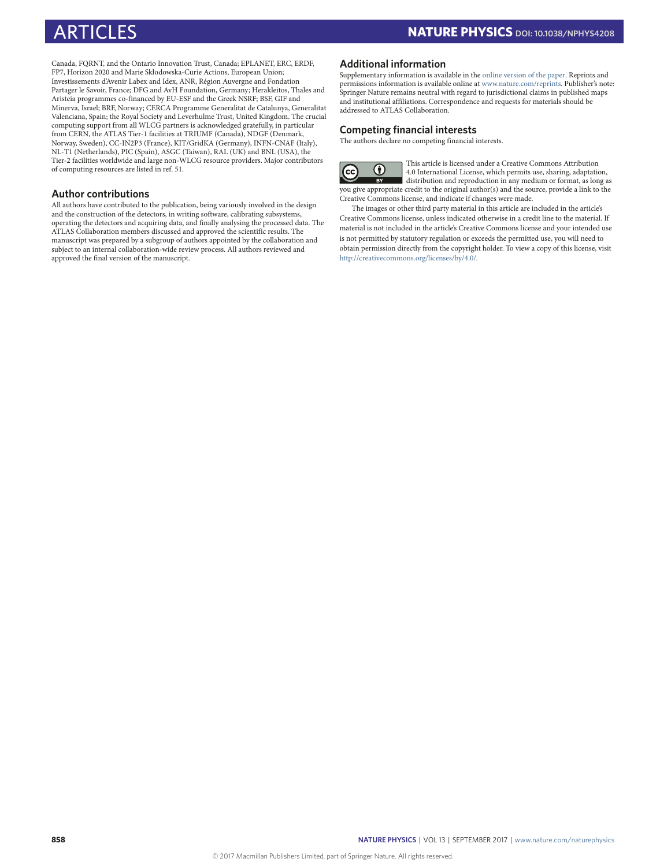Canada, FQRNT, and the Ontario Innovation Trust, Canada; EPLANET, ERC, ERDF, FP7, Horizon 2020 and Marie Skłodowska-Curie Actions, European Union; Investissements d'Avenir Labex and Idex, ANR, Région Auvergne and Fondation Partager le Savoir, France; DFG and AvH Foundation, Germany; Herakleitos, Thales and Aristeia programmes co-financed by EU-ESF and the Greek NSRF; BSF, GIF and Minerva, Israel; BRF, Norway; CERCA Programme Generalitat de Catalunya, Generalitat Valenciana, Spain; the Royal Society and Leverhulme Trust, United Kingdom. The crucial computing support from all WLCG partners is acknowledged gratefully, in particular from CERN, the ATLAS Tier-1 facilities at TRIUMF (Canada), NDGF (Denmark, Norway, Sweden), CC-IN2P3 (France), KIT/GridKA (Germany), INFN-CNAF (Italy), NL-T1 (Netherlands), PIC (Spain), ASGC (Taiwan), RAL (UK) and BNL (USA), the Tier-2 facilities worldwide and large non-WLCG resource providers. Major contributors of computing resources are listed in ref. [51.](#page-6-47)

### **Author contributions**

All authors have contributed to the publication, being variously involved in the design and the construction of the detectors, in writing software, calibrating subsystems, operating the detectors and acquiring data, and finally analysing the processed data. The ATLAS Collaboration members discussed and approved the scientific results. The manuscript was prepared by a subgroup of authors appointed by the collaboration and subject to an internal collaboration-wide review process. All authors reviewed and approved the final version of the manuscript.

### **Additional information**

Supplementary information is available in the [online version of the paper.](http://dx.doi.org/10.1038/nphys4208) Reprints and permissions information is available online at [www.nature.com/reprints.](http://www.nature.com/reprints) Publisher's note: Springer Nature remains neutral with regard to jurisdictional claims in published maps and institutional affiliations. Correspondence and requests for materials should be addressed to ATLAS Collaboration.

### **Competing financial interests**

The authors declare no competing financial interests.



This article is licensed under a Creative Commons Attribution 4.0 International License, which permits use, sharing, adaptation, distribution and reproduction in any medium or format, as long as you give appropriate credit to the original author(s) and the source, provide a link to the Creative Commons license, and indicate if changes were made.

The images or other third party material in this article are included in the article's Creative Commons license, unless indicated otherwise in a credit line to the material. If material is not included in the article's Creative Commons license and your intended use is not permitted by statutory regulation or exceeds the permitted use, you will need to obtain permission directly from the copyright holder. To view a copy of this license, visit [http://creativecommons.org/licenses/by/4.0/.](http://creativecommons.org/licenses/by/4.0/)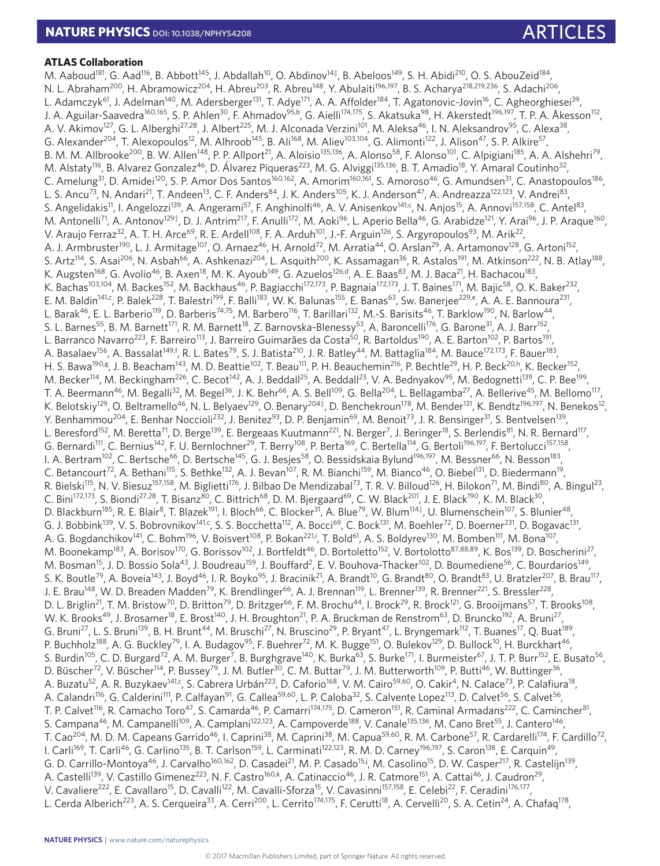### **ATLAS Collaboration**

M. Aaboud<sup>181</sup>, G. Aad<sup>116</sup>, B. Abbott<sup>145</sup>, J. Abdallah<sup>10</sup>, O. Abdinov<sup>14‡</sup>, B. Abeloos<sup>149</sup>, S. H. Abidi<sup>210</sup>, O. S. AbouZeid<sup>184</sup>, N. L. Abraham<sup>200</sup>, H. Abramowicz<sup>204</sup>, H. Abreu<sup>203</sup>, R. Abreu<sup>148</sup>, Y. Abulaiti<sup>196,197</sup>, B. S. Acharya<sup>218,219,236</sup>, S. Adachi<sup>206</sup>, L. Adamczyk<sup>61</sup>, J. Adelman<sup>140</sup>, M. Adersberger<sup>131</sup>, T. Adye<sup>171</sup>, A. A. Affolder<sup>184</sup>, T. Agatonovic-Jovin<sup>16</sup>, C. Agheorghiesei<sup>39</sup>, J. A. Aguilar-Saavedra<sup>160,165</sup>, S. P. Ahlen<sup>30</sup>, F. Ahmadov<sup>95,b</sup>, G. Aielli<sup>174,175</sup>, S. Akatsuka<sup>98</sup>, H. Akerstedt<sup>196,197</sup>, T. P. A. Åkesson<sup>112</sup>, A. V. Akimov<sup>127</sup>, G. L. Alberghi<sup>27,28</sup>, J. Albert<sup>225</sup>, M. J. Alconada Verzini<sup>101</sup>, M. Aleksa<sup>46</sup>, I. N. Aleksandrov<sup>95</sup>, C. Alexa<sup>38</sup>, G. Alexander<sup>204</sup>, T. Alexopoulos<sup>12</sup>, M. Alhroob<sup>145</sup>, B. Ali<sup>168</sup>, M. Aliev<sup>103,104</sup>, G. Alimonti<sup>122</sup>, J. Alison<sup>47</sup>, S. P. Alkire<sup>57</sup>, B. M. M. Allbrooke<sup>200</sup>, B. W. Allen<sup>148</sup>, P. P. Allport<sup>21</sup>, A. Aloisio<sup>135,136</sup>, A. Alonso<sup>58</sup>, F. Alonso<sup>101</sup>, C. Alpigiani<sup>185</sup>, A. A. Alshehri<sup>79</sup>, M. Alstaty<sup>116</sup>, B. Alvarez Gonzalez<sup>46</sup>, D. Álvarez Piqueras<sup>223</sup>, M. G. Alviggi<sup>135,136</sup>, B. T. Amadio<sup>18</sup>, Y. Amaral Coutinho<sup>32</sup>, C. Amelung<sup>31</sup>, D. Amidei<sup>120</sup>, S. P. Amor Dos Santos<sup>160,162</sup>, A. Amorim<sup>160,161</sup>, S. Amoroso<sup>46</sup>, G. Amundsen<sup>31</sup>, C. Anastopoulos<sup>186</sup>, L. S. Ancu<sup>73</sup>, N. Andari<sup>21</sup>, T. Andeen<sup>13</sup>, C. F. Anders<sup>84</sup>, J. K. Anders<sup>105</sup>, K. J. Anderson<sup>47</sup>, A. Andreazza<sup>122,123</sup>, V. Andrei<sup>83</sup>, S. Angelidakis<sup>11</sup>, I. Angelozzi<sup>139</sup>, A. Angerami<sup>57</sup>, F. Anghinolfi<sup>46</sup>, A. V. Anisenkov<sup>141,c</sup>, N. Anjos<sup>15</sup>, A. Annovi<sup>157,158</sup>, C. Antel<sup>83</sup>, M. Antonelli<sup>71</sup>, A. Antonov<sup>129‡</sup>, D. J. Antrim<sup>217</sup>, F. Anulli<sup>172</sup>, M. Aoki<sup>96</sup>, L. Aperio Bella<sup>46</sup>, G. Arabidze<sup>121</sup>, Y. Arai<sup>96</sup>, J. P. Araque<sup>160</sup>, V. Araujo Ferraz<sup>32</sup>, A. T. H. Arce<sup>69</sup>, R. E. Ardell<sup>108</sup>, F. A. Arduh<sup>101</sup>, J.-F. Arguin<sup>126</sup>, S. Argyropoulos<sup>93</sup>, M. Arik<sup>22</sup>, A. J. Armbruster<sup>190</sup>, L. J. Armitage<sup>107</sup>, O. Arnaez<sup>46</sup>, H. Arnold<sup>72</sup>, M. Arratia<sup>44</sup>, O. Arslan<sup>29</sup>, A. Artamonov<sup>128</sup>, G. Artoni<sup>152</sup>, S. Artz<sup>114</sup>, S. Asai<sup>206</sup>, N. Asbah<sup>66</sup>, A. Ashkenazi<sup>204</sup>, L. Asquith<sup>200</sup>, K. Assamagan<sup>36</sup>, R. Astalos<sup>191</sup>, M. Atkinson<sup>222</sup>, N. B. Atlay<sup>188</sup>, K. Augsten<sup>168</sup>, G. Avolio<sup>46</sup>, B. Axen<sup>18</sup>, M. K. Ayoub<sup>149</sup>, G. Azuelos<sup>126,d</sup>, A. E. Baas<sup>83</sup>, M. J. Baca<sup>21</sup>, H. Bachacou<sup>183</sup>, K. Bachas<sup>103,104</sup>, M. Backes<sup>152</sup>, M. Backhaus<sup>46</sup>, P. Bagiacchi<sup>172,173</sup>, P. Bagnaia<sup>172,173</sup>, J. T. Baines<sup>171</sup>, M. Bajic<sup>58</sup>, O. K. Baker<sup>232</sup>, E. M. Baldin<sup>141,c</sup>, P. Balek<sup>228</sup>, T. Balestri<sup>199</sup>, F. Balli<sup>183</sup>, W. K. Balunas<sup>155</sup>, E. Banas<sup>63</sup>, Sw. Banerjee<sup>229,e</sup>, A. A. E. Bannoura<sup>231</sup>, L. Barak<sup>46</sup>, E. L. Barberio<sup>119</sup>, D. Barberis<sup>74,75</sup>, M. Barbero<sup>116</sup>, T. Barillari<sup>132</sup>, M.-S. Barisits<sup>46</sup>, T. Barklow<sup>190</sup>, N. Barlow<sup>44</sup>, S. L. Barnes<sup>55</sup>, B. M. Barnett<sup>171</sup>, R. M. Barnett<sup>18</sup>, Z. Barnovska-Blenessy<sup>53</sup>, A. Baroncelli<sup>176</sup>, G. Barone<sup>31</sup>, A. J. Barr<sup>152</sup>, L. Barranco Navarro<sup>223</sup>, F. Barreiro<sup>113</sup>, J. Barreiro Guimarães da Costa<sup>50</sup>, R. Bartoldus<sup>190</sup>, A. E. Barton<sup>102</sup>, P. Bartos<sup>191</sup>, A. Basalaev<sup>156</sup>, A. Bassalat<sup>149,f</sup>, R. L. Bates<sup>79</sup>, S. J. Batista<sup>210</sup>, J. R. Batley<sup>44</sup>, M. Battaglia<sup>184</sup>, M. Bauce<sup>172,173</sup>, F. Bauer<sup>183</sup>, H. S. Bawa<sup>190,g</sup>, J. B. Beacham<sup>143</sup>, M. D. Beattie<sup>102</sup>, T. Beau<sup>111</sup>, P. H. Beauchemin<sup>216</sup>, P. Bechtle<sup>29</sup>, H. P. Beck<sup>20,h</sup>, K. Becker<sup>152</sup>, M. Becker<sup>114</sup>, M. Beckingham<sup>226</sup>, C. Becot<sup>142</sup>, A. J. Beddall<sup>25</sup>, A. Beddall<sup>23</sup>, V. A. Bednyakov<sup>95</sup>, M. Bedognetti<sup>139</sup>, C. P. Bee<sup>199</sup>, T. A. Beermann<sup>46</sup>, M. Begalli<sup>32</sup>, M. Begel<sup>36</sup>, J. K. Behr<sup>66</sup>, A. S. Bell<sup>109</sup>, G. Bella<sup>204</sup>, L. Bellagamba<sup>27</sup>, A. Bellerive<sup>45</sup>, M. Bellomo<sup>117</sup>, K. Belotskiy<sup>129</sup>, O. Beltramello<sup>46</sup>, N. L. Belyaev<sup>129</sup>, O. Benary<sup>204‡</sup>, D. Benchekroun<sup>178</sup>, M. Bender<sup>131</sup>, K. Bendtz<sup>196,197</sup>, N. Benekos<sup>12</sup>, Y. Benhammou<sup>204</sup>, E. Benhar Noccioli<sup>232</sup>, J. Benitez<sup>93</sup>, D. P. Benjamin<sup>69</sup>, M. Benoit<sup>73</sup>, J. R. Bensinger<sup>31</sup>, S. Bentvelsen<sup>139</sup>, L. Beresford<sup>152</sup>, M. Beretta<sup>71</sup>, D. Berge<sup>139</sup>, E. Bergeaas Kuutmann<sup>221</sup>, N. Berger<sup>7</sup>, J. Beringer<sup>18</sup>, S. Berlendis<sup>81</sup>, N. R. Bernard<sup>117</sup>, G. Bernardi<sup>111</sup>, C. Bernius<sup>142</sup>, F. U. Bernlochner<sup>29</sup>, T. Berry<sup>108</sup>, P. Berta<sup>169</sup>, C. Bertella<sup>114</sup>, G. Bertoli<sup>196,197</sup>, F. Bertolucci<sup>157,158</sup>, l. A. Bertram<sup>102</sup>, C. Bertsche<sup>66</sup>, D. Bertsche<sup>145</sup>, G. J. Besjes<sup>58</sup>, O. Bessidskaia Bylund<sup>196,197</sup>, M. Bessner<sup>66</sup>, N. Besson<sup>183</sup>, C. Betancourt<sup>72</sup>, A. Bethani<sup>115</sup>, S. Bethke<sup>132</sup>, A. J. Bevan<sup>107</sup>, R. M. Bianchi<sup>159</sup>, M. Bianco<sup>46</sup>, O. Biebel<sup>131</sup>, D. Biedermann<sup>19</sup>, R. Bielski<sup>115</sup>, N. V. Biesuz<sup>157,158</sup>, M. Biglietti<sup>176</sup>, J. Bilbao De Mendizabal<sup>73</sup>, T. R. V. Billoud<sup>126</sup>, H. Bilokon<sup>71</sup>, M. Bindi<sup>80</sup>, A. Bingul<sup>23</sup>, C. Bini<sup>172,173</sup>, S. Biondi<sup>27,28</sup>, T. Bisanz<sup>80</sup>, C. Bittrich<sup>68</sup>, D. M. Bjergaard<sup>69</sup>, C. W. Black<sup>201</sup>, J. E. Black<sup>190</sup>, K. M. Black<sup>30</sup>, D. Blackburn<sup>185</sup>, R. E. Blair<sup>8</sup>, T. Blazek<sup>191</sup>, I. Bloch<sup>66</sup>, C. Blocker<sup>31</sup>, A. Blue<sup>79</sup>, W. Blum<sup>114‡</sup>, U. Blumenschein<sup>107</sup>, S. Blunier<sup>48</sup>, G. J. Bobbink<sup>139</sup>, V. S. Bobrovnikov<sup>141,c</sup>, S. S. Bocchetta<sup>112</sup>, A. Bocci<sup>69</sup>, C. Bock<sup>131</sup>, M. Boehler<sup>72</sup>, D. Boerner<sup>231</sup>, D. Bogavac<sup>131</sup>, A. G. Bogdanchikov<sup>141</sup>, C. Bohm<sup>196</sup>, V. Boisvert<sup>108</sup>, P. Bokan<sup>221,i</sup>, T. Bold<sup>61</sup>, A. S. Boldyrev<sup>130</sup>, M. Bomben<sup>111</sup>, M. Bona<sup>107</sup>, M. Boonekamp<sup>183</sup>, A. Borisov<sup>170</sup>, G. Borissov<sup>102</sup>, J. Bortfeldt<sup>46</sup>, D. Bortoletto<sup>152</sup>, V. Bortolotto<sup>87,88,89</sup>, K. Bos<sup>139</sup>, D. Boscherini<sup>27</sup>, M. Bosman<sup>15</sup>, J. D. Bossio Sola<sup>43</sup>, J. Boudreau<sup>159</sup>, J. Bouffard<sup>2</sup>, E. V. Bouhova-Thacker<sup>102</sup>, D. Boumediene<sup>56</sup>, C. Bourdarios<sup>149</sup>, S. K. Boutle<sup>79</sup>, A. Boveia<sup>143</sup>, J. Boyd<sup>46</sup>, I. R. Boyko<sup>95</sup>, J. Bracinik<sup>21</sup>, A. Brandt<sup>10</sup>, G. Brandt<sup>80</sup>, O. Brandt<sup>83</sup>, U. Bratzler<sup>207</sup>, B. Brau<sup>117</sup>, J. E. Brau<sup>148</sup>, W. D. Breaden Madden<sup>79</sup>, K. Brendlinger<sup>66</sup>, A. J. Brennan<sup>119</sup>, L. Brenner<sup>139</sup>, R. Brenner<sup>221</sup>, S. Bressler<sup>228</sup>, D. L. Briglin<sup>21</sup>, T. M. Bristow<sup>70</sup>, D. Britton<sup>79</sup>, D. Britzger<sup>66</sup>, F. M. Brochu<sup>44</sup>, I. Brock<sup>29</sup>, R. Brock<sup>121</sup>, G. Brooijmans<sup>57</sup>, T. Brooks<sup>108</sup>, W. K. Brooks<sup>49</sup>, J. Brosamer<sup>18</sup>, E. Brost<sup>140</sup>, J. H. Broughton<sup>21</sup>, P. A. Bruckman de Renstrom<sup>63</sup>, D. Bruncko<sup>192</sup>, A. Bruni<sup>27</sup>, G. Bruni<sup>27</sup>, L. S. Bruni<sup>139</sup>, B. H. Brunt<sup>44</sup>, M. Bruschi<sup>27</sup>, N. Bruscino<sup>29</sup>, P. Bryant<sup>47</sup>, L. Bryngemark<sup>112</sup>, T. Buanes<sup>17</sup>, Q. Buat<sup>189</sup>, P. Buchholz<sup>188</sup>, A. G. Buckley<sup>79</sup>, I. A. Budagov<sup>95</sup>, F. Buehrer<sup>72</sup>, M. K. Bugge<sup>151</sup>, O. Bulekov<sup>129</sup>, D. Bullock<sup>10</sup>, H. Burckhart<sup>46</sup>, S. Burdin<sup>105</sup>, C. D. Burgard<sup>72</sup>, A. M. Burger<sup>7</sup>, B. Burghgrave<sup>140</sup>, K. Burka<sup>63</sup>, S. Burke<sup>171</sup>, I. Burmeister<sup>67</sup>, J. T. P. Burr<sup>152</sup>, E. Busato<sup>56</sup>, D. Büscher<sup>72</sup>, V. Büscher<sup>114</sup>, P. Bussey<sup>79</sup>, J. M. Butler<sup>30</sup>, C. M. Buttar<sup>79</sup>, J. M. Butterworth<sup>109</sup>, P. Butti<sup>46</sup>, W. Buttinger<sup>36</sup>, A. Buzatu<sup>52</sup>, A. R. Buzykaev<sup>141,c</sup>, S. Cabrera Urbán<sup>223</sup>, D. Caforio<sup>168</sup>, V. M. Cairo<sup>59,60</sup>, O. Cakir<sup>4</sup>, N. Calace<sup>73</sup>, P. Calafiura<sup>18</sup>, A. Calandri<sup>116</sup>, G. Calderini<sup>111</sup>, P. Calfayan<sup>91</sup>, G. Callea<sup>59,60</sup>, L. P. Caloba<sup>32</sup>, S. Calvente Lopez<sup>113</sup>, D. Calvet<sup>56</sup>, S. Calvet<sup>56</sup>, T. P. Calvet<sup>116</sup>, R. Camacho Toro<sup>47</sup>, S. Camarda<sup>46</sup>, P. Camarri<sup>174,175</sup>, D. Cameron<sup>151</sup>, R. Caminal Armadans<sup>222</sup>, C. Camincher<sup>81</sup>, S. Campana<sup>46</sup>, M. Campanelli<sup>109</sup>, A. Camplani<sup>122,123</sup>, A. Campoverde<sup>188</sup>, V. Canale<sup>135,136</sup>, M. Cano Bret<sup>55</sup>, J. Cantero<sup>146</sup>, T. Cao<sup>204</sup>, M. D. M. Capeans Garrido<sup>46</sup>, I. Caprini<sup>38</sup>, M. Caprini<sup>38</sup>, M. Capua<sup>59,60</sup>, R. M. Carbone<sup>57</sup>, R. Cardarelli<sup>174</sup>, F. Cardillo<sup>72</sup>, I. Carli<sup>169</sup>, T. Carli<sup>46</sup>, G. Carlino<sup>135</sup>, B. T. Carlson<sup>159</sup>, L. Carminati<sup>122,123</sup>, R. M. D. Carney<sup>196,197</sup>, S. Caron<sup>138</sup>, E. Carquin<sup>49</sup>, G. D. Carrillo-Montoya<sup>46</sup>, J. Carvalho<sup>160,162</sup>, D. Casadei<sup>21</sup>, M. P. Casado<sup>15,j</sup>, M. Casolino<sup>15</sup>, D. W. Casper<sup>217</sup>, R. Castelijn<sup>139</sup>, A. Castelli<sup>139</sup>, V. Castillo Gimenez<sup>223</sup>, N. F. Castro<sup>160,k</sup>, A. Catinaccio<sup>46</sup>, J. R. Catmore<sup>151</sup>, A. Cattai<sup>46</sup>, J. Caudron<sup>29</sup>, V. Cavaliere<sup>222</sup>, E. Cavallaro<sup>15</sup>, D. Cavalli<sup>122</sup>, M. Cavalli-Sforza<sup>15</sup>, V. Cavasinni<sup>157,158</sup>, E. Celebi<sup>22</sup>, F. Ceradini<sup>176,177</sup>, L. Cerda Alberich<sup>223</sup>, A. S. Cerqueira<sup>33</sup>, A. Cerri<sup>200</sup>, L. Cerrito<sup>174,175</sup>, F. Cerutti<sup>18</sup>, A. Cervelli<sup>20</sup>, S. A. Cetin<sup>24</sup>, A. Chafaq<sup>178</sup>,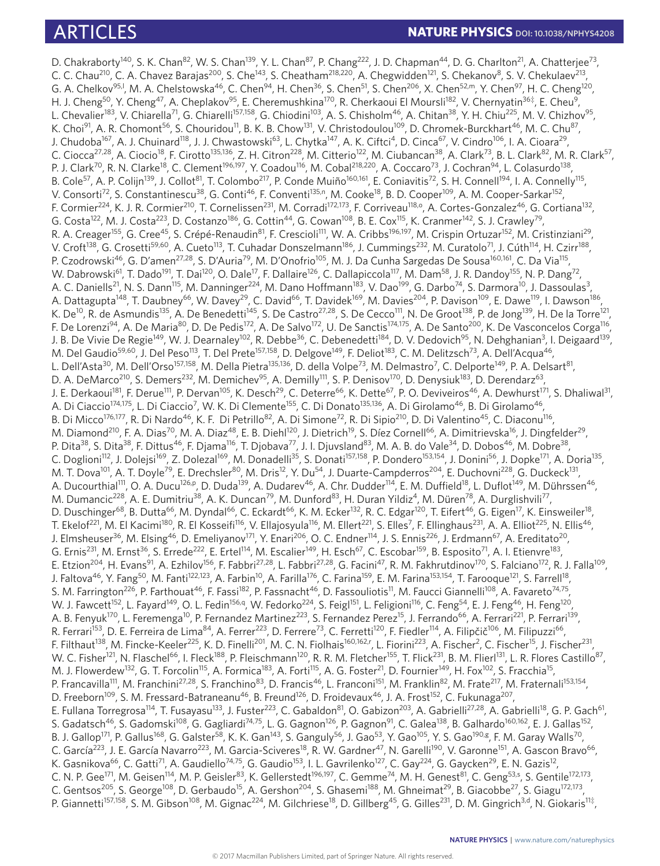D. Chakraborty<sup>140</sup>, S. K. Chan<sup>82</sup>, W. S. Chan<sup>139</sup>, Y. L. Chan<sup>87</sup>, P. Chang<sup>222</sup>, J. D. Chapman<sup>44</sup>, D. G. Charlton<sup>21</sup>, A. Chatterjee<sup>73</sup>, C. C. Chau<sup>210</sup>, C. A. Chavez Barajas<sup>200</sup>, S. Che<sup>143</sup>, S. Cheatham<sup>218,220</sup>, A. Chegwidden<sup>121</sup>, S. Chekanov<sup>8</sup>, S. V. Chekulaev<sup>213</sup>, G. A. Chelkov<sup>95,I</sup>, M. A. Chelstowska<sup>46</sup>, C. Chen<sup>94</sup>, H. Chen<sup>36</sup>, S. Chen<sup>51</sup>, S. Chen<sup>206</sup>, X. Chen<sup>52,m</sup>, Y. Chen<sup>97</sup>, H. C. Cheng<sup>120</sup>, H. J. Cheng<sup>50</sup>, Y. Cheng<sup>47</sup>, A. Cheplakov<sup>95</sup>, E. Cheremushkina<sup>170</sup>, R. Cherkaoui El Moursli<sup>182</sup>, V. Chernyatin<sup>36‡</sup>, E. Cheu<sup>9</sup>, L. Chevalier<sup>183</sup>, V. Chiarella<sup>71</sup>, G. Chiarelli<sup>157,158</sup>, G. Chiodini<sup>103</sup>, A. S. Chisholm<sup>46</sup>, A. Chitan<sup>38</sup>, Y. H. Chiu<sup>225</sup>, M. V. Chizhov<sup>95</sup>, K. Choi<sup>91</sup>, A. R. Chomont<sup>56</sup>, S. Chouridou<sup>11</sup>, B. K. B. Chow<sup>131</sup>, V. Christodoulou<sup>109</sup>, D. Chromek-Burckhart<sup>46</sup>, M. C. Chu<sup>87</sup>, J. Chudoba<sup>167</sup>, A. J. Chuinard<sup>118</sup>, J. J. Chwastowski<sup>63</sup>, L. Chytka<sup>147</sup>, A. K. Ciftci<sup>4</sup>, D. Cinca<sup>67</sup>, V. Cindro<sup>106</sup>, I. A. Cioara<sup>29</sup>, C. Ciocca<sup>27,28</sup>, A. Ciocio<sup>18</sup>, F. Cirotto<sup>135,136</sup>, Z. H. Citron<sup>228</sup>, M. Citterio<sup>122</sup>, M. Ciubancan<sup>38</sup>, A. Clark<sup>73</sup>, B. L. Clark<sup>82</sup>, M. R. Clark<sup>57</sup>, P. J. Clark<sup>70</sup>, R. N. Clarke<sup>18</sup>, C. Clement<sup>196,197</sup>, Y. Coadou<sup>116</sup>, M. Cobal<sup>218,220</sup>, A. Coccaro<sup>73</sup>, J. Cochran<sup>94</sup>, L. Colasurdo<sup>138</sup>, B. Cole<sup>57</sup>, A. P. Colijn<sup>139</sup>, J. Collot<sup>81</sup>, T. Colombo<sup>217</sup>, P. Conde Muiño<sup>160,161</sup>, E. Coniavitis<sup>72</sup>, S. H. Connell<sup>194</sup>, I. A. Connelly<sup>115</sup>, V. Consorti<sup>72</sup>, S. Constantinescu<sup>38</sup>, G. Conti<sup>46</sup>, F. Conventi<sup>135,n</sup>, M. Cooke<sup>18</sup>, B. D. Cooper<sup>109</sup>, A. M. Cooper-Sarkar<sup>152</sup>, F. Cormier<sup>224</sup>, K. J. R. Cormier<sup>210</sup>, T. Cornelissen<sup>231</sup>, M. Corradi<sup>172,173</sup>, F. Corriveau<sup>118,o</sup>, A. Cortes-Gonzalez<sup>46</sup>, G. Cortiana<sup>132</sup>, G. Costa<sup>122</sup>, M. J. Costa<sup>223</sup>, D. Costanzo<sup>186</sup>, G. Cottin<sup>44</sup>, G. Cowan<sup>108</sup>, B. E. Cox<sup>115</sup>, K. Cranmer<sup>142</sup>, S. J. Crawley<sup>79</sup>, R. A. Creager<sup>155</sup>, G. Cree<sup>45</sup>, S. Crépé-Renaudin<sup>81</sup>, F. Crescioli<sup>111</sup>, W. A. Cribbs<sup>196,197</sup>, M. Crispin Ortuzar<sup>152</sup>, M. Cristinziani<sup>29</sup>, V. Croft<sup>138</sup>, G. Crosetti<sup>59,60</sup>, A. Cueto<sup>113</sup>, T. Cuhadar Donszelmann<sup>186</sup>, J. Cummings<sup>232</sup>, M. Curatolo<sup>71</sup>, J. Cúth<sup>114</sup>, H. Czirr<sup>188</sup>, P. Czodrowski<sup>46</sup>, G. D'amen<sup>27,28</sup>, S. D'Auria<sup>79</sup>, M. D'Onofrio<sup>105</sup>, M. J. Da Cunha Sargedas De Sousa<sup>160,161</sup>, C. Da Via<sup>115</sup>, W. Dabrowski<sup>61</sup>, T. Dado<sup>191</sup>, T. Dai<sup>120</sup>, O. Dale<sup>17</sup>, F. Dallaire<sup>126</sup>, C. Dallapiccola<sup>117</sup>, M. Dam<sup>58</sup>, J. R. Dandoy<sup>155</sup>, N. P. Dang<sup>72</sup>, A. C. Daniells<sup>21</sup>, N. S. Dann<sup>115</sup>, M. Danninger<sup>224</sup>, M. Dano Hoffmann<sup>183</sup>, V. Dao<sup>199</sup>, G. Darbo<sup>74</sup>, S. Darmora<sup>10</sup>, J. Dassoulas<sup>3</sup>, A. Dattagupta<sup>148</sup>, T. Daubney<sup>66</sup>, W. Davey<sup>29</sup>, C. David<sup>66</sup>, T. Davidek<sup>169</sup>, M. Davies<sup>204</sup>, P. Davison<sup>109</sup>, E. Dawe<sup>119</sup>, I. Dawson<sup>186</sup>, K. De<sup>10</sup>, R. de Asmundis<sup>135</sup>, A. De Benedetti<sup>145</sup>, S. De Castro<sup>27,28</sup>, S. De Cecco<sup>111</sup>, N. De Groot<sup>138</sup>, P. de Jong<sup>139</sup>, H. De la Torre<sup>121</sup>, F. De Lorenzi<sup>94</sup>, A. De Maria<sup>80</sup>, D. De Pedis<sup>172</sup>, A. De Salvo<sup>172</sup>, U. De Sanctis<sup>174,175</sup>, A. De Santo<sup>200</sup>, K. De Vasconcelos Corga<sup>116</sup>, J. B. De Vivie De Regie<sup>149</sup>, W. J. Dearnaley<sup>102</sup>, R. Debbe<sup>36</sup>, C. Debenedetti<sup>184</sup>, D. V. Dedovich<sup>95</sup>, N. Dehghanian<sup>3</sup>, I. Deigaard<sup>139</sup>, M. Del Gaudio<sup>59,60</sup>, J. Del Peso<sup>113</sup>, T. Del Prete<sup>157,158</sup>, D. Delgove<sup>149</sup>, F. Deliot<sup>183</sup>, C. M. Delitzsch<sup>73</sup>, A. Dell'Acqua<sup>46</sup>, L. Dell'Asta<sup>30</sup>, M. Dell'Orso<sup>157,158</sup>, M. Della Pietra<sup>135,136</sup>, D. della Volpe<sup>73</sup>, M. Delmastro<sup>7</sup>, C. Delporte<sup>149</sup>, P. A. Delsart<sup>81</sup>, D. A. DeMarco<sup>210</sup>, S. Demers<sup>232</sup>, M. Demichev<sup>95</sup>, A. Demilly<sup>111</sup>, S. P. Denisov<sup>170</sup>, D. Denysiuk<sup>183</sup>, D. Derendarz<sup>63</sup>, J. E. Derkaoui<sup>181</sup>, F. Derue<sup>111</sup>, P. Dervan<sup>105</sup>, K. Desch<sup>29</sup>, C. Deterre<sup>66</sup>, K. Dette<sup>67</sup>, P. O. Deviveiros<sup>46</sup>, A. Dewhurst<sup>171</sup>, S. Dhaliwal<sup>31</sup>, A. Di Ciaccio<sup>174,175</sup>, L. Di Ciaccio<sup>7</sup>, W. K. Di Clemente<sup>155</sup>, C. Di Donato<sup>135,136</sup>, A. Di Girolamo<sup>46</sup>, B. Di Girolamo<sup>46</sup>, B. Di Micco<sup>176,177</sup>, R. Di Nardo<sup>46</sup>, K. F. Di Petrillo<sup>82</sup>, A. Di Simone<sup>72</sup>, R. Di Sipio<sup>210</sup>, D. Di Valentino<sup>45</sup>, C. Diaconu<sup>116</sup>, M. Diamond<sup>210</sup>, F. A. Dias<sup>70</sup>, M. A. Diaz<sup>48</sup>, E. B. Diehl<sup>120</sup>, J. Dietrich<sup>19</sup>, S. Díez Cornell<sup>66</sup>, A. Dimitrievska<sup>16</sup>, J. Dingfelder<sup>29</sup>, P. Dita<sup>38</sup>, S. Dita<sup>38</sup>, F. Dittus<sup>46</sup>, F. Djama<sup>116</sup>, T. Djobava<sup>77</sup>, J. I. Djuvsland<sup>83</sup>, M. A. B. do Vale<sup>34</sup>, D. Dobos<sup>46</sup>, M. Dobre<sup>38</sup>, C. Doglioni<sup>112</sup>, J. Dolejsi<sup>169</sup>, Z. Dolezal<sup>169</sup>, M. Donadelli<sup>35</sup>, S. Donati<sup>157,158</sup>, P. Dondero<sup>153,154</sup>, J. Donini<sup>56</sup>, J. Dopke<sup>171</sup>, A. Doria<sup>135</sup>, M. T. Dova<sup>101</sup>, A. T. Doyle<sup>79</sup>, E. Drechsler<sup>80</sup>, M. Dris<sup>12</sup>, Y. Du<sup>54</sup>, J. Duarte-Campderros<sup>204</sup>, E. Duchovni<sup>228</sup>, G. Duckeck<sup>131</sup>, A. Ducourthial<sup>111</sup>, O. A. Ducu<sup>126,p</sup>, D. Duda<sup>139</sup>, A. Dudarev<sup>46</sup>, A. Chr. Dudder<sup>114</sup>, E. M. Duffield<sup>18</sup>, L. Duflot<sup>149</sup>, M. Dührssen<sup>46</sup>, M. Dumancic<sup>228</sup>, A. E. Dumitriu<sup>38</sup>, A. K. Duncan<sup>79</sup>, M. Dunford<sup>83</sup>, H. Duran Yildiz<sup>4</sup>, M. Düren<sup>78</sup>, A. Durglishvili<sup>77</sup>, D. Duschinger<sup>68</sup>, B. Dutta<sup>66</sup>, M. Dyndal<sup>66</sup>, C. Eckardt<sup>66</sup>, K. M. Ecker<sup>132</sup>, R. C. Edgar<sup>120</sup>, T. Eifert<sup>46</sup>, G. Eigen<sup>17</sup>, K. Einsweiler<sup>18</sup>, T. Ekelof<sup>221</sup>, M. El Kacimi<sup>180</sup>, R. El Kosseifi<sup>116</sup>, V. Ellajosyula<sup>116</sup>, M. Ellert<sup>221</sup>, S. Elles<sup>7</sup>, F. Ellinghaus<sup>231</sup>, A. A. Elliot<sup>225</sup>, N. Ellis<sup>46</sup>, J. Elmsheuser<sup>36</sup>, M. Elsing<sup>46</sup>, D. Emeliyanov<sup>171</sup>, Y. Enari<sup>206</sup>, O. C. Endner<sup>114</sup>, J. S. Ennis<sup>226</sup>, J. Erdmann<sup>67</sup>, A. Ereditato<sup>20</sup>, G. Ernis<sup>231</sup>, M. Ernst<sup>36</sup>, S. Errede<sup>222</sup>, E. Ertel<sup>114</sup>, M. Escalier<sup>149</sup>, H. Esch<sup>67</sup>, C. Escobar<sup>159</sup>, B. Esposito<sup>71</sup>, A. I. Etienvre<sup>183</sup>, E. Etzion<sup>204</sup>, H. Evans<sup>91</sup>, A. Ezhilov<sup>156</sup>, F. Fabbri<sup>27,28</sup>, L. Fabbri<sup>27,28</sup>, G. Facini<sup>47</sup>, R. M. Fakhrutdinov<sup>170</sup>, S. Falciano<sup>172</sup>, R. J. Falla<sup>109</sup>, J. Faltova<sup>46</sup>, Y. Fang<sup>50</sup>, M. Fanti<sup>122,123</sup>, A. Farbin<sup>10</sup>, A. Farilla<sup>176</sup>, C. Farina<sup>159</sup>, E. M. Farina<sup>153,154</sup>, T. Farooque<sup>121</sup>, S. Farrell<sup>18</sup>, S. M. Farrington<sup>226</sup>, P. Farthouat<sup>46</sup>, F. Fassi<sup>182</sup>, P. Fassnacht<sup>46</sup>, D. Fassouliotis<sup>11</sup>, M. Faucci Giannelli<sup>108</sup>, A. Favareto<sup>74,75</sup>, W. J. Fawcett<sup>152</sup>, L. Fayard<sup>149</sup>, O. L. Fedin<sup>156,q</sup>, W. Fedorko<sup>224</sup>, S. Feigl<sup>151</sup>, L. Feligioni<sup>116</sup>, C. Feng<sup>54</sup>, E. J. Feng<sup>46</sup>, H. Feng<sup>120</sup>, A. B. Fenyuk<sup>170</sup>, L. Feremenga<sup>10</sup>, P. Fernandez Martinez<sup>223</sup>, S. Fernandez Perez<sup>15</sup>, J. Ferrando<sup>66</sup>, A. Ferrari<sup>221</sup>, P. Ferrari<sup>139</sup>, R. Ferrari<sup>153</sup>, D. E. Ferreira de Lima<sup>84</sup>, A. Ferrer<sup>223</sup>, D. Ferrere<sup>73</sup>, C. Ferretti<sup>120</sup>, F. Fiedler<sup>114</sup>, A. Filipčič<sup>106</sup>, M. Filipuzzi<sup>66</sup>, F. Filthaut<sup>138</sup>, M. Fincke-Keeler<sup>225</sup>, K. D. Finelli<sup>201</sup>, M. C. N. Fiolhais<sup>160,162,</sup>r, L. Fiorini<sup>223</sup>, A. Fischer<sup>2</sup>, C. Fischer<sup>15</sup>, J. Fischer<sup>231</sup>, W. C. Fisher<sup>121</sup>, N. Flaschel<sup>66</sup>, I. Fleck<sup>188</sup>, P. Fleischmann<sup>120</sup>, R. R. M. Fletcher<sup>155</sup>, T. Flick<sup>231</sup>, B. M. Flierl<sup>131</sup>, L. R. Flores Castillo<sup>87</sup>, M. J. Flowerdew<sup>132</sup>, G. T. Forcolin<sup>115</sup>, A. Formica<sup>183</sup>, A. Forti<sup>115</sup>, A. G. Foster<sup>21</sup>, D. Fournier<sup>149</sup>, H. Fox<sup>102</sup>, S. Fracchia<sup>15</sup>, P. Francavilla<sup>111</sup>, M. Franchini<sup>27,28</sup>, S. Franchino<sup>83</sup>, D. Francis<sup>46</sup>, L. Franconi<sup>151</sup>, M. Franklin<sup>82</sup>, M. Frate<sup>217</sup>, M. Fraternali<sup>153,154</sup>, D. Freeborn<sup>109</sup>, S. M. Fressard-Batraneanu<sup>46</sup>, B. Freund<sup>126</sup>, D. Froidevaux<sup>46</sup>, J. A. Frost<sup>152</sup>, C. Fukunaga<sup>207</sup>, E. Fullana Torregrosa<sup>114</sup>, T. Fusayasu<sup>133</sup>, J. Fuster<sup>223</sup>, C. Gabaldon<sup>81</sup>, O. Gabizon<sup>203</sup>, A. Gabrielli<sup>27,28</sup>, A. Gabrielli<sup>18</sup>, G. P. Gach<sup>61</sup>, S. Gadatsch<sup>46</sup>, S. Gadomski<sup>108</sup>, G. Gagliardi<sup>74,75</sup>, L. G. Gagnon<sup>126</sup>, P. Gagnon<sup>91</sup>, C. Galea<sup>138</sup>, B. Galhardo<sup>160,162</sup>, E. J. Gallas<sup>152</sup>, B. J. Gallop<sup>171</sup>, P. Gallus<sup>168</sup>, G. Galster<sup>58</sup>, K. K. Gan<sup>143</sup>, S. Ganguly<sup>56</sup>, J. Gao<sup>53</sup>, Y. Gao<sup>105</sup>, Y. S. Gao<sup>190,g</sup>, F. M. Garay Walls<sup>70</sup>, C. García<sup>223</sup>, J. E. García Navarro<sup>223</sup>, M. Garcia-Sciveres<sup>18</sup>, R. W. Gardner<sup>47</sup>, N. Garelli<sup>190</sup>, V. Garonne<sup>151</sup>, A. Gascon Bravo<sup>66</sup>, K. Gasnikova<sup>66</sup>, C. Gatti<sup>71</sup>, A. Gaudiello<sup>74,75</sup>, G. Gaudio<sup>153</sup>, I. L. Gavrilenko<sup>127</sup>, C. Gay<sup>224</sup>, G. Gaycken<sup>29</sup>, E. N. Gazis<sup>12</sup>, C. N. P. Gee<sup>171</sup>, M. Geisen<sup>114</sup>, M. P. Geisler<sup>83</sup>, K. Gellerstedt<sup>196,197</sup>, C. Gemme<sup>74</sup>, M. H. Genest<sup>81</sup>, C. Geng<sup>53,s</sup>, S. Gentile<sup>172,173</sup>, C. Gentsos<sup>205</sup>, S. George<sup>108</sup>, D. Gerbaudo<sup>15</sup>, A. Gershon<sup>204</sup>, S. Ghasemi<sup>188</sup>, M. Ghneimat<sup>29</sup>, B. Giacobbe<sup>27</sup>, S. Giagu<sup>172,173</sup>, P. Giannetti<sup>157,158</sup>, S. M. Gibson<sup>108</sup>, M. Gignac<sup>224</sup>, M. Gilchriese<sup>18</sup>, D. Gillberg<sup>45</sup>, G. Gilles<sup>231</sup>, D. M. Gingrich<sup>3,d</sup>, N. Giokaris<sup>11‡</sup>,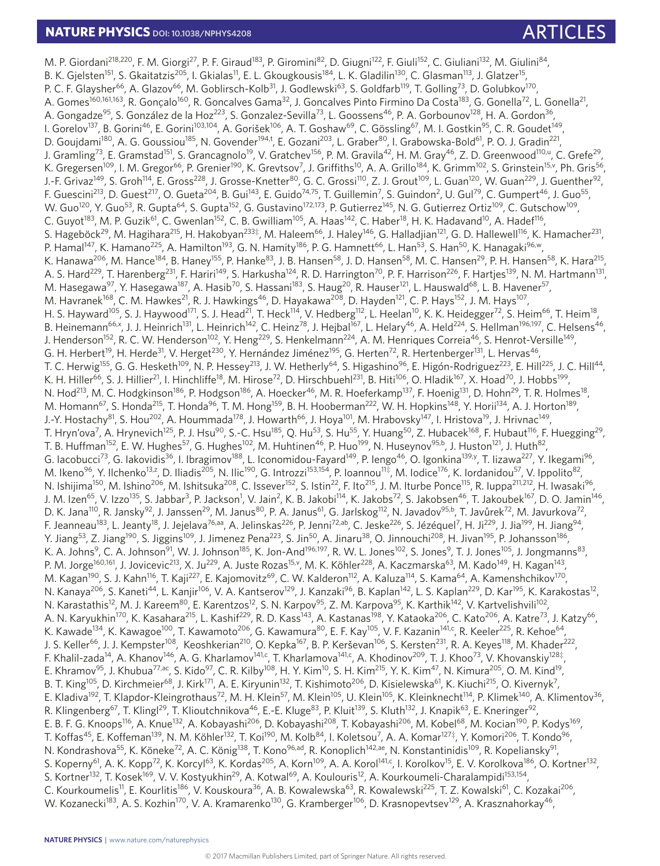M. P. Giordani<sup>218,220</sup>, F. M. Giorgi<sup>27</sup>, P. F. Giraud<sup>183</sup>, P. Giromini<sup>82</sup>, D. Giugni<sup>122</sup>, F. Giuli<sup>152</sup>, C. Giuliani<sup>132</sup>, M. Giulini<sup>84</sup>, B. K. Gjelsten<sup>151</sup>, S. Gkaitatzis<sup>205</sup>, I. Gkialas<sup>11</sup>, E. L. Gkougkousis<sup>184</sup>, L. K. Gladilin<sup>130</sup>, C. Glasman<sup>113</sup>, J. Glatzer<sup>15</sup>, P. C. F. Glaysher<sup>66</sup>, A. Glazov<sup>66</sup>, M. Goblirsch-Kolb<sup>31</sup>, J. Godlewski<sup>63</sup>, S. Goldfarb<sup>119</sup>, T. Golling<sup>73</sup>, D. Golubkov<sup>170</sup>, A. Gomes<sup>160,161,163</sup>, R. Gonçalo<sup>160</sup>, R. Goncalves Gama<sup>32</sup>, J. Goncalves Pinto Firmino Da Costa<sup>183</sup>, G. Gonella<sup>72</sup>, L. Gonella<sup>21</sup>, A. Gongadze<sup>95</sup>, S. González de la Hoz<sup>223</sup>, S. Gonzalez-Sevilla<sup>73</sup>, L. Goossens<sup>46</sup>, P. A. Gorbounov<sup>128</sup>, H. A. Gordon<sup>36</sup>, l. Gorelov<sup>137</sup>, B. Gorini<sup>46</sup>, E. Gorini<sup>103,104</sup>, A. Gorišek<sup>106</sup>, A. T. Goshaw<sup>69</sup>, C. Gössling<sup>67</sup>, M. I. Gostkin<sup>95</sup>, C. R. Goudet<sup>149</sup>, D. Goujdami<sup>180</sup>, A. G. Goussiou<sup>185</sup>, N. Govender<sup>194,t</sup>, E. Gozani<sup>203</sup>, L. Graber<sup>80</sup>, I. Grabowska-Bold<sup>61</sup>, P. O. J. Gradin<sup>221</sup>, J. Gramling<sup>73</sup>, E. Gramstad<sup>151</sup>, S. Grancagnolo<sup>19</sup>, V. Gratchev<sup>156</sup>, P. M. Gravila<sup>42</sup>, H. M. Gray<sup>46</sup>, Z. D. Greenwood<sup>110,u</sup>, C. Grefe<sup>29</sup>, K. Gregersen<sup>109</sup>, I. M. Gregor<sup>66</sup>, P. Grenier<sup>190</sup>, K. Grevtsov<sup>7</sup>, J. Griffiths<sup>10</sup>, A. A. Grillo<sup>184</sup>, K. Grimm<sup>102</sup>, S. Grinstein<sup>15,v</sup>, Ph. Gris<sup>56</sup>, J.-F. Grivaz<sup>149</sup>, S. Groh<sup>114</sup>, E. Gross<sup>228</sup>, J. Grosse-Knetter<sup>80</sup>, G. C. Grossi<sup>110</sup>, Z. J. Grout<sup>109</sup>, L. Guan<sup>120</sup>, W. Guan<sup>229</sup>, J. Guenther<sup>92</sup>, F. Guescini<sup>213</sup>, D. Guest<sup>217</sup>, O. Gueta<sup>204</sup>, B. Gui<sup>143</sup>, E. Guido<sup>74,75</sup>, T. Guillemin<sup>7</sup>, S. Guindon<sup>2</sup>, U. Gul<sup>79</sup>, C. Gumpert<sup>46</sup>, J. Guo<sup>55</sup>, W. Guo<sup>120</sup>, Y. Guo<sup>53</sup>, R. Gupta<sup>64</sup>, S. Gupta<sup>152</sup>, G. Gustavino<sup>172,173</sup>, P. Gutierrez<sup>145</sup>, N. G. Gutierrez Ortiz<sup>109</sup>, C. Gutschow<sup>109</sup>, C. Guyot<sup>183</sup>, M. P. Guzik<sup>61</sup>, C. Gwenlan<sup>152</sup>, C. B. Gwilliam<sup>105</sup>, A. Haas<sup>142</sup>, C. Haber<sup>18</sup>, H. K. Hadavand<sup>10</sup>, A. Hadef<sup>116</sup>, S. Hageböck<sup>29</sup>, M. Hagihara<sup>215</sup>, H. Hakobyan<sup>233‡</sup>, M. Haleem<sup>66</sup>, J. Haley<sup>146</sup>, G. Halladjian<sup>121</sup>, G. D. Hallewell<sup>116</sup>, K. Hamacher<sup>231</sup>, P. Hamal<sup>147</sup>, K. Hamano<sup>225</sup>, A. Hamilton<sup>193</sup>, G. N. Hamity<sup>186</sup>, P. G. Hamnett<sup>66</sup>, L. Han<sup>53</sup>, S. Han<sup>50</sup>, K. Hanagaki<sup>96,w</sup>, K. Hanawa<sup>206</sup>, M. Hance<sup>184</sup>, B. Haney<sup>155</sup>, P. Hanke<sup>83</sup>, J. B. Hansen<sup>58</sup>, J. D. Hansen<sup>58</sup>, M. C. Hansen<sup>29</sup>, P. H. Hansen<sup>58</sup>, K. Hara<sup>215</sup>, A. S. Hard<sup>229</sup>, T. Harenberg<sup>231</sup>, F. Hariri<sup>149</sup>, S. Harkusha<sup>124</sup>, R. D. Harrington<sup>70</sup>, P. F. Harrison<sup>226</sup>, F. Hartjes<sup>139</sup>, N. M. Hartmann<sup>131</sup>, M. Hasegawa<sup>97</sup>, Y. Hasegawa<sup>187</sup>, A. Hasib<sup>70</sup>, S. Hassani<sup>183</sup>, S. Haug<sup>20</sup>, R. Hauser<sup>121</sup>, L. Hauswald<sup>68</sup>, L. B. Havener<sup>57</sup>, M. Havranek<sup>168</sup>, C. M. Hawkes<sup>21</sup>, R. J. Hawkings<sup>46</sup>, D. Hayakawa<sup>208</sup>, D. Hayden<sup>121</sup>, C. P. Hays<sup>152</sup>, J. M. Hays<sup>107</sup>, H. S. Hayward<sup>105</sup>, S. J. Haywood<sup>171</sup>, S. J. Head<sup>21</sup>, T. Heck<sup>114</sup>, V. Hedberg<sup>112</sup>, L. Heelan<sup>10</sup>, K. K. Heidegger<sup>72</sup>, S. Heim<sup>66</sup>, T. Heim<sup>18</sup>, B. Heinemann<sup>66,x</sup>, J. J. Heinrich<sup>131</sup>, L. Heinrich<sup>142</sup>, C. Heinz<sup>78</sup>, J. Hejbal<sup>167</sup>, L. Helary<sup>46</sup>, A. Held<sup>224</sup>, S. Hellman<sup>196,197</sup>, C. Helsens<sup>46</sup>, J. Henderson<sup>152</sup>, R. C. W. Henderson<sup>102</sup>, Y. Heng<sup>229</sup>, S. Henkelmann<sup>224</sup>, A. M. Henriques Correia<sup>46</sup>, S. Henrot-Versille<sup>149</sup>, G. H. Herbert<sup>19</sup>, H. Herde<sup>31</sup>, V. Herget<sup>230</sup>, Y. Hernández Jiménez<sup>195</sup>, G. Herten<sup>72</sup>, R. Hertenberger<sup>131</sup>, L. Hervas<sup>46</sup>, T. C. Herwig<sup>155</sup>, G. G. Hesketh<sup>109</sup>, N. P. Hessey<sup>213</sup>, J. W. Hetherly<sup>64</sup>, S. Higashino<sup>96</sup>, E. Higón-Rodriguez<sup>223</sup>, E. Hill<sup>225</sup>, J. C. Hill<sup>44</sup>, K. H. Hiller<sup>66</sup>, S. J. Hillier<sup>21</sup>, I. Hinchliffe<sup>18</sup>, M. Hirose<sup>72</sup>, D. Hirschbuehl<sup>231</sup>, B. Hiti<sup>106</sup>, O. Hladik<sup>167</sup>, X. Hoad<sup>70</sup>, J. Hobbs<sup>199</sup>, N. Hod<sup>213</sup>, M. C. Hodgkinson<sup>186</sup>, P. Hodgson<sup>186</sup>, A. Hoecker<sup>46</sup>, M. R. Hoeferkamp<sup>137</sup>, F. Hoenig<sup>131</sup>, D. Hohn<sup>29</sup>, T. R. Holmes<sup>18</sup>, M. Homann<sup>67</sup>, S. Honda<sup>215</sup>, T. Honda<sup>96</sup>, T. M. Hong<sup>159</sup>, B. H. Hooberman<sup>222</sup>, W. H. Hopkins<sup>148</sup>, Y. Horii<sup>134</sup>, A. J. Horton<sup>189</sup>, J.-Y. Hostachy<sup>81</sup>, S. Hou<sup>202</sup>, A. Hoummada<sup>178</sup>, J. Howarth<sup>66</sup>, J. Hoya<sup>101</sup>, M. Hrabovsky<sup>147</sup>, I. Hristova<sup>19</sup>, J. Hrivnac<sup>149</sup>, T. Hryn'ova<sup>7</sup>, A. Hrynevich<sup>125</sup>, P. J. Hsu<sup>90</sup>, S.-C. Hsu<sup>185</sup>, Q. Hu<sup>53</sup>, S. Hu<sup>55</sup>, Y. Huang<sup>50</sup>, Z. Hubacek<sup>168</sup>, F. Hubaut<sup>116</sup>, F. Huegging<sup>29</sup>, T. B. Huffman<sup>152</sup>, E. W. Hughes<sup>57</sup>, G. Hughes<sup>102</sup>, M. Huhtinen<sup>46</sup>, P. Huo<sup>199</sup>, N. Huseynov<sup>95,b</sup>, J. Huston<sup>121</sup>, J. Huth<sup>82</sup>, G. Iacobucci<sup>73</sup>, G. Iakovidis<sup>36</sup>, I. Ibragimov<sup>188</sup>, L. Iconomidou-Fayard<sup>149</sup>, P. Iengo<sup>46</sup>, O. Igonkina<sup>139,y</sup>, T. Iizawa<sup>227</sup>, Y. Ikegami<sup>96</sup>, M. Ikeno<sup>96</sup>, Y. Ilchenko<sup>13,z</sup>, D. Iliadis<sup>205</sup>, N. Ilic<sup>190</sup>, G. Introzzi<sup>153,154</sup>, P. Ioannou<sup>11‡</sup>, M. Iodice<sup>176</sup>, K. Iordanidou<sup>57</sup>, V. Ippolito<sup>82</sup>, N. Ishijima<sup>150</sup>, M. Ishino<sup>206</sup>, M. Ishitsuka<sup>208</sup>, C. Issever<sup>152</sup>, S. Istin<sup>22</sup>, F. Ito<sup>215</sup>, J. M. Iturbe Ponce<sup>115</sup>, R. Iuppa<sup>211,212</sup>, H. Iwasaki<sup>96</sup>, J. M. Izen<sup>65</sup>, V. Izzo<sup>135</sup>, S. Jabbar<sup>3</sup>, P. Jackson<sup>1</sup>, V. Jain<sup>2</sup>, K. B. Jakobi<sup>114</sup>, K. Jakobs<sup>72</sup>, S. Jakobsen<sup>46</sup>, T. Jakoubek<sup>167</sup>, D. O. Jamin<sup>146</sup>, D. K. Jana<sup>110</sup>, R. Jansky<sup>92</sup>, J. Janssen<sup>29</sup>, M. Janus<sup>80</sup>, P. A. Janus<sup>61</sup>, G. Jarlskog<sup>112</sup>, N. Javadov<sup>95,b</sup>, T. Javůrek<sup>72</sup>, M. Javurkova<sup>72</sup>, F. Jeanneau<sup>183</sup>, L. Jeanty<sup>18</sup>, J. Jejelava<sup>76,aa</sup>, A. Jelinskas<sup>226</sup>, P. Jenni<sup>72,ab</sup>, C. Jeske<sup>226</sup>, S. Jézéquel<sup>7</sup>, H. Ji<sup>229</sup>, J. Jia<sup>199</sup>, H. Jiang<sup>94</sup>, Y. Jiang<sup>53</sup>, Z. Jiang<sup>190</sup>, S. Jiggins<sup>109</sup>, J. Jimenez Pena<sup>223</sup>, S. Jin<sup>50</sup>, A. Jinaru<sup>38</sup>, O. Jinnouchi<sup>208</sup>, H. Jivan<sup>195</sup>, P. Johansson<sup>186</sup>, K. A. Johns<sup>9</sup>, C. A. Johnson<sup>91</sup>, W. J. Johnson<sup>185</sup>, K. Jon-And<sup>196,197</sup>, R. W. L. Jones<sup>102</sup>, S. Jones<sup>9</sup>, T. J. Jones<sup>105</sup>, J. Jongmanns<sup>83</sup>, P. M. Jorge<sup>160,161</sup>, J. Jovicevic<sup>213</sup>, X. Ju<sup>229</sup>, A. Juste Rozas<sup>15,v</sup>, M. K. Köhler<sup>228</sup>, A. Kaczmarska<sup>63</sup>, M. Kado<sup>149</sup>, H. Kagan<sup>143</sup>, M. Kagan<sup>190</sup>, S. J. Kahn<sup>116</sup>, T. Kaji<sup>227</sup>, E. Kajomovitz<sup>69</sup>, C. W. Kalderon<sup>112</sup>, A. Kaluza<sup>114</sup>, S. Kama<sup>64</sup>, A. Kamenshchikov<sup>170</sup>, N. Kanaya<sup>206</sup>, S. Kaneti<sup>44</sup>, L. Kanjir<sup>106</sup>, V. A. Kantserov<sup>129</sup>, J. Kanzaki<sup>96</sup>, B. Kaplan<sup>142</sup>, L. S. Kaplan<sup>229</sup>, D. Kar<sup>195</sup>, K. Karakostas<sup>12</sup>, N. Karastathis<sup>12</sup>, M. J. Kareem<sup>80</sup>, E. Karentzos<sup>12</sup>, S. N. Karpov<sup>95</sup>, Z. M. Karpova<sup>95</sup>, K. Karthik<sup>142</sup>, V. Kartvelishvili<sup>102</sup>, A. N. Karyukhin<sup>170</sup>, K. Kasahara<sup>215</sup>, L. Kashif<sup>229</sup>, R. D. Kass<sup>143</sup>, A. Kastanas<sup>198</sup>, Y. Kataoka<sup>206</sup>, C. Kato<sup>206</sup>, A. Katre<sup>73</sup>, J. Katzy<sup>66</sup>, K. Kawade<sup>134</sup>, K. Kawagoe<sup>100</sup>, T. Kawamoto<sup>206</sup>, G. Kawamura<sup>80</sup>, E. F. Kay<sup>105</sup>, V. F. Kazanin<sup>141,c</sup>, R. Keeler<sup>225</sup>, R. Kehoe<sup>64</sup>, J. S. Keller<sup>66</sup>, J. J. Kempster<sup>108</sup>, Keoshkerian<sup>210</sup>, O. Kepka<sup>167</sup>, B. P. Kerševan<sup>106</sup>, S. Kersten<sup>231</sup>, R. A. Keyes<sup>118</sup>, M. Khader<sup>222</sup>, F. Khalil-zada<sup>14</sup>, A. Khanov<sup>146</sup>, A. G. Kharlamov<sup>141,c</sup>, T. Kharlamova<sup>141,c</sup>, A. Khodinov<sup>209</sup>, T. J. Khoo<sup>73</sup>, V. Khovanskiy<sup>128‡</sup>, E. Khramov<sup>95</sup>, J. Khubua<sup>77,ac</sup>, S. Kido<sup>97</sup>, C. R. Kilby<sup>108</sup>, H. Y. Kim<sup>10</sup>, S. H. Kim<sup>215</sup>, Y. K. Kim<sup>47</sup>, N. Kimura<sup>205</sup>, O. M. Kind<sup>19</sup>, B. T. King<sup>105</sup>, D. Kirchmeier<sup>68</sup>, J. Kirk<sup>171</sup>, A. E. Kiryunin<sup>132</sup>, T. Kishimoto<sup>206</sup>, D. Kisielewska<sup>61</sup>, K. Kiuchi<sup>215</sup>, O. Kivernyk<sup>7</sup>, E. Kladiva<sup>192</sup>, T. Klapdor-Kleingrothaus<sup>72</sup>, M. H. Klein<sup>57</sup>, M. Klein<sup>105</sup>, U. Klein<sup>105</sup>, K. Kleinknecht<sup>114</sup>, P. Klimek<sup>140</sup>, A. Klimentov<sup>36</sup>, R. Klingenberg<sup>67</sup>, T. Klingl<sup>29</sup>, T. Klioutchnikova<sup>46</sup>, E.-E. Kluge<sup>83</sup>, P. Kluit<sup>139</sup>, S. Kluth<sup>132</sup>, J. Knapik<sup>63</sup>, E. Kneringer<sup>92</sup>, E. B. F. G. Knoops<sup>116</sup>, A. Knue<sup>132</sup>, A. Kobayashi<sup>206</sup>, D. Kobayashi<sup>208</sup>, T. Kobayashi<sup>206</sup>, M. Kobel<sup>68</sup>, M. Kocian<sup>190</sup>, P. Kodys<sup>169</sup>, T. Koffas<sup>45</sup>, E. Koffeman<sup>139</sup>, N. M. Köhler<sup>132</sup>, T. Koi<sup>190</sup>, M. Kolb<sup>84</sup>, I. Koletsou<sup>7</sup>, A. A. Komar<sup>127‡</sup>, Y. Komori<sup>206</sup>, T. Kondo<sup>96</sup>, N. Kondrashova<sup>55</sup>, K. Köneke<sup>72</sup>, A. C. König<sup>138</sup>, T. Kono<sup>96,ad</sup>, R. Konoplich<sup>142,ae</sup>, N. Konstantinidis<sup>109</sup>, R. Kopeliansky<sup>91</sup>, S. Koperny<sup>61</sup>, A. K. Kopp<sup>72</sup>, K. Korcyl<sup>63</sup>, K. Kordas<sup>205</sup>, A. Korn<sup>109</sup>, A. A. Korol<sup>141,c</sup>, I. Korolkov<sup>15</sup>, E. V. Korolkova<sup>186</sup>, O. Kortner<sup>132</sup>, S. Kortner<sup>132</sup>, T. Kosek<sup>169</sup>, V. V. Kostyukhin<sup>29</sup>, A. Kotwal<sup>69</sup>, A. Koulouris<sup>12</sup>, A. Kourkoumeli-Charalampidi<sup>153,154</sup>, C. Kourkoumelis<sup>11</sup>, E. Kourlitis<sup>186</sup>, V. Kouskoura<sup>36</sup>, A. B. Kowalewska<sup>63</sup>, R. Kowalewski<sup>225</sup>, T. Z. Kowalski<sup>61</sup>, C. Kozakai<sup>206</sup>, W. Kozanecki<sup>183</sup>, A. S. Kozhin<sup>170</sup>, V. A. Kramarenko<sup>130</sup>, G. Kramberger<sup>106</sup>, D. Krasnopevtsev<sup>129</sup>, A. Krasznahorkay<sup>46</sup>,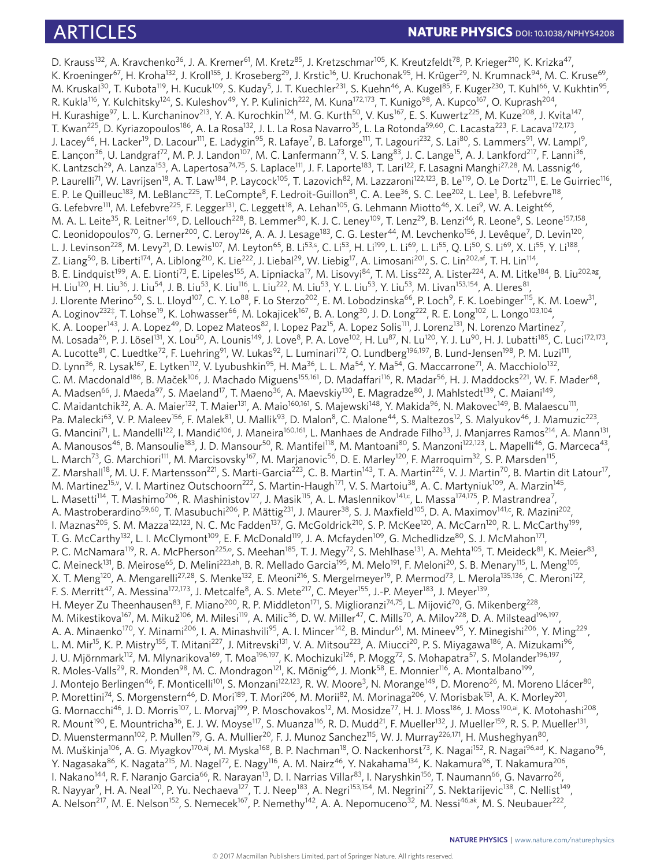D. Krauss<sup>132</sup>, A. Kravchenko<sup>36</sup>, J. A. Kremer<sup>61</sup>, M. Kretz<sup>85</sup>, J. Kretzschmar<sup>105</sup>, K. Kreutzfeldt<sup>78</sup>, P. Krieger<sup>210</sup>, K. Krizka<sup>47</sup>, K. Kroeninger<sup>67</sup>, H. Kroha<sup>132</sup>, J. Kroll<sup>155</sup>, J. Kroseberg<sup>29</sup>, J. Krstic<sup>16</sup>, U. Kruchonak<sup>95</sup>, H. Krüger<sup>29</sup>, N. Krumnack<sup>94</sup>, M. C. Kruse<sup>69</sup>, M. Kruskal<sup>30</sup>, T. Kubota<sup>119</sup>, H. Kucuk<sup>109</sup>, S. Kuday<sup>5</sup>, J. T. Kuechler<sup>231</sup>, S. Kuehn<sup>46</sup>, A. Kugel<sup>85</sup>, F. Kuger<sup>230</sup>, T. Kuhl<sup>66</sup>, V. Kukhtin<sup>95</sup>, R. Kukla<sup>116</sup>, Y. Kulchitsky<sup>124</sup>, S. Kuleshov<sup>49</sup>, Y. P. Kulinich<sup>222</sup>, M. Kuna<sup>172,173</sup>, T. Kunigo<sup>98</sup>, A. Kupco<sup>167</sup>, O. Kuprash<sup>204</sup>, H. Kurashige<sup>97</sup>, L. L. Kurchaninov<sup>213</sup>, Y. A. Kurochkin<sup>124</sup>, M. G. Kurth<sup>50</sup>, V. Kus<sup>167</sup>, E. S. Kuwertz<sup>225</sup>, M. Kuze<sup>208</sup>, J. Kvita<sup>147</sup>, T. Kwan<sup>225</sup>, D. Kyriazopoulos<sup>186</sup>, A. La Rosa<sup>132</sup>, J. L. La Rosa Navarro<sup>35</sup>, L. La Rotonda<sup>59,60</sup>, C. Lacasta<sup>223</sup>, F. Lacava<sup>172,173</sup>, J. Lacey<sup>66</sup>, H. Lacker<sup>19</sup>, D. Lacour<sup>111</sup>, E. Ladygin<sup>95</sup>, R. Lafaye<sup>7</sup>, B. Laforge<sup>111</sup>, T. Lagouri<sup>232</sup>, S. Lai<sup>80</sup>, S. Lammers<sup>91</sup>, W. Lampl<sup>9</sup>, E. Lançon<sup>36</sup>, U. Landgraf<sup>72</sup>, M. P. J. Landon<sup>107</sup>, M. C. Lanfermann<sup>73</sup>, V. S. Lang<sup>83</sup>, J. C. Lange<sup>15</sup>, A. J. Lankford<sup>217</sup>, F. Lanni<sup>36</sup>, K. Lantzsch<sup>29</sup>, A. Lanza<sup>153</sup>, A. Lapertosa<sup>74,75</sup>, S. Laplace<sup>111</sup>, J. F. Laporte<sup>183</sup>, T. Lari<sup>122</sup>, F. Lasagni Manghi<sup>27,28</sup>, M. Lassnig<sup>46</sup>, P. Laurelli<sup>71</sup>, W. Lavrijsen<sup>18</sup>, A. T. Law<sup>184</sup>, P. Laycock<sup>105</sup>, T. Lazovich<sup>82</sup>, M. Lazzaroni<sup>122,123</sup>, B. Le<sup>119</sup>, O. Le Dortz<sup>111</sup>, E. Le Guirriec<sup>116</sup>, E. P. Le Quilleuc<sup>183</sup>, M. LeBlanc<sup>225</sup>, T. LeCompte<sup>8</sup>, F. Ledroit-Guillon<sup>81</sup>, C. A. Lee<sup>36</sup>, S. C. Lee<sup>202</sup>, L. Lee<sup>1</sup>, B. Lefebvre<sup>118</sup>, G. Lefebvre<sup>111</sup>, M. Lefebvre<sup>225</sup>, F. Legger<sup>131</sup>, C. Leggett<sup>18</sup>, A. Lehan<sup>105</sup>, G. Lehmann Miotto<sup>46</sup>, X. Lei<sup>9</sup>, W. A. Leight<sup>66</sup>, M. A. L. Leite<sup>35</sup>, R. Leitner<sup>169</sup>, D. Lellouch<sup>228</sup>, B. Lemmer<sup>80</sup>, K. J. C. Leney<sup>109</sup>, T. Lenz<sup>29</sup>, B. Lenzi<sup>46</sup>, R. Leone<sup>9</sup>, S. Leone<sup>157,158</sup>, C. Leonidopoulos<sup>70</sup>, G. Lerner<sup>200</sup>, C. Leroy<sup>126</sup>, A. A. J. Lesage<sup>183</sup>, C. G. Lester<sup>44</sup>, M. Levchenko<sup>156</sup>, J. Levêque<sup>7</sup>, D. Levin<sup>120</sup>, L. J. Levinson<sup>228</sup>, M. Levy<sup>21</sup>, D. Lewis<sup>107</sup>, M. Leyton<sup>65</sup>, B. Li<sup>53,s</sup>, C. Li<sup>53</sup>, H. Li<sup>199</sup>, L. Li<sup>69</sup>, L. Li<sup>55</sup>, Q. Li<sup>50</sup>, S. Li<sup>69</sup>, X. Li<sup>55</sup>, Y. Li<sup>188</sup>, Z. Liang<sup>50</sup>, B. Liberti<sup>174</sup>, A. Liblong<sup>210</sup>, K. Lie<sup>222</sup>, J. Liebal<sup>29</sup>, W. Liebig<sup>17</sup>, A. Limosani<sup>201</sup>, S. C. Lin<sup>202,af</sup>, T. H. Lin<sup>114</sup>, B. E. Lindquist<sup>199</sup>, A. E. Lionti<sup>73</sup>, E. Lipeles<sup>155</sup>, A. Lipniacka<sup>17</sup>, M. Lisovyi<sup>84</sup>, T. M. Liss<sup>222</sup>, A. Lister<sup>224</sup>, A. M. Litke<sup>184</sup>, B. Liu<sup>202,ag</sup>, H. Liu<sup>120</sup>, H. Liu<sup>36</sup>, J. Liu<sup>54</sup>, J. B. Liu<sup>53</sup>, K. Liu<sup>116</sup>, L. Liu<sup>222</sup>, M. Liu<sup>53</sup>, Y. L. Liu<sup>53</sup>, Y. Liu<sup>53</sup>, M. Livan<sup>153,154</sup>, A. Lleres<sup>81</sup>, J. Llorente Merino<sup>50</sup>, S. L. Lloyd<sup>107</sup>, C. Y. Lo<sup>88</sup>, F. Lo Sterzo<sup>202</sup>, E. M. Lobodzinska<sup>66</sup>, P. Loch<sup>9</sup>, F. K. Loebinger<sup>115</sup>, K. M. Loew<sup>31</sup>, A. Loginov<sup>232‡</sup>, T. Lohse<sup>19</sup>, K. Lohwasser<sup>66</sup>, M. Lokajicek<sup>167</sup>, B. A. Long<sup>30</sup>, J. D. Long<sup>222</sup>, R. E. Long<sup>102</sup>, L. Longo<sup>103,104</sup>, K. A. Looper<sup>143</sup>, J. A. Lopez<sup>49</sup>, D. Lopez Mateos<sup>82</sup>, I. Lopez Paz<sup>15</sup>, A. Lopez Solis<sup>111</sup>, J. Lorenz<sup>131</sup>, N. Lorenzo Martinez<sup>7</sup>, M. Losada<sup>26</sup>, P. J. Lösel<sup>131</sup>, X. Lou<sup>50</sup>, A. Lounis<sup>149</sup>, J. Love<sup>8</sup>, P. A. Love<sup>102</sup>, H. Lu<sup>87</sup>, N. Lu<sup>120</sup>, Y. J. Lu<sup>90</sup>, H. J. Lubatti<sup>185</sup>, C. Luci<sup>172,173</sup>, A. Lucotte<sup>81</sup>, C. Luedtke<sup>72</sup>, F. Luehring<sup>91</sup>, W. Lukas<sup>92</sup>, L. Luminari<sup>172</sup>, O. Lundberg<sup>196,197</sup>, B. Lund-Jensen<sup>198</sup>, P. M. Luzi<sup>111</sup>, D. Lynn<sup>36</sup>, R. Lysak<sup>167</sup>, E. Lytken<sup>112</sup>, V. Lyubushkin<sup>95</sup>, H. Ma<sup>36</sup>, L. L. Ma<sup>54</sup>, Y. Ma<sup>54</sup>, G. Maccarrone<sup>71</sup>, A. Macchiolo<sup>132</sup>, C. M. Macdonald<sup>186</sup>, B. Maček<sup>106</sup>, J. Machado Miguens<sup>155,161</sup>, D. Madaffari<sup>116</sup>, R. Madar<sup>56</sup>, H. J. Maddocks<sup>221</sup>, W. F. Mader<sup>68</sup>, A. Madsen<sup>66</sup>, J. Maeda<sup>97</sup>, S. Maeland<sup>17</sup>, T. Maeno<sup>36</sup>, A. Maevskiy<sup>130</sup>, E. Magradze<sup>80</sup>, J. Mahlstedt<sup>139</sup>, C. Maiani<sup>149</sup>, C. Maidantchik<sup>32</sup>, A. A. Maier<sup>132</sup>, T. Maier<sup>131</sup>, A. Maio<sup>160,161</sup>, S. Majewski<sup>148</sup>, Y. Makida<sup>96</sup>, N. Makovec<sup>149</sup>, B. Malaescu<sup>111</sup>, Pa. Malecki<sup>63</sup>, V. P. Maleev<sup>156</sup>, F. Malek<sup>81</sup>, U. Mallik<sup>93</sup>, D. Malon<sup>8</sup>, C. Malone<sup>44</sup>, S. Maltezos<sup>12</sup>, S. Malyukov<sup>46</sup>, J. Mamuzic<sup>223</sup>, G. Mancini<sup>71</sup>, L. Mandelli<sup>122</sup>, I. Mandić<sup>106</sup>, J. Maneira<sup>160,161</sup>, L. Manhaes de Andrade Filho<sup>33</sup>, J. Manjarres Ramos<sup>214</sup>, A. Mann<sup>131</sup>, A. Manousos<sup>46</sup>, B. Mansoulie<sup>183</sup>, J. D. Mansour<sup>50</sup>, R. Mantifel<sup>118</sup>, M. Mantoani<sup>80</sup>, S. Manzoni<sup>122,123</sup>, L. Mapelli<sup>46</sup>, G. Marceca<sup>43</sup>, L. March<sup>73</sup>, G. Marchiori<sup>111</sup>, M. Marcisovsky<sup>167</sup>, M. Marjanovic<sup>56</sup>, D. E. Marley<sup>120</sup>, F. Marroquim<sup>32</sup>, S. P. Marsden<sup>115</sup>, Z. Marshall<sup>18</sup>, M. U. F. Martensson<sup>221</sup>, S. Marti-Garcia<sup>223</sup>, C. B. Martin<sup>143</sup>, T. A. Martin<sup>226</sup>, V. J. Martin<sup>70</sup>, B. Martin dit Latour<sup>17</sup>, M. Martinez<sup>15,v</sup>, V. I. Martinez Outschoorn<sup>222</sup>, S. Martin-Haugh<sup>171</sup>, V. S. Martoiu<sup>38</sup>, A. C. Martyniuk<sup>109</sup>, A. Marzin<sup>145</sup>, L. Masetti<sup>114</sup>, T. Mashimo<sup>206</sup>, R. Mashinistov<sup>127</sup>, J. Masik<sup>115</sup>, A. L. Maslennikov<sup>141,c</sup>, L. Massa<sup>174,175</sup>, P. Mastrandrea<sup>7</sup>, A. Mastroberardino<sup>59,60</sup>, T. Masubuchi<sup>206</sup>, P. Mättig<sup>231</sup>, J. Maurer<sup>38</sup>, S. J. Maxfield<sup>105</sup>, D. A. Maximov<sup>141,c</sup>, R. Mazini<sup>202</sup>, l. Maznas<sup>205</sup>, S. M. Mazza<sup>122,123</sup>, N. C. Mc Fadden<sup>137</sup>, G. McGoldrick<sup>210</sup>, S. P. McKee<sup>120</sup>, A. McCarn<sup>120</sup>, R. L. McCarthy<sup>199</sup>, T. G. McCarthy<sup>132</sup>, L. I. McClymont<sup>109</sup>, E. F. McDonald<sup>119</sup>, J. A. Mcfayden<sup>109</sup>, G. Mchedlidze<sup>80</sup>, S. J. McMahon<sup>171</sup>, P. C. McNamara<sup>119</sup>, R. A. McPherson<sup>225,o</sup>, S. Meehan<sup>185</sup>, T. J. Megy<sup>72</sup>, S. Mehlhase<sup>131</sup>, A. Mehta<sup>105</sup>, T. Meideck<sup>81</sup>, K. Meier<sup>83</sup>, C. Meineck<sup>131</sup>, B. Meirose<sup>65</sup>, D. Melini<sup>223,ah</sup>, B. R. Mellado Garcia<sup>195</sup>, M. Melo<sup>191</sup>, F. Meloni<sup>20</sup>, S. B. Menary<sup>115</sup>, L. Meng<sup>105</sup>, X. T. Meng<sup>120</sup>, A. Mengarelli<sup>27,28</sup>, S. Menke<sup>132</sup>, E. Meoni<sup>216</sup>, S. Mergelmeyer<sup>19</sup>, P. Mermod<sup>73</sup>, L. Merola<sup>135,136</sup>, C. Meroni<sup>122</sup>, F. S. Merritt<sup>47</sup>, A. Messina<sup>172,173</sup>, J. Metcalfe<sup>8</sup>, A. S. Mete<sup>217</sup>, C. Meyer<sup>155</sup>, J.-P. Meyer<sup>183</sup>, J. Meyer<sup>139</sup>, H. Meyer Zu Theenhausen<sup>83</sup>, F. Miano<sup>200</sup>, R. P. Middleton<sup>171</sup>, S. Miglioranzi<sup>74,75</sup>, L. Mijović<sup>70</sup>, G. Mikenberg<sup>228</sup>, M. Mikestikova<sup>167</sup>, M. Mikuž<sup>106</sup>, M. Milesi<sup>119</sup>, A. Milic<sup>36</sup>, D. W. Miller<sup>47</sup>, C. Mills<sup>70</sup>, A. Milov<sup>228</sup>, D. A. Milstead<sup>196,197</sup>, A. A. Minaenko<sup>170</sup>, Y. Minami<sup>206</sup>, I. A. Minashvili<sup>95</sup>, A. I. Mincer<sup>142</sup>, B. Mindur<sup>61</sup>, M. Mineev<sup>95</sup>, Y. Minegishi<sup>206</sup>, Y. Ming<sup>229</sup>, L. M. Mir<sup>15</sup>, K. P. Mistry<sup>155</sup>, T. Mitani<sup>227</sup>, J. Mitrevski<sup>131</sup>, V. A. Mitsou<sup>223</sup>, A. Miucci<sup>20</sup>, P. S. Miyagawa<sup>186</sup>, A. Mizukami<sup>96</sup>, J. U. Mjörnmark<sup>112</sup>, M. Mlynarikova<sup>169</sup>, T. Moa<sup>196,197</sup>, K. Mochizuki<sup>126</sup>, P. Mogg<sup>72</sup>, S. Mohapatra<sup>57</sup>, S. Molander<sup>196,197</sup>, R. Moles-Valls<sup>29</sup>, R. Monden<sup>98</sup>, M. C. Mondragon<sup>121</sup>, K. Mönig<sup>66</sup>, J. Monk<sup>58</sup>, E. Monnier<sup>116</sup>, A. Montalbano<sup>199</sup>, J. Montejo Berlingen<sup>46</sup>, F. Monticelli<sup>101</sup>, S. Monzani<sup>122,123</sup>, R. W. Moore<sup>3</sup>, N. Morange<sup>149</sup>, D. Moreno<sup>26</sup>, M. Moreno Llácer<sup>80</sup>, P. Morettini<sup>74</sup>, S. Morgenstern<sup>46</sup>, D. Mori<sup>189</sup>, T. Mori<sup>206</sup>, M. Morii<sup>82</sup>, M. Morinaga<sup>206</sup>, V. Morisbak<sup>151</sup>, A. K. Morley<sup>201</sup>, G. Mornacchi<sup>46</sup>, J. D. Morris<sup>107</sup>, L. Morvaj<sup>199</sup>, P. Moschovakos<sup>12</sup>, M. Mosidze<sup>77</sup>, H. J. Moss<sup>186</sup>, J. Moss<sup>190,ai</sup>, K. Motohashi<sup>208</sup>, R. Mount<sup>190</sup>, E. Mountricha<sup>36</sup>, E. J. W. Moyse<sup>117</sup>, S. Muanza<sup>116</sup>, R. D. Mudd<sup>21</sup>, F. Mueller<sup>132</sup>, J. Mueller<sup>159</sup>, R. S. P. Mueller<sup>131</sup>, D. Muenstermann<sup>102</sup>, P. Mullen<sup>79</sup>, G. A. Mullier<sup>20</sup>, F. J. Munoz Sanchez<sup>115</sup>, W. J. Murray<sup>226,171</sup>, H. Musheghyan<sup>80</sup>, M. Muškinja<sup>106</sup>, A. G. Myagkov<sup>170,aj</sup>, M. Myska<sup>168</sup>, B. P. Nachman<sup>18</sup>, O. Nackenhorst<sup>73</sup>, K. Nagai<sup>152</sup>, R. Nagai<sup>96,ad</sup>, K. Nagano<sup>96</sup>, Y. Nagasaka<sup>86</sup>, K. Nagata<sup>215</sup>, M. Nagel<sup>72</sup>, E. Nagy<sup>116</sup>, A. M. Nairz<sup>46</sup>, Y. Nakahama<sup>134</sup>, K. Nakamura<sup>96</sup>, T. Nakamura<sup>206</sup>, l. Nakano<sup>144</sup>, R. F. Naranjo Garcia<sup>66</sup>, R. Narayan<sup>13</sup>, D. I. Narrias Villar<sup>83</sup>, I. Naryshkin<sup>156</sup>, T. Naumann<sup>66</sup>, G. Navarro<sup>26</sup>, R. Nayyar<sup>9</sup>, H. A. Neal<sup>120</sup>, P. Yu. Nechaeva<sup>127</sup>, T. J. Neep<sup>183</sup>, A. Negri<sup>153,154</sup>, M. Negrini<sup>27</sup>, S. Nektarijevic<sup>138</sup>, C. Nellist<sup>149</sup>, A. Nelson<sup>217</sup>, M. E. Nelson<sup>152</sup>, S. Nemecek<sup>167</sup>, P. Nemethy<sup>142</sup>, A. A. Nepomuceno<sup>32</sup>, M. Nessi<sup>46,ak</sup>, M. S. Neubauer<sup>222</sup>,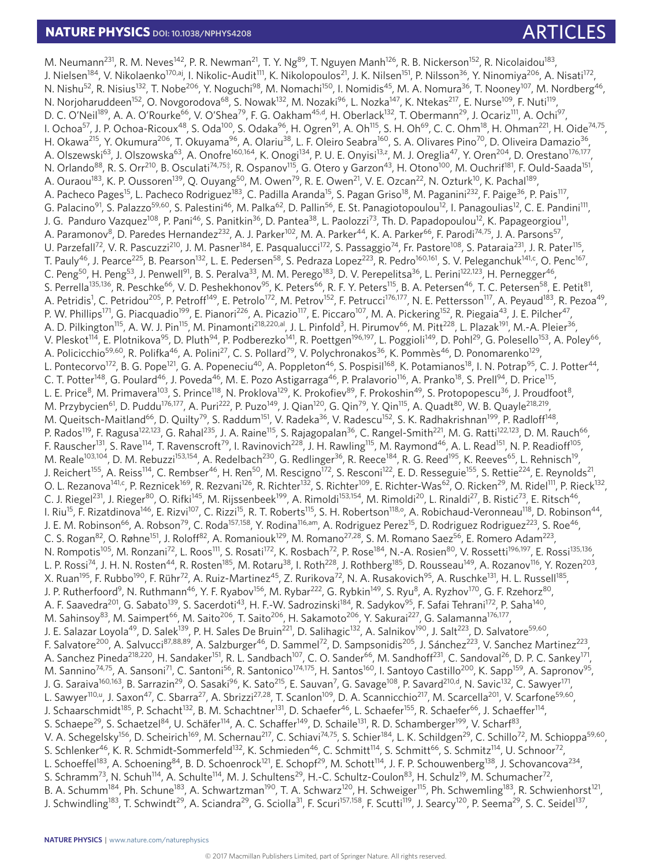M. Neumann<sup>231</sup>, R. M. Neves<sup>142</sup>, P. R. Newman<sup>21</sup>, T. Y. Ng<sup>89</sup>, T. Nguyen Manh<sup>126</sup>, R. B. Nickerson<sup>152</sup>, R. Nicolaidou<sup>183</sup>, J. Nielsen<sup>184</sup>, V. Nikolaenko<sup>170,aj</sup>, I. Nikolic-Audit<sup>111</sup>, K. Nikolopoulos<sup>21</sup>, J. K. Nilsen<sup>151</sup>, P. Nilsson<sup>36</sup>, Y. Ninomiya<sup>206</sup>, A. Nisati<sup>172</sup>, N. Nishu<sup>52</sup>, R. Nisius<sup>132</sup>, T. Nobe<sup>206</sup>, Y. Noguchi<sup>98</sup>, M. Nomachi<sup>150</sup>, I. Nomidis<sup>45</sup>, M. A. Nomura<sup>36</sup>, T. Nooney<sup>107</sup>, M. Nordberg<sup>46</sup>, N. Norjoharuddeen<sup>152</sup>, O. Novgorodova<sup>68</sup>, S. Nowak<sup>132</sup>, M. Nozaki<sup>96</sup>, L. Nozka<sup>147</sup>, K. Ntekas<sup>217</sup>, E. Nurse<sup>109</sup>, F. Nuti<sup>119</sup>, D. C. O'Neil<sup>189</sup>, A. A. O'Rourke<sup>66</sup>, V. O'Shea<sup>79</sup>, F. G. Oakham<sup>45,d</sup>, H. Oberlack<sup>132</sup>, T. Obermann<sup>29</sup>, J. Ocariz<sup>111</sup>, A. Ochi<sup>97</sup>, I. Ochoa<sup>57</sup>, J. P. Ochoa-Ricoux<sup>48</sup>, S. Oda<sup>100</sup>, S. Odaka<sup>96</sup>, H. Ogren<sup>91</sup>, A. Oh<sup>115</sup>, S. H. Oh<sup>69</sup>, C. C. Ohm<sup>18</sup>, H. Ohman<sup>221</sup>, H. Oide<sup>74,75</sup>, H. Okawa<sup>215</sup>, Y. Okumura<sup>206</sup>, T. Okuyama<sup>96</sup>, A. Olariu<sup>38</sup>, L. F. Oleiro Seabra<sup>160</sup>, S. A. Olivares Pino<sup>70</sup>, D. Oliveira Damazio<sup>36</sup>, A. Olszewski<sup>63</sup>, J. Olszowska<sup>63</sup>, A. Onofre<sup>160,164</sup>, K. Onogi<sup>134</sup>, P. U. E. Onyisi<sup>13,z</sup>, M. J. Oreglia<sup>47</sup>, Y. Oren<sup>204</sup>, D. Orestano<sup>176,177</sup>, N. Orlando<sup>88</sup>, R. S. Orr<sup>210</sup>, B. Osculati<sup>74,75‡</sup>, R. Ospanov<sup>115</sup>, G. Otero y Garzon<sup>43</sup>, H. Otono<sup>100</sup>, M. Ouchrif<sup>181</sup>, F. Ould-Saada<sup>151</sup>, A. Ouraou<sup>183</sup>, K. P. Oussoren<sup>139</sup>, Q. Ouyang<sup>50</sup>, M. Owen<sup>79</sup>, R. E. Owen<sup>21</sup>, V. E. Ozcan<sup>22</sup>, N. Ozturk<sup>10</sup>, K. Pachal<sup>189</sup>, A. Pacheco Pages<sup>15</sup>, L. Pacheco Rodriguez<sup>183</sup>, C. Padilla Aranda<sup>15</sup>, S. Pagan Griso<sup>18</sup>, M. Paganini<sup>232</sup>, F. Paige<sup>36</sup>, P. Pais<sup>117</sup>, G. Palacino<sup>91</sup>, S. Palazzo<sup>59,60</sup>, S. Palestini<sup>46</sup>, M. Palka<sup>62</sup>, D. Pallin<sup>56</sup>, E. St. Panagiotopoulou<sup>12</sup>, I. Panagoulias<sup>12</sup>, C. E. Pandini<sup>111</sup>, J. G. Panduro Vazquez<sup>108</sup>, P. Pani<sup>46</sup>, S. Panitkin<sup>36</sup>, D. Pantea<sup>38</sup>, L. Paolozzi<sup>73</sup>, Th. D. Papadopoulou<sup>12</sup>, K. Papageorgiou<sup>11</sup>, A. Paramonov<sup>8</sup>, D. Paredes Hernandez<sup>232</sup>, A. J. Parker<sup>102</sup>, M. A. Parker<sup>44</sup>, K. A. Parker<sup>66</sup>, F. Parodi<sup>74,75</sup>, J. A. Parsons<sup>57</sup>, U. Parzefall<sup>72</sup>, V. R. Pascuzzi<sup>210</sup>, J. M. Pasner<sup>184</sup>, E. Pasqualucci<sup>172</sup>, S. Passaggio<sup>74</sup>, Fr. Pastore<sup>108</sup>, S. Pataraia<sup>231</sup>, J. R. Pater<sup>115</sup>, T. Pauly<sup>46</sup>, J. Pearce<sup>225</sup>, B. Pearson<sup>132</sup>, L. E. Pedersen<sup>58</sup>, S. Pedraza Lopez<sup>223</sup>, R. Pedro<sup>160,161</sup>, S. V. Peleganchuk<sup>141,c</sup>, O. Penc<sup>167</sup>, C. Peng<sup>50</sup>, H. Peng<sup>53</sup>, J. Penwell<sup>91</sup>, B. S. Peralva<sup>33</sup>, M. M. Perego<sup>183</sup>, D. V. Perepelitsa<sup>36</sup>, L. Perini<sup>122,123</sup>, H. Pernegger<sup>46</sup>, S. Perrella<sup>135,136</sup>, R. Peschke<sup>66</sup>, V. D. Peshekhonov<sup>95</sup>, K. Peters<sup>66</sup>, R. F. Y. Peters<sup>115</sup>, B. A. Petersen<sup>46</sup>, T. C. Petersen<sup>58</sup>, E. Petit<sup>81</sup>, A. Petridis<sup>1</sup>, C. Petridou<sup>205</sup>, P. Petroff<sup>149</sup>, E. Petrolo<sup>172</sup>, M. Petrov<sup>152</sup>, F. Petrucci<sup>176,177</sup>, N. E. Pettersson<sup>117</sup>, A. Peyaud<sup>183</sup>, R. Pezoa<sup>49</sup>, P. W. Phillips<sup>171</sup>, G. Piacquadio<sup>199</sup>, E. Pianori<sup>226</sup>, A. Picazio<sup>117</sup>, E. Piccaro<sup>107</sup>, M. A. Pickering<sup>152</sup>, R. Piegaia<sup>43</sup>, J. E. Pilcher<sup>47</sup>, A. D. Pilkington<sup>115</sup>, A. W. J. Pin<sup>115</sup>, M. Pinamonti<sup>218,220,al</sup>, J. L. Pinfold<sup>3</sup>, H. Pirumov<sup>66</sup>, M. Pitt<sup>228</sup>, L. Plazak<sup>191</sup>, M.-A. Pleier<sup>36</sup>, V. Pleskot<sup>114</sup>, E. Plotnikova<sup>95</sup>, D. Pluth<sup>94</sup>, P. Podberezko<sup>141</sup>, R. Poettgen<sup>196,197</sup>, L. Poggioli<sup>149</sup>, D. Pohl<sup>29</sup>, G. Polesello<sup>153</sup>, A. Poley<sup>66</sup>, A. Policicchio<sup>59,60</sup>, R. Polifka<sup>46</sup>, A. Polini<sup>27</sup>, C. S. Pollard<sup>79</sup>, V. Polychronakos<sup>36</sup>, K. Pommès<sup>46</sup>, D. Ponomarenko<sup>129</sup>, L. Pontecorvo<sup>172</sup>, B. G. Pope<sup>121</sup>, G. A. Popeneciu<sup>40</sup>, A. Poppleton<sup>46</sup>, S. Pospisil<sup>168</sup>, K. Potamianos<sup>18</sup>, I. N. Potrap<sup>95</sup>, C. J. Potter<sup>44</sup>, C. T. Potter<sup>148</sup>, G. Poulard<sup>46</sup>, J. Poveda<sup>46</sup>, M. E. Pozo Astigarraga<sup>46</sup>, P. Pralavorio<sup>116</sup>, A. Pranko<sup>18</sup>, S. Prell<sup>94</sup>, D. Price<sup>115</sup>, L. E. Price<sup>8</sup>, M. Primavera<sup>103</sup>, S. Prince<sup>118</sup>, N. Proklova<sup>129</sup>, K. Prokofiev<sup>89</sup>, F. Prokoshin<sup>49</sup>, S. Protopopescu<sup>36</sup>, J. Proudfoot<sup>8</sup>, M. Przybycien<sup>61</sup>, D. Puddu<sup>176,177</sup>, A. Puri<sup>222</sup>, P. Puzo<sup>149</sup>, J. Qian<sup>120</sup>, G. Qin<sup>79</sup>, Y. Qin<sup>115</sup>, A. Quadt<sup>80</sup>, W. B. Quayle<sup>218,219</sup>, M. Queitsch-Maitland<sup>66</sup>, D. Quilty<sup>79</sup>, S. Raddum<sup>151</sup>, V. Radeka<sup>36</sup>, V. Radescu<sup>152</sup>, S. K. Radhakrishnan<sup>199</sup>, P. Radloff<sup>148</sup>, P. Rados<sup>119</sup>, F. Ragusa<sup>122,123</sup>, G. Rahal<sup>235</sup>, J. A. Raine<sup>115</sup>, S. Rajagopalan<sup>36</sup>, C. Rangel-Smith<sup>221</sup>, M. G. Ratti<sup>122,123</sup>, D. M. Rauch<sup>66</sup>, F. Rauscher<sup>131</sup>, S. Rave<sup>114</sup>, T. Ravenscroft<sup>79</sup>, I. Ravinovich<sup>228</sup>, J. H. Rawling<sup>115</sup>, M. Raymond<sup>46</sup>, A. L. Read<sup>151</sup>, N. P. Readioff<sup>105</sup>, M. Reale<sup>103,104</sup>, D. M. Rebuzzi<sup>153,154</sup>, A. Redelbach<sup>230</sup>, G. Redlinger<sup>36</sup>, R. Reece<sup>184</sup>, R. G. Reed<sup>195</sup>, K. Reeves<sup>65</sup>, L. Rehnisch<sup>19</sup>, J. Reichert<sup>155</sup>, A. Reiss<sup>114</sup>, C. Rembser<sup>46</sup>, H. Ren<sup>50</sup>, M. Rescigno<sup>172</sup>, S. Resconi<sup>122</sup>, E. D. Resseguie<sup>155</sup>, S. Rettie<sup>224</sup>, E. Reynolds<sup>21</sup>, O. L. Rezanova<sup>141,c</sup>, P. Reznicek<sup>169</sup>, R. Rezvani<sup>126</sup>, R. Richter<sup>132</sup>, S. Richter<sup>109</sup>, E. Richter-Was<sup>62</sup>, O. Ricken<sup>29</sup>, M. Ridel<sup>111</sup>, P. Rieck<sup>132</sup>, C. J. Riegel<sup>231</sup>, J. Rieger<sup>80</sup>, O. Rifki<sup>145</sup>, M. Rijssenbeek<sup>199</sup>, A. Rimoldi<sup>153,154</sup>, M. Rimoldi<sup>20</sup>, L. Rinaldi<sup>27</sup>, B. Ristić<sup>73</sup>, E. Ritsch<sup>46</sup>, I. Riu<sup>15</sup>, F. Rizatdinova<sup>146</sup>, E. Rizvi<sup>107</sup>, C. Rizzi<sup>15</sup>, R. T. Roberts<sup>115</sup>, S. H. Robertson<sup>118,o</sup>, A. Robichaud-Veronneau<sup>118</sup>, D. Robinson<sup>44</sup>, J. E. M. Robinson<sup>66</sup>, A. Robson<sup>79</sup>, C. Roda<sup>157,158</sup>, Y. Rodina<sup>116,am</sup>, A. Rodriguez Perez<sup>15</sup>, D. Rodriguez Rodriguez<sup>223</sup>, S. Roe<sup>46</sup>, C. S. Rogan<sup>82</sup>, O. Røhne<sup>151</sup>, J. Roloff<sup>82</sup>, A. Romaniouk<sup>129</sup>, M. Romano<sup>27,28</sup>, S. M. Romano Saez<sup>56</sup>, E. Romero Adam<sup>223</sup>, N. Rompotis<sup>105</sup>, M. Ronzani<sup>72</sup>, L. Roos<sup>111</sup>, S. Rosati<sup>172</sup>, K. Rosbach<sup>72</sup>, P. Rose<sup>184</sup>, N.-A. Rosien<sup>80</sup>, V. Rossetti<sup>196,197</sup>, E. Rossi<sup>135,136</sup>, L. P. Rossi<sup>74</sup>, J. H. N. Rosten<sup>44</sup>, R. Rosten<sup>185</sup>, M. Rotaru<sup>38</sup>, I. Roth<sup>228</sup>, J. Rothberg<sup>185</sup>, D. Rousseau<sup>149</sup>, A. Rozanov<sup>116</sup>, Y. Rozen<sup>203</sup>, X. Ruan<sup>195</sup>, F. Rubbo<sup>190</sup>, F. Rühr<sup>72</sup>, A. Ruiz-Martinez<sup>45</sup>, Z. Rurikova<sup>72</sup>, N. A. Rusakovich<sup>95</sup>, A. Ruschke<sup>131</sup>, H. L. Russell<sup>185</sup>, J. P. Rutherfoord<sup>9</sup>, N. Ruthmann<sup>46</sup>, Y. F. Ryabov<sup>156</sup>, M. Rybar<sup>222</sup>, G. Rybkin<sup>149</sup>, S. Ryu<sup>8</sup>, A. Ryzhov<sup>170</sup>, G. F. Rzehorz<sup>80</sup>, A. F. Saavedra<sup>201</sup>, G. Sabato<sup>139</sup>, S. Sacerdoti<sup>43</sup>, H. F.-W. Sadrozinski<sup>184</sup>, R. Sadykov<sup>95</sup>, F. Safai Tehrani<sup>172</sup>, P. Saha<sup>140</sup>, M. Sahinsoy<sup>83</sup>, M. Saimpert<sup>66</sup>, M. Saito<sup>206</sup>, T. Saito<sup>206</sup>, H. Sakamoto<sup>206</sup>, Y. Sakurai<sup>227</sup>, G. Salamanna<sup>176,177</sup>, J. E. Salazar Loyola<sup>49</sup>, D. Salek<sup>139</sup>, P. H. Sales De Bruin<sup>221</sup>, D. Salihagic<sup>132</sup>, A. Salnikov<sup>190</sup>, J. Salt<sup>223</sup>, D. Salvatore<sup>59,60</sup>, F. Salvatore<sup>200</sup>, A. Salvucci<sup>87,88,89</sup>, A. Salzburger<sup>46</sup>, D. Sammel<sup>72</sup>, D. Sampsonidis<sup>205</sup>, J. Sánchez<sup>223</sup>, V. Sanchez Martinez<sup>223</sup>, A. Sanchez Pineda<sup>218,220</sup>, H. Sandaker<sup>151</sup>, R. L. Sandbach<sup>107</sup>, C. O. Sander<sup>66</sup>, M. Sandhoff<sup>231</sup>, C. Sandoval<sup>26</sup>, D. P. C. Sankey<sup>171</sup>, M. Sannino<sup>74,75</sup>, A. Sansoni<sup>71</sup>, C. Santoni<sup>56</sup>, R. Santonico<sup>174,175</sup>, H. Santos<sup>160</sup>, I. Santoyo Castillo<sup>200</sup>, K. Sapp<sup>159</sup>, A. Sapronov<sup>95</sup>, J. G. Saraiva<sup>160,163</sup>, B. Sarrazin<sup>29</sup>, O. Sasaki<sup>96</sup>, K. Sato<sup>215</sup>, E. Sauvan<sup>7</sup>, G. Savage<sup>108</sup>, P. Savard<sup>210,d</sup>, N. Savic<sup>132</sup>, C. Sawyer<sup>171</sup>, L. Sawyer<sup>110,u</sup>, J. Saxon<sup>47</sup>, C. Sbarra<sup>27</sup>, A. Sbrizzi<sup>27,28</sup>, T. Scanlon<sup>109</sup>, D. A. Scannicchio<sup>217</sup>, M. Scarcella<sup>201</sup>, V. Scarfone<sup>59,60</sup>, J. Schaarschmidt<sup>185</sup>, P. Schacht<sup>132</sup>, B. M. Schachtner<sup>131</sup>, D. Schaefer<sup>46</sup>, L. Schaefer<sup>155</sup>, R. Schaefer<sup>66</sup>, J. Schaeffer<sup>114</sup>, S. Schaepe<sup>29</sup>, S. Schaetzel<sup>84</sup>, U. Schäfer<sup>114</sup>, A. C. Schaffer<sup>149</sup>, D. Schaile<sup>131</sup>, R. D. Schamberger<sup>199</sup>, V. Scharf<sup>83</sup>, V. A. Schegelsky<sup>156</sup>, D. Scheirich<sup>169</sup>, M. Schernau<sup>217</sup>, C. Schiavi<sup>74,75</sup>, S. Schier<sup>184</sup>, L. K. Schildgen<sup>29</sup>, C. Schillo<sup>72</sup>, M. Schioppa<sup>59,60</sup>, S. Schlenker<sup>46</sup>, K. R. Schmidt-Sommerfeld<sup>132</sup>, K. Schmieden<sup>46</sup>, C. Schmitt<sup>114</sup>, S. Schmitt<sup>66</sup>, S. Schmitz<sup>114</sup>, U. Schnoor<sup>72</sup>, L. Schoeffel<sup>183</sup>, A. Schoening<sup>84</sup>, B. D. Schoenrock<sup>121</sup>, E. Schopf<sup>29</sup>, M. Schott<sup>114</sup>, J. F. P. Schouwenberg<sup>138</sup>, J. Schovancova<sup>234</sup>, S. Schramm<sup>73</sup>, N. Schuh<sup>114</sup>, A. Schulte<sup>114</sup>, M. J. Schultens<sup>29</sup>, H.-C. Schultz-Coulon<sup>83</sup>, H. Schulz<sup>19</sup>, M. Schumacher<sup>72</sup>, B. A. Schumm<sup>184</sup>, Ph. Schune<sup>183</sup>, A. Schwartzman<sup>190</sup>, T. A. Schwarz<sup>120</sup>, H. Schweiger<sup>115</sup>, Ph. Schwemling<sup>183</sup>, R. Schwienhorst<sup>121</sup>, J. Schwindling<sup>183</sup>, T. Schwindt<sup>29</sup>, A. Sciandra<sup>29</sup>, G. Sciolla<sup>31</sup>, F. Scuri<sup>157,158</sup>, F. Scutti<sup>119</sup>, J. Searcy<sup>120</sup>, P. Seema<sup>29</sup>, S. C. Seidel<sup>137</sup>,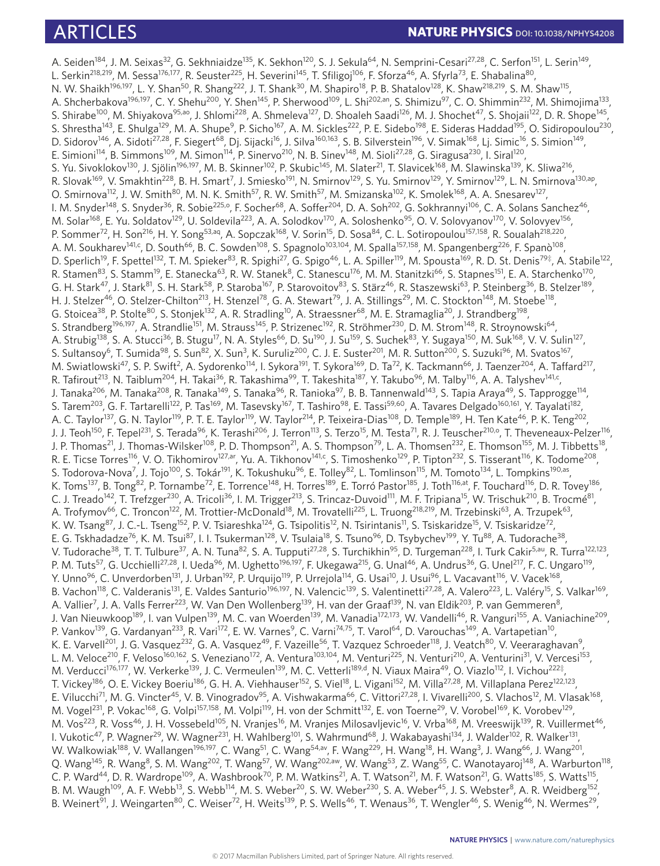A. Seiden<sup>184</sup>, J. M. Seixas<sup>32</sup>, G. Sekhniaidze<sup>135</sup>, K. Sekhon<sup>120</sup>, S. J. Sekula<sup>64</sup>, N. Semprini-Cesari<sup>27,28</sup>, C. Serfon<sup>151</sup>, L. Serin<sup>149</sup>, L. Serkin<sup>218,219</sup>, M. Sessa<sup>176,177</sup>, R. Seuster<sup>225</sup>, H. Severini<sup>145</sup>, T. Sfiligoj<sup>106</sup>, F. Sforza<sup>46</sup>, A. Sfyrla<sup>73</sup>, E. Shabalina<sup>80</sup>, N. W. Shaikh<sup>196,197</sup>, L. Y. Shan<sup>50</sup>, R. Shang<sup>222</sup>, J. T. Shank<sup>30</sup>, M. Shapiro<sup>18</sup>, P. B. Shatalov<sup>128</sup>, K. Shaw<sup>218,219</sup>, S. M. Shaw<sup>115</sup>, A. Shcherbakova<sup>196,197</sup>, C. Y. Shehu<sup>200</sup>, Y. Shen<sup>145</sup>, P. Sherwood<sup>109</sup>, L. Shi<sup>202,an</sup>, S. Shimizu<sup>97</sup>, C. O. Shimmin<sup>232</sup>, M. Shimojima<sup>133</sup>, S. Shirabe<sup>100</sup>, M. Shiyakova<sup>95,ao</sup>, J. Shlomi<sup>228</sup>, A. Shmeleva<sup>127</sup>, D. Shoaleh Saadi<sup>126</sup>, M. J. Shochet<sup>47</sup>, S. Shojaii<sup>122</sup>, D. R. Shope<sup>145</sup>, S. Shrestha<sup>143</sup>, E. Shulga<sup>129</sup>, M. A. Shupe<sup>9</sup>, P. Sicho<sup>167</sup>, A. M. Sickles<sup>222</sup>, P. E. Sidebo<sup>198</sup>, E. Sideras Haddad<sup>195</sup>, O. Sidiropoulou<sup>230</sup>, D. Sidorov<sup>146</sup>, A. Sidoti<sup>27,28</sup>, F. Siegert<sup>68</sup>, Dj. Sijacki<sup>16</sup>, J. Silva<sup>160,163</sup>, S. B. Silverstein<sup>196</sup>, V. Simak<sup>168</sup>, Lj. Simic<sup>16</sup>, S. Simion<sup>149</sup>, E. Simioni<sup>114</sup>, B. Simmons<sup>109</sup>, M. Simon<sup>114</sup>, P. Sinervo<sup>210</sup>, N. B. Sinev<sup>148</sup>, M. Sioli<sup>27,28</sup>, G. Siragusa<sup>230</sup>, I. Siral<sup>120</sup>, S. Yu. Sivoklokov<sup>130</sup>, J. Sjölin<sup>196,197</sup>, M. B. Skinner<sup>102</sup>, P. Skubic<sup>145</sup>, M. Slater<sup>21</sup>, T. Slavicek<sup>168</sup>, M. Slawinska<sup>139</sup>, K. Sliwa<sup>216</sup>, R. Slovak<sup>169</sup>, V. Smakhtin<sup>228</sup>, B. H. Smart<sup>7</sup>, J. Smiesko<sup>191</sup>, N. Smirnov<sup>129</sup>, S. Yu. Smirnov<sup>129</sup>, Y. Smirnov<sup>129</sup>, L. N. Smirnova<sup>130,ap</sup>, O. Smirnova<sup>112</sup>, J. W. Smith<sup>80</sup>, M. N. K. Smith<sup>57</sup>, R. W. Smith<sup>57</sup>, M. Smizanska<sup>102</sup>, K. Smolek<sup>168</sup>, A. A. Snesarev<sup>127</sup>, l. M. Snyder<sup>148</sup>, S. Snyder<sup>36</sup>, R. Sobie<sup>225,o</sup>, F. Socher<sup>68</sup>, A. Soffer<sup>204</sup>, D. A. Soh<sup>202</sup>, G. Sokhrannyi<sup>106</sup>, C. A. Solans Sanchez<sup>46</sup>, M. Solar<sup>168</sup>, E. Yu. Soldatov<sup>129</sup>, U. Soldevila<sup>223</sup>, A. A. Solodkov<sup>170</sup>, A. Soloshenko<sup>95</sup>, O. V. Solovyanov<sup>170</sup>, V. Solovyev<sup>156</sup>, P. Sommer<sup>72</sup>, H. Son<sup>216</sup>, H. Y. Song<sup>53,aq</sup>, A. Sopczak<sup>168</sup>, V. Sorin<sup>15</sup>, D. Sosa<sup>84</sup>, C. L. Sotiropoulou<sup>157,158</sup>, R. Soualah<sup>218,220</sup>, A. M. Soukharev<sup>141,c</sup>, D. South<sup>66</sup>, B. C. Sowden<sup>108</sup>, S. Spagnolo<sup>103,104</sup>, M. Spalla<sup>157,158</sup>, M. Spangenberg<sup>226</sup>, F. Spanò<sup>108</sup>, D. Sperlich<sup>19</sup>, F. Spettel<sup>132</sup>, T. M. Spieker<sup>83</sup>, R. Spighi<sup>27</sup>, G. Spigo<sup>46</sup>, L. A. Spiller<sup>119</sup>, M. Spousta<sup>169</sup>, R. D. St. Denis<sup>79‡</sup>, A. Stabile<sup>122</sup>, R. Stamen<sup>83</sup>, S. Stamm<sup>19</sup>, E. Stanecka<sup>63</sup>, R. W. Stanek<sup>8</sup>, C. Stanescu<sup>176</sup>, M. M. Stanitzki<sup>66</sup>, S. Stapnes<sup>151</sup>, E. A. Starchenko<sup>170</sup>, G. H. Stark<sup>47</sup>, J. Stark<sup>81</sup>, S. H. Stark<sup>58</sup>, P. Staroba<sup>167</sup>, P. Starovoitov<sup>83</sup>, S. Stärz<sup>46</sup>, R. Staszewski<sup>63</sup>, P. Steinberg<sup>36</sup>, B. Stelzer<sup>189</sup>, H. J. Stelzer<sup>46</sup>, O. Stelzer-Chilton<sup>213</sup>, H. Stenzel<sup>78</sup>, G. A. Stewart<sup>79</sup>, J. A. Stillings<sup>29</sup>, M. C. Stockton<sup>148</sup>, M. Stoebe<sup>118</sup>, G. Stoicea<sup>38</sup>, P. Stolte<sup>80</sup>, S. Stonjek<sup>132</sup>, A. R. Stradling<sup>10</sup>, A. Straessner<sup>68</sup>, M. E. Stramaglia<sup>20</sup>, J. Strandberg<sup>198</sup>, S. Strandberg<sup>196,197</sup>, A. Strandlie<sup>151</sup>, M. Strauss<sup>145</sup>, P. Strizenec<sup>192</sup>, R. Ströhmer<sup>230</sup>, D. M. Strom<sup>148</sup>, R. Stroynowski<sup>64</sup>, A. Strubig<sup>138</sup>, S. A. Stucci<sup>36</sup>, B. Stugu<sup>17</sup>, N. A. Styles<sup>66</sup>, D. Su<sup>190</sup>, J. Su<sup>159</sup>, S. Suchek<sup>83</sup>, Y. Sugaya<sup>150</sup>, M. Suk<sup>168</sup>, V. V. Sulin<sup>127</sup>, S. Sultansoy<sup>6</sup>, T. Sumida<sup>98</sup>, S. Sun<sup>82</sup>, X. Sun<sup>3</sup>, K. Suruliz<sup>200</sup>, C. J. E. Suster<sup>201</sup>, M. R. Sutton<sup>200</sup>, S. Suzuki<sup>96</sup>, M. Svatos<sup>167</sup>, M. Swiatlowski<sup>47</sup>, S. P. Swift<sup>2</sup>, A. Sydorenko<sup>114</sup>, I. Sykora<sup>191</sup>, T. Sykora<sup>169</sup>, D. Ta<sup>72</sup>, K. Tackmann<sup>66</sup>, J. Taenzer<sup>204</sup>, A. Taffard<sup>217</sup>, R. Tafirout<sup>213</sup>, N. Taiblum<sup>204</sup>, H. Takai<sup>36</sup>, R. Takashima<sup>99</sup>, T. Takeshita<sup>187</sup>, Y. Takubo<sup>96</sup>, M. Talby<sup>116</sup>, A. A. Talyshev<sup>141,c</sup>, J. Tanaka<sup>206</sup>, M. Tanaka<sup>208</sup>, R. Tanaka<sup>149</sup>, S. Tanaka<sup>96</sup>, R. Tanioka<sup>97</sup>, B. B. Tannenwald<sup>143</sup>, S. Tapia Araya<sup>49</sup>, S. Tapprogge<sup>114</sup>, S. Tarem<sup>203</sup>, G. F. Tartarelli<sup>122</sup>, P. Tas<sup>169</sup>, M. Tasevsky<sup>167</sup>, T. Tashiro<sup>98</sup>, E. Tassi<sup>59,60</sup>, A. Tavares Delgado<sup>160,161</sup>, Y. Tayalati<sup>182</sup>, A. C. Taylor<sup>137</sup>, G. N. Taylor<sup>119</sup>, P. T. E. Taylor<sup>119</sup>, W. Taylor<sup>214</sup>, P. Teixeira-Dias<sup>108</sup>, D. Temple<sup>189</sup>, H. Ten Kate<sup>46</sup>, P. K. Teng<sup>202</sup>, J. J. Teoh<sup>150</sup>, F. Tepel<sup>231</sup>, S. Terada<sup>96</sup>, K. Terashi<sup>206</sup>, J. Terron<sup>113</sup>, S. Terzo<sup>15</sup>, M. Testa<sup>71</sup>, R. J. Teuscher<sup>210,o</sup>, T. Theveneaux-Pelzer<sup>116</sup>, J. P. Thomas<sup>21</sup>, J. Thomas-Wilsker<sup>108</sup>, P. D. Thompson<sup>21</sup>, A. S. Thompson<sup>79</sup>, L. A. Thomsen<sup>232</sup>, E. Thomson<sup>155</sup>, M. J. Tibbetts<sup>18</sup>, R. E. Ticse Torres<sup>116</sup>, V. O. Tikhomirov<sup>127,ar</sup>, Yu. A. Tikhonov<sup>141,c</sup>, S. Timoshenko<sup>129</sup>, P. Tipton<sup>232</sup>, S. Tisserant<sup>116</sup>, K. Todome<sup>208</sup>, S. Todorova-Nova<sup>7</sup>, J. Tojo<sup>100</sup>, S. Tokár<sup>191</sup>, K. Tokushuku<sup>96</sup>, E. Tolley<sup>82</sup>, L. Tomlinson<sup>115</sup>, M. Tomoto<sup>134</sup>, L. Tompkins<sup>190,as</sup>, K. Toms<sup>137</sup>, B. Tong<sup>82</sup>, P. Tornambe<sup>72</sup>, E. Torrence<sup>148</sup>, H. Torres<sup>189</sup>, E. Torró Pastor<sup>185</sup>, J. Toth<sup>116,at</sup>, F. Touchard<sup>116</sup>, D. R. Tovey<sup>186</sup>, C. J. Treado<sup>142</sup>, T. Trefzger<sup>230</sup>, A. Tricoli<sup>36</sup>, I. M. Trigger<sup>213</sup>, S. Trincaz-Duvoid<sup>111</sup>, M. F. Tripiana<sup>15</sup>, W. Trischuk<sup>210</sup>, B. Trocmé<sup>81</sup>, A. Trofymov<sup>66</sup>, C. Troncon<sup>122</sup>, M. Trottier-McDonald<sup>18</sup>, M. Trovatelli<sup>225</sup>, L. Truong<sup>218,219</sup>, M. Trzebinski<sup>63</sup>, A. Trzupek<sup>63</sup>, K. W. Tsang<sup>87</sup>, J. C.-L. Tseng<sup>152</sup>, P. V. Tsiareshka<sup>124</sup>, G. Tsipolitis<sup>12</sup>, N. Tsirintanis<sup>11</sup>, S. Tsiskaridze<sup>15</sup>, V. Tsiskaridze<sup>72</sup>, E. G. Tskhadadze<sup>76</sup>, K. M. Tsui<sup>87</sup>, I. I. Tsukerman<sup>128</sup>, V. Tsulaia<sup>18</sup>, S. Tsuno<sup>96</sup>, D. Tsybychev<sup>199</sup>, Y. Tu<sup>88</sup>, A. Tudorache<sup>38</sup>, V. Tudorache<sup>38</sup>, T. T. Tulbure<sup>37</sup>, A. N. Tuna<sup>82</sup>, S. A. Tupputi<sup>27,28</sup>, S. Turchikhin<sup>95</sup>, D. Turgeman<sup>228</sup>, I. Turk Cakir<sup>5,au</sup>, R. Turra<sup>122,123</sup>, P. M. Tuts<sup>57</sup>, G. Ucchielli<sup>27,28</sup>, I. Ueda<sup>96</sup>, M. Ughetto<sup>196,197</sup>, F. Ukegawa<sup>215</sup>, G. Unal<sup>46</sup>, A. Undrus<sup>36</sup>, G. Unel<sup>217</sup>, F. C. Ungaro<sup>119</sup>, Y. Unno<sup>96</sup>, C. Unverdorben<sup>131</sup>, J. Urban<sup>192</sup>, P. Urquijo<sup>119</sup>, P. Urrejola<sup>114</sup>, G. Usai<sup>10</sup>, J. Usui<sup>96</sup>, L. Vacavant<sup>116</sup>, V. Vacek<sup>168</sup>, B. Vachon<sup>118</sup>, C. Valderanis<sup>131</sup>, E. Valdes Santurio<sup>196,197</sup>, N. Valencic<sup>139</sup>, S. Valentinetti<sup>27,28</sup>, A. Valero<sup>223</sup>, L. Valéry<sup>15</sup>, S. Valkar<sup>169</sup>, A. Vallier<sup>7</sup>, J. A. Valls Ferrer<sup>223</sup>, W. Van Den Wollenberg<sup>139</sup>, H. van der Graaf<sup>139</sup>, N. van Eldik<sup>203</sup>, P. van Gemmeren<sup>8</sup>, J. Van Nieuwkoop<sup>189</sup>, I. van Vulpen<sup>139</sup>, M. C. van Woerden<sup>139</sup>, M. Vanadia<sup>172,173</sup>, W. Vandelli<sup>46</sup>, R. Vanguri<sup>155</sup>, A. Vaniachine<sup>209</sup>, P. Vankov<sup>139</sup>, G. Vardanyan<sup>233</sup>, R. Vari<sup>172</sup>, E. W. Varnes<sup>9</sup>, C. Varni<sup>74,75</sup>, T. Varol<sup>64</sup>, D. Varouchas<sup>149</sup>, A. Vartapetian<sup>10</sup>, K. E. Varvell<sup>201</sup>, J. G. Vasquez<sup>232</sup>, G. A. Vasquez<sup>49</sup>, F. Vazeille<sup>56</sup>, T. Vazquez Schroeder<sup>118</sup>, J. Veatch<sup>80</sup>, V. Veeraraghavan<sup>9</sup>, L. M. Veloce<sup>210</sup>, F. Veloso<sup>160,162</sup>, S. Veneziano<sup>172</sup>, A. Ventura<sup>103,104</sup>, M. Venturi<sup>225</sup>, N. Venturi<sup>210</sup>, A. Venturini<sup>31</sup>, V. Vercesi<sup>153</sup>, M. Verducci<sup>176,177</sup>, W. Verkerke<sup>139</sup>, J. C. Vermeulen<sup>139</sup>, M. C. Vetterli<sup>189,d</sup>, N. Viaux Maira<sup>49</sup>, O. Viazlo<sup>112</sup>, I. Vichou<sup>222‡</sup>, T. Vickey<sup>186</sup>, O. E. Vickey Boeriu<sup>186</sup>, G. H. A. Viehhauser<sup>152</sup>, S. Viel<sup>18</sup>, L. Vigani<sup>152</sup>, M. Villa<sup>27,28</sup>, M. Villaplana Perez<sup>122,123</sup>, E. Vilucchi<sup>71</sup>, M. G. Vincter<sup>45</sup>, V. B. Vinogradov<sup>95</sup>, A. Vishwakarma<sup>66</sup>, C. Vittori<sup>27,28</sup>, I. Vivarelli<sup>200</sup>, S. Vlachos<sup>12</sup>, M. Vlasak<sup>168</sup>, M. Vogel<sup>231</sup>, P. Vokac<sup>168</sup>, G. Volpi<sup>157,158</sup>, M. Volpi<sup>119</sup>, H. von der Schmitt<sup>132</sup>, E. von Toerne<sup>29</sup>, V. Vorobel<sup>169</sup>, K. Vorobev<sup>129</sup>, M. Vos<sup>223</sup>, R. Voss<sup>46</sup>, J. H. Vossebeld<sup>105</sup>, N. Vranjes<sup>16</sup>, M. Vranjes Milosavljevic<sup>16</sup>, V. Vrba<sup>168</sup>, M. Vreeswijk<sup>139</sup>, R. Vuillermet<sup>46</sup>, I. Vukotic<sup>47</sup>, P. Wagner<sup>29</sup>, W. Wagner<sup>231</sup>, H. Wahlberg<sup>101</sup>, S. Wahrmund<sup>68</sup>, J. Wakabayashi<sup>134</sup>, J. Walder<sup>102</sup>, R. Walker<sup>131</sup>, W. Walkowiak<sup>188</sup>, V. Wallangen<sup>196,197</sup>, C. Wang<sup>51</sup>, C. Wang<sup>54,av</sup>, F. Wang<sup>229</sup>, H. Wang<sup>18</sup>, H. Wang<sup>3</sup>, J. Wang<sup>66</sup>, J. Wang<sup>201</sup>, Q. Wang<sup>145</sup>, R. Wang<sup>8</sup>, S. M. Wang<sup>202</sup>, T. Wang<sup>57</sup>, W. Wang<sup>202,aw</sup>, W. Wang<sup>53</sup>, Z. Wang<sup>55</sup>, C. Wanotayaroj<sup>148</sup>, A. Warburton<sup>118</sup>, C. P. Ward<sup>44</sup>, D. R. Wardrope<sup>109</sup>, A. Washbrook<sup>70</sup>, P. M. Watkins<sup>21</sup>, A. T. Watson<sup>21</sup>, M. F. Watson<sup>21</sup>, G. Watts<sup>185</sup>, S. Watts<sup>115</sup>, B. M. Waugh<sup>109</sup>, A. F. Webb<sup>13</sup>, S. Webb<sup>114</sup>, M. S. Weber<sup>20</sup>, S. W. Weber<sup>230</sup>, S. A. Weber<sup>45</sup>, J. S. Webster<sup>8</sup>, A. R. Weidberg<sup>152</sup>, B. Weinert<sup>91</sup>, J. Weingarten<sup>80</sup>, C. Weiser<sup>72</sup>, H. Weits<sup>139</sup>, P. S. Wells<sup>46</sup>, T. Wenaus<sup>36</sup>, T. Wengler<sup>46</sup>, S. Wenig<sup>46</sup>, N. Wermes<sup>29</sup>,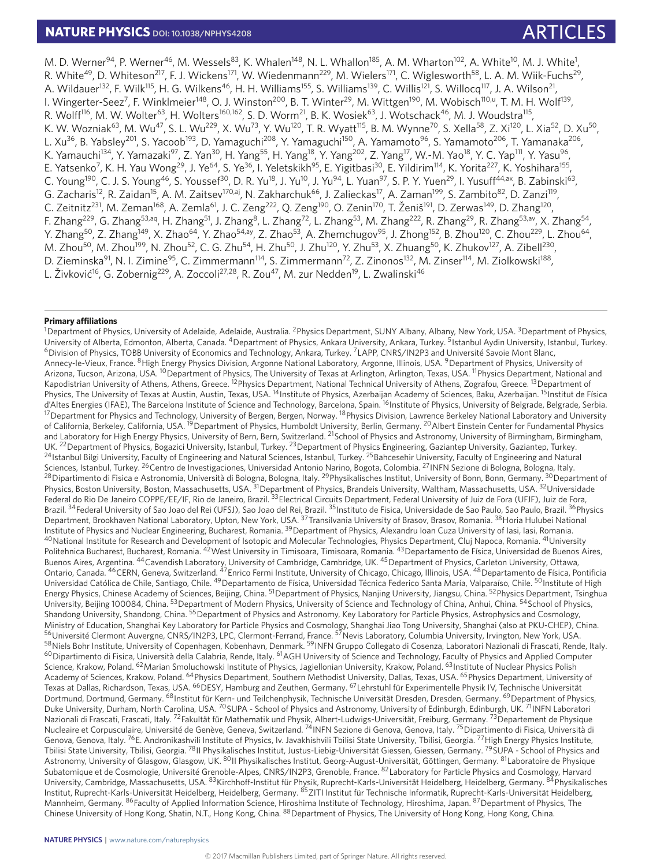M. D. Werner<sup>94</sup>, P. Werner<sup>46</sup>, M. Wessels<sup>83</sup>, K. Whalen<sup>148</sup>, N. L. Whallon<sup>185</sup>, A. M. Wharton<sup>102</sup>, A. White<sup>10</sup>, M. J. White<sup>1</sup>, R. White<sup>49</sup>, D. Whiteson<sup>217</sup>, F. J. Wickens<sup>171</sup>, W. Wiedenmann<sup>229</sup>, M. Wielers<sup>171</sup>, C. Wiglesworth<sup>58</sup>, L. A. M. Wiik-Fuchs<sup>29</sup>, A. Wildauer<sup>132</sup>, F. Wilk<sup>115</sup>, H. G. Wilkens<sup>46</sup>, H. H. Williams<sup>155</sup>, S. Williams<sup>139</sup>, C. Willis<sup>121</sup>, S. Willocq<sup>117</sup>, J. A. Wilson<sup>21</sup>, l. Wingerter-Seez<sup>7</sup>, F. Winklmeier<sup>148</sup>, O. J. Winston<sup>200</sup>, B. T. Winter<sup>29</sup>, M. Wittgen<sup>190</sup>, M. Wobisch<sup>110,u</sup>, T. M. H. Wolf<sup>139</sup>, R. Wolff<sup>116</sup>, M. W. Wolter<sup>63</sup>, H. Wolters<sup>160,162</sup>, S. D. Worm<sup>21</sup>, B. K. Wosiek<sup>63</sup>, J. Wotschack<sup>46</sup>, M. J. Woudstra<sup>115</sup>, K. W. Wozniak<sup>63</sup>, M. Wu<sup>47</sup>, S. L. Wu<sup>229</sup>, X. Wu<sup>73</sup>, Y. Wu<sup>120</sup>, T. R. Wyatt<sup>115</sup>, B. M. Wynne<sup>70</sup>, S. Xella<sup>58</sup>, Z. Xi<sup>120</sup>, L. Xia<sup>52</sup>, D. Xu<sup>50</sup>, L. Xu<sup>36</sup>, B. Yabsley<sup>201</sup>, S. Yacoob<sup>193</sup>, D. Yamaguchi<sup>208</sup>, Y. Yamaguchi<sup>150</sup>, A. Yamamoto<sup>96</sup>, S. Yamamoto<sup>206</sup>, T. Yamanaka<sup>206</sup>, K. Yamauchi<sup>134</sup>, Y. Yamazaki<sup>97</sup>, Z. Yan<sup>30</sup>, H. Yang<sup>55</sup>, H. Yang<sup>18</sup>, Y. Yang<sup>202</sup>, Z. Yang<sup>17</sup>, W.-M. Yao<sup>18</sup>, Y. C. Yap<sup>11</sup>, Y. Yasu<sup>96</sup>, E. Yatsenko<sup>7</sup>, K. H. Yau Wong<sup>29</sup>, J. Ye<sup>64</sup>, S. Ye<sup>36</sup>, I. Yeletskikh<sup>95</sup>, E. Yigitbasi<sup>30</sup>, E. Yildirim<sup>114</sup>, K. Yorita<sup>227</sup>, K. Yoshihara<sup>155</sup>, C. Young<sup>190</sup>, C. J. S. Young<sup>46</sup>, S. Youssef<sup>30</sup>, D. R. Yu<sup>18</sup>, J. Yu<sup>10</sup>, J. Yu<sup>94</sup>, L. Yuan<sup>97</sup>, S. P. Y. Yuen<sup>29</sup>, I. Yusuff<sup>44,ax</sup>, B. Zabinski<sup>63</sup>, G. Zacharis<sup>12</sup>, R. Zaidan<sup>15</sup>, A. M. Zaitsev<sup>170,aj</sup>, N. Zakharchuk<sup>66</sup>, J. Zalieckas<sup>17</sup>, A. Zaman<sup>199</sup>, S. Zambito<sup>82</sup>, D. Zanzi<sup>119</sup>, C. Zeitnitz<sup>231</sup>, M. Zeman<sup>168</sup>, A. Zemla<sup>61</sup>, J. C. Zeng<sup>222</sup>, Q. Zeng<sup>190</sup>, O. Zenin<sup>170</sup>, T. Ženiš<sup>191</sup>, D. Zerwas<sup>149</sup>, D. Zhang<sup>120</sup>, F. Zhang<sup>229</sup>, G. Zhang<sup>53,aq</sup>, H. Zhang<sup>51</sup>, J. Zhang<sup>8</sup>, L. Zhang<sup>72</sup>, L. Zhang<sup>53</sup>, M. Zhang<sup>222</sup>, R. Zhang<sup>29</sup>, R. Zhang<sup>53,av</sup>, X. Zhang<sup>54</sup>, Y. Zhang<sup>50</sup>, Z. Zhang<sup>149</sup>, X. Zhao<sup>64</sup>, Y. Zhao<sup>54,ay</sup>, Z. Zhao<sup>53</sup>, A. Zhemchugov<sup>95</sup>, J. Zhong<sup>152</sup>, B. Zhou<sup>120</sup>, C. Zhou<sup>229</sup>, L. Zhou<sup>64</sup>, M. Zhou<sup>50</sup>, M. Zhou<sup>199</sup>, N. Zhou<sup>52</sup>, C. G. Zhu<sup>54</sup>, H. Zhu<sup>50</sup>, J. Zhu<sup>120</sup>, Y. Zhu<sup>53</sup>, X. Zhuang<sup>50</sup>, K. Zhukov<sup>127</sup>, A. Zibell<sup>230</sup>, D. Zieminska<sup>91</sup>, N. I. Zimine<sup>95</sup>, C. Zimmermann<sup>114</sup>, S. Zimmermann<sup>72</sup>, Z. Zinonos<sup>132</sup>, M. Zinser<sup>114</sup>, M. Ziolkowski<sup>188</sup>, L. Živković<sup>16</sup>, G. Zobernig<sup>229</sup>, A. Zoccoli<sup>27,28</sup>, R. Zou<sup>47</sup>, M. zur Nedden<sup>19</sup>, L. Zwalinski<sup>46</sup>

### **Primary affiliations**

<sup>1</sup>Department of Physics, University of Adelaide, Adelaide, Australia. <sup>2</sup>Physics Department, SUNY Albany, Albany, New York, USA. <sup>3</sup>Department of Physics, University of Alberta, Edmonton, Alberta, Canada. <sup>4</sup>Department of Physics, Ankara University, Ankara, Turkey. <sup>5</sup>Istanbul Aydin University, Istanbul, Turkey. <sup>6</sup>Division of Physics, TOBB University of Economics and Technology, Ankara, Turkey. <sup>7</sup>LAPP, CNRS/IN2P3 and Université Savoie Mont Blanc, Annecy-le-Vieux, France. <sup>8</sup>High Energy Physics Division, Argonne National Laboratory, Argonne, Illinois, USA. <sup>9</sup>Department of Physics, University of Arizona, Tucson, Arizona, USA. <sup>10</sup> Department of Physics, The University of Texas at Arlington, Arlington, Texas, USA. <sup>11</sup> Physics Department, National and Kapodistrian University of Athens, Athens, Greece. <sup>12</sup>Physics Department, National Technical University of Athens, Zografou, Greece. <sup>13</sup>Department of Physics, The University of Texas at Austin, Austin, Texas, USA. <sup>14</sup>Institute of Physics, Azerbaijan Academy of Sciences, Baku, Azerbaijan. <sup>15</sup>Institut de Física d'Altes Energies (IFAE), The Barcelona Institute of Science and Technology, Barcelona, Spain. <sup>16</sup>Institute of Physics, University of Belgrade, Belgrade, Serbia. <sup>17</sup> Department for Physics and Technology, University of Bergen, Bergen, Norway. <sup>18</sup> Physics Division, Lawrence Berkeley National Laboratory and University of California, Berkeley, California, USA. <sup>19</sup>Department of Physics, Humboldt University, Berlin, Germany. <sup>20</sup>Albert Einstein Center for Fundamental Physics and Laboratory for High Energy Physics, University of Bern, Bern, Switzerland. <sup>21</sup>School of Physics and Astronomy, University of Birmingham, Birmingham, UK. <sup>22</sup> Department of Physics, Bogazici University, Istanbul, Turkey. <sup>23</sup> Department of Physics Engineering, Gaziantep University, Gaziantep, Turkey. <sup>24</sup>Istanbul Bilgi University, Faculty of Engineering and Natural Sciences, Istanbul, Turkey. <sup>25</sup>Bahcesehir University, Faculty of Engineering and Natural Sciences, Istanbul, Turkey. <sup>26</sup>Centro de Investigaciones, Universidad Antonio Narino, Bogota, Colombia. <sup>27</sup> INFN Sezione di Bologna, Bologna, Italy. <sup>28</sup>Dipartimento di Fisica e Astronomia, Università di Bologna, Bologna, Italy. <sup>29</sup>Physikalisches Institut, University of Bonn, Bonn, Germany. <sup>30</sup>Department of Physics, Boston University, Boston, Massachusetts, USA. <sup>31</sup>Department of Physics, Brandeis University, Waltham, Massachusetts, USA. <sup>32</sup>Universidade Federal do Rio De Janeiro COPPE/EE/IF, Rio de Janeiro, Brazil. <sup>33</sup>Electrical Circuits Department, Federal University of Juiz de Fora (UFJF), Juiz de Fora, Brazil. <sup>34</sup>Federal University of Sao Joao del Rei (UFSJ), Sao Joao del Rei, Brazil. <sup>35</sup>Instituto de Fisica, Universidade de Sao Paulo, Sao Paulo, Brazil. <sup>36</sup>Physics Department, Brookhaven National Laboratory, Upton, New York, USA. <sup>37</sup>Transilvania University of Brasov, Brasov, Romania. <sup>38</sup>Horia Hulubei National Institute of Physics and Nuclear Engineering, Bucharest, Romania. <sup>39</sup> Department of Physics, Alexandru Ioan Cuza University of Iasi, Iasi, Romania. 40 National Institute for Research and Development of Isotopic and Molecular Technologies, Physics Department, Cluj Napoca, Romania. <sup>41</sup>University Politehnica Bucharest, Bucharest, Romania. <sup>42</sup>West University in Timisoara, Timisoara, Romania. <sup>43</sup>Departamento de Física, Universidad de Buenos Aires, Buenos Aires, Argentina. <sup>44</sup> Cavendish Laboratory, University of Cambridge, Cambridge, UK. <sup>45</sup> Department of Physics, Carleton University, Ottawa, Ontario, Canada. <sup>46</sup>CERN, Geneva, Switzerland. <sup>47</sup>Enrico Fermi Institute, University of Chicago, Chicago, Illinois, USA. <sup>48</sup>Departamento de Física, Pontificia Universidad Católica de Chile, Santiago, Chile. <sup>49</sup>Departamento de Física, Universidad Técnica Federico Santa María, Valparaíso, Chile. <sup>50</sup>Institute of High Energy Physics, Chinese Academy of Sciences, Beijing, China. <sup>51</sup>Department of Physics, Nanjing University, Jiangsu, China. <sup>52</sup>Physics Department, Tsinghua University, Beijing 100084, China. <sup>53</sup>Department of Modern Physics, University of Science and Technology of China, Anhui, China. <sup>54</sup>School of Physics, Shandong University, Shandong, China. <sup>55</sup>Department of Physics and Astronomy, Key Laboratory for Particle Physics, Astrophysics and Cosmology, Ministry of Education, Shanghai Key Laboratory for Particle Physics and Cosmology, Shanghai Jiao Tong University, Shanghai (also at PKU-CHEP), China. 56Université Clermont Auvergne, CNRS/IN2P3, LPC, Clermont-Ferrand, France. 57 Nevis Laboratory, Columbia University, Irvington, New York, USA. 58 Niels Bohr Institute, University of Copenhagen, Kobenhavn, Denmark. 59 INFN Gruppo Collegato di Cosenza, Laboratori Nazionali di Frascati, Rende, Italy. <sup>60</sup>Dipartimento di Fisica, Università della Calabria, Rende, Italy. <sup>61</sup>AGH University of Science and Technology, Faculty of Physics and Applied Computer Science, Krakow, Poland. <sup>62</sup> Marian Smoluchowski Institute of Physics, Jagiellonian University, Krakow, Poland. <sup>63</sup>Institute of Nuclear Physics Polish Academy of Sciences, Krakow, Poland. <sup>64</sup> Physics Department, Southern Methodist University, Dallas, Texas, USA. <sup>65</sup> Physics Department, University of Texas at Dallas, Richardson, Texas, USA. <sup>66</sup>DESY, Hamburg and Zeuthen, Germany. <sup>67</sup>Lehrstuhl für Experimentelle Physik IV, Technische Universität Dortmund, Dortmund, Germany. <sup>68</sup>Institut für Kern- und Teilchenphysik, Technische Universität Dresden, Dresden, Germany. <sup>69</sup>Department of Physics, Duke University, Durham, North Carolina, USA. <sup>70</sup>SUPA - School of Physics and Astronomy, University of Edinburgh, Edinburgh, UK. <sup>71</sup>INFN Laboratori Nazionali di Frascati, Frascati, Italy. <sup>72</sup>Fakultät für Mathematik und Physik, Albert-Ludwigs-Universität, Freiburg, Germany. <sup>73</sup>Departement de Physique Nucleaire et Corpusculaire, Université de Genève, Geneva, Switzerland. <sup>74</sup>INFN Sezione di Genova, Genova, Italy. <sup>75</sup>Dipartimento di Fisica, Università di Genova, Genova, Italy. <sup>76</sup>E. Andronikashvili Institute of Physics, Iv. Javakhishvili Tbilisi State University, Tbilisi, Georgia. <sup>77</sup> High Energy Physics Institute, Tbilisi State University, Tbilisi, Georgia. <sup>78</sup>II Physikalisches Institut, Justus-Liebig-Universität Giessen, Giessen, Germany. <sup>79</sup>SUPA - School of Physics and Astronomy, University of Glasgow, Glasgow, UK. 80II Physikalisches Institut, Georg-August-Universität, Göttingen, Germany. 81Laboratoire de Physique Subatomique et de Cosmologie, Université Grenoble-Alpes, CNRS/IN2P3, Grenoble, France. <sup>82</sup>Laboratory for Particle Physics and Cosmology, Harvard University, Cambridge, Massachusetts, USA. 83Kirchhoff-Institut für Physik, Ruprecht-Karls-Universität Heidelberg, Heidelberg, Germany. 84Physikalisches Institut, Ruprecht-Karls-Universität Heidelberg, Heidelberg, Germany. <sup>85</sup>ZITI Institut für Technische Informatik, Ruprecht-Karls-Universität Heidelberg, Mannheim, Germany. <sup>86</sup>Faculty of Applied Information Science, Hiroshima Institute of Technology, Hiroshima, Japan. <sup>87</sup>Department of Physics, The Chinese University of Hong Kong, Shatin, N.T., Hong Kong, China. 88 Department of Physics, The University of Hong Kong, Hong Kong, China.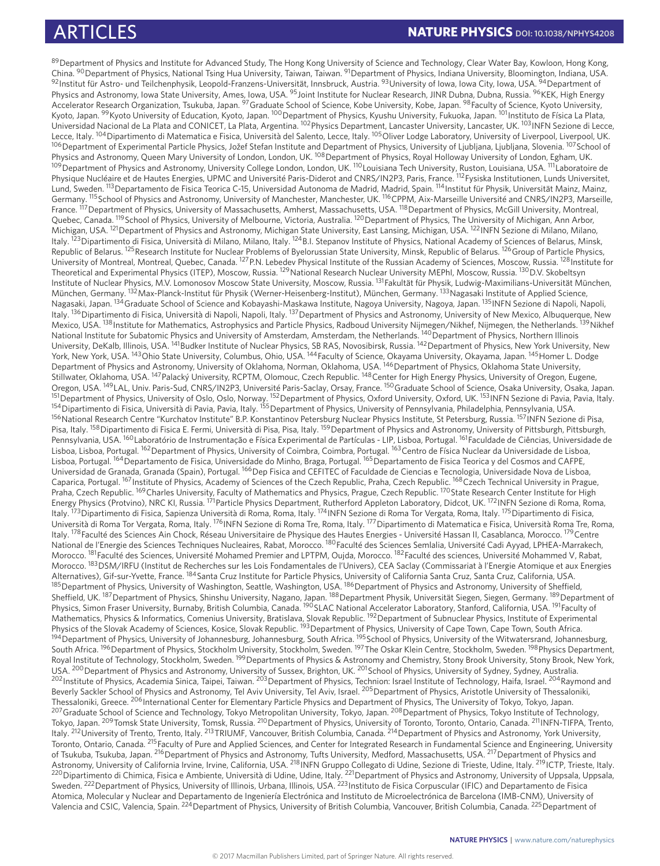89 Department of Physics and Institute for Advanced Study, The Hong Kong University of Science and Technology, Clear Water Bay, Kowloon, Hong Kong, China. <sup>90</sup>Department of Physics, National Tsing Hua University, Taiwan, Taiwan. <sup>91</sup>Department of Physics, Indiana University, Bloomington, Indiana, USA. 92 Institut für Astro- und Teilchenphysik, Leopold-Franzens-Universität, Innsbruck, Austria. 93 University of Iowa, Iowa City, Iowa, USA. <sup>54</sup>Department of Physics and Astronomy, Iowa State University, Ames, Iowa, USA. <sup>95</sup>Joint Institute for Nuclear Research, JINR Dubna, Dubna, Russia. <sup>96</sup>KEK, High Energy Accelerator Research Organization, Tsukuba, Japan. <sup>97</sup>Graduate School of Science, Kobe University, Kobe, Japan. <sup>98</sup>Faculty of Science, Kyoto University, Kyoto, Japan. <sup>99</sup>Kyoto University of Education, Kyoto, Japan. <sup>100</sup>Department of Physics, Kyushu University, Fukuoka, Japan. <sup>101</sup>Instituto de Física La Plata, Universidad Nacional de La Plata and CONICET, La Plata, Argentina. <sup>102</sup>Physics Department, Lancaster University, Lancaster, UK. <sup>103</sup>INFN Sezione di Lecce, Lecce, Italy. <sup>104</sup>Dipartimento di Matematica e Fisica, Università del Salento, Lecce, Italy. <sup>105</sup>Oliver Lodge Laboratory, University of Liverpool, Liverpool, UK. <sup>106</sup>Department of Experimental Particle Physics, Jožef Stefan Institute and Department of Physics, University of Ljubljana, Ljubljana, Slovenia. <sup>107</sup> School of Physics and Astronomy, Queen Mary University of London, London, UK, <sup>108</sup> Department of Physics, Royal Holloway University of London, Egham, UK. <sup>109</sup>Department of Physics and Astronomy, University College London, London, UK. <sup>110</sup>Louisiana Tech University, Ruston, Louisiana, USA. <sup>111</sup> Laboratoire de Physique Nucléaire et de Hautes Energies, UPMC and Université Paris-Diderot and CNRS/IN2P3, Paris, France. <sup>112</sup>Fysiska Institutionen, Lunds Universitet, Lund, Sweden. <sup>113</sup>Departamento de Fisica Teorica C-15, Universidad Autonoma de Madrid, Madrid, Spain. <sup>114</sup>Institut für Physik, Universität Mainz, Mainz, Germany. <sup>115</sup>School of Physics and Astronomy, University of Manchester, Manchester, UK. <sup>116</sup>CPPM, Aix-Marseille Université and CNRS/IN2P3, Marseille, France. <sup>117</sup> Department of Physics, University of Massachusetts, Amherst, Massachusetts, USA. <sup>118</sup> Department of Physics, McGill University, Montreal, Quebec, Canada. <sup>119</sup>School of Physics, University of Melbourne, Victoria, Australia. <sup>120</sup>Department of Physics, The University of Michigan, Ann Arbor, Michigan, USA. <sup>121</sup>Department of Physics and Astronomy, Michigan State University, East Lansing, Michigan, USA. <sup>122</sup>INFN Sezione di Milano, Milano, Italy. <sup>123</sup>Dipartimento di Fisica, Università di Milano, Milano, Italy. <sup>124</sup>B.I. Stepanov Institute of Physics, National Academy of Sciences of Belarus, Minsk, Republic of Belarus. <sup>125</sup>Research Institute for Nuclear Problems of Byelorussian State University, Minsk, Republic of Belarus. <sup>126</sup>Group of Particle Physics, University of Montreal, Montreal, Quebec, Canada. <sup>127</sup> P.N. Lebedev Physical Institute of the Russian Academy of Sciences, Moscow, Russia. <sup>128</sup> Institute for Theoretical and Experimental Physics (ITEP), Moscow, Russia. <sup>129</sup>National Research Nuclear University MEPhI, Moscow, Russia. <sup>130</sup>D.V. Skobeltsyn Institute of Nuclear Physics, M.V. Lomonosov Moscow State University, Moscow, Russia. <sup>131</sup>Fakultät für Physik, Ludwig-Maximilians-Universität München, München, Germany. <sup>132</sup>Max-Planck-Institut für Physik (Werner-Heisenberg-Institut), München, Germany. <sup>133</sup>Nagasaki Institute of Applied Science, Nagasaki, Japan. <sup>134</sup>Graduate School of Science and Kobayashi-Maskawa Institute, Nagoya University, Nagoya, Japan. <sup>135</sup>INFN Sezione di Napoli, Napoli, Italy. <sup>136</sup>Dipartimento di Fisica, Università di Napoli, Napoli, Italy. <sup>137</sup>Department of Physics and Astronomy, University of New Mexico, Albuquerque, New Mexico, USA. <sup>138</sup>Institute for Mathematics, Astrophysics and Particle Physics, Radboud University Nijmegen/Nikhef, Nijmegen, the Netherlands. <sup>139</sup>Nikhef National Institute for Subatomic Physics and University of Amsterdam, Amsterdam, the Netherlands. <sup>140</sup> Department of Physics, Northern Illinois University, DeKalb, Illinois, USA. <sup>141</sup>Budker Institute of Nuclear Physics, SB RAS, Novosibirsk, Russia. <sup>142</sup>Department of Physics, New York University, New York, New York, USA. <sup>143</sup>Ohio State University, Columbus, Ohio, USA. <sup>144</sup>Faculty of Science, Okayama University, Okayama, Japan. <sup>145</sup>Homer L. Dodge Department of Physics and Astronomy, University of Oklahoma, Norman, Oklahoma, USA. <sup>146</sup>Department of Physics, Oklahoma State University, Stillwater, Oklahoma, USA. <sup>147</sup>Palacký University, RCPTM, Olomouc, Czech Republic. <sup>148</sup>Center for High Energy Physics, University of Oregon, Eugene, Oregon, USA. <sup>149</sup>LAL, Univ. Paris-Sud, CNRS/IN2P3, Université Paris-Saclay, Orsay, France. <sup>150</sup>Graduate School of Science, Osaka University, Osaka, Japan. <sup>151</sup>Department of Physics, University of Oslo, Oslo, Norway. <sup>152</sup>Department of Physics, Oxford University, Oxford, UK. <sup>153</sup>INFN Sezione di Pavia, Pavia, Italy. <sup>154</sup>Dipartimento di Fisica, Università di Pavia, Pavia, Italy. <sup>155</sup>Department of Physics, University of Pennsylvania, Philadelphia, Pennsylvania, USA. <sup>156</sup>National Research Centre "Kurchatov Institute" B.P. Konstantinov Petersburg Nuclear Physics Institute, St Petersburg, Russia. <sup>157</sup> INFN Sezione di Pisa, Pisa, Italy. <sup>158</sup>Dipartimento di Fisica E. Fermi, Università di Pisa, Pisa, Italy. <sup>159</sup>Department of Physics and Astronomy, University of Pittsburgh, Pittsburgh, Pennsylvania, USA. <sup>160</sup>Laboratório de Instrumentação e Física Experimental de Partículas - LIP, Lisboa, Portugal. <sup>161</sup>Faculdade de Ciências, Universidade de Lisboa, Lisboa, Portugal. <sup>162</sup> Department of Physics, University of Coimbra, Coimbra, Portugal. <sup>163</sup> Centro de Física Nuclear da Universidade de Lisboa, Lisboa, Portugal. <sup>164</sup>Departamento de Fisica, Universidade do Minho, Braga, Portugal. <sup>165</sup>Departamento de Fisica Teorica y del Cosmos and CAFPE, Universidad de Granada, Granada (Spain), Portugal. <sup>166</sup>Dep Fisica and CEFITEC of Faculdade de Ciencias e Tecnologia, Universidade Nova de Lisboa, Caparica, Portugal. <sup>167</sup>Institute of Physics, Academy of Sciences of the Czech Republic, Praha, Czech Republic. <sup>168</sup>Czech Technical University in Prague, Praha, Czech Republic. <sup>169</sup>Charles University, Faculty of Mathematics and Physics, Prague, Czech Republic. <sup>170</sup>State Research Center Institute for High Energy Physics (Protvino), NRC KI, Russia. <sup>171</sup>Particle Physics Department, Rutherford Appleton Laboratory, Didcot, UK. <sup>172</sup>INFN Sezione di Roma, Roma, Italy. <sup>173</sup>Dipartimento di Fisica, Sapienza Università di Roma, Roma, Italy. <sup>174</sup>INFN Sezione di Roma Tor Vergata, Roma, Italy. <sup>175</sup>Dipartimento di Fisica, Università di Roma Tor Vergata, Roma, Italy. <sup>176</sup>INFN Sezione di Roma Tre, Roma, Italy. <sup>177</sup>Dipartimento di Matematica e Fisica, Università Roma Tre, Roma, Italy. <sup>178</sup>Faculté des Sciences Ain Chock, Réseau Universitaire de Physique des Hautes Energies - Université Hassan II, Casablanca, Morocco. <sup>179</sup>Centre National de l'Energie des Sciences Techniques Nucleaires, Rabat, Morocco. <sup>180</sup>Faculté des Sciences Semlalia, Université Cadi Ayyad, LPHEA-Marrakech, Morocco. <sup>181</sup>Faculté des Sciences, Université Mohamed Premier and LPTPM, Oujda, Morocco. <sup>182</sup>Faculté des sciences, Université Mohammed V, Rabat, Morocco. <sup>183</sup>DSM/IRFU (Institut de Recherches sur les Lois Fondamentales de l'Univers), CEA Saclay (Commissariat à l'Energie Atomique et aux Energies Alternatives), Gif-sur-Yvette, France. <sup>184</sup>Santa Cruz Institute for Particle Physics, University of California Santa Cruz, Santa Cruz, California, USA. 185 Department of Physics, University of Washington, Seattle, Washington, USA. <sup>186</sup> Department of Physics and Astronomy, University of Sheffield, Sheffield, UK. <sup>187</sup>Department of Physics, Shinshu University, Nagano, Japan. <sup>188</sup>Department Physik, Universität Siegen, Siegen, Germany. <sup>189</sup>Department of Physics, Simon Fraser University, Burnaby, British Columbia, Canada. <sup>190</sup>SLAC National Accelerator Laboratory, Stanford, California, USA. <sup>191</sup>Faculty of Mathematics, Physics & Informatics, Comenius University, Bratislava, Slovak Republic. <sup>192</sup> Department of Subnuclear Physics, Institute of Experimental Physics of the Slovak Academy of Sciences, Kosice, Slovak Republic. <sup>193</sup>Department of Physics, University of Cape Town, Cape Town, South Africa. <sup>194</sup>Department of Physics, University of Johannesburg, Johannesburg, South Africa. <sup>195</sup> School of Physics, University of the Witwatersrand, Johannesburg, South Africa. <sup>196</sup>Department of Physics, Stockholm University, Stockholm, Sweden. <sup>197</sup>The Oskar Klein Centre, Stockholm, Sweden. <sup>198</sup>Physics Department, Royal Institute of Technology, Stockholm, Sweden. <sup>199</sup> Departments of Physics & Astronomy and Chemistry, Stony Brook University, Stony Brook, New York, USA. <sup>200</sup> Department of Physics and Astronomy, University of Sussex, Brighton, UK. <sup>201</sup>School of Physics, University of Sydney, Sydney, Australia. <sup>202</sup>Institute of Physics, Academia Sinica, Taipei, Taiwan. <sup>203</sup>Department of Physics, Technion: Israel Institute of Technology, Haifa, Israel. <sup>204</sup>Raymond and Beverly Sackler School of Physics and Astronomy, Tel Aviv University, Tel Aviv, Israel. <sup>205</sup>Department of Physics, Aristotle University of Thessaloniki, Thessaloniki, Greece. <sup>206</sup>International Center for Elementary Particle Physics and Department of Physics, The University of Tokyo, Tokyo, Japan. 207 Graduate School of Science and Technology, Tokyo Metropolitan University, Tokyo, Japan. <sup>208</sup> Department of Physics, Tokyo Institute of Technology, Tokyo, Japan. <sup>209</sup>Tomsk State University, Tomsk, Russia. <sup>210</sup>Department of Physics, University of Toronto, Toronto, Ontario, Canada. <sup>211</sup>INFN-TIFPA, Trento, Italy. <sup>212</sup>University of Trento, Trento, Italy. <sup>213</sup>TRIUMF, Vancouver, British Columbia, Canada. <sup>214</sup>Department of Physics and Astronomy, York University, Toronto, Ontario, Canada. <sup>215</sup>Faculty of Pure and Applied Sciences, and Center for Integrated Research in Fundamental Science and Engineering, University of Tsukuba, Tsukuba, Japan. <sup>216</sup>Department of Physics and Astronomy, Tufts University, Medford, Massachusetts, USA. <sup>217</sup>Department of Physics and Astronomy, University of California Irvine, Irvine, California, USA. <sup>218</sup>INFN Gruppo Collegato di Udine, Sezione di Trieste, Udine, Italy. <sup>219</sup>ICTP, Trieste, Italy. <sup>220</sup>Dipartimento di Chimica, Fisica e Ambiente, Università di Udine, Udine, Italy. <sup>221</sup>Department of Physics and Astronomy, University of Uppsala, Uppsala, Sweden. <sup>222</sup>Department of Physics, University of Illinois, Urbana, Illinois, USA. <sup>223</sup>Instituto de Fisica Corpuscular (IFIC) and Departamento de Fisica Atomica, Molecular y Nuclear and Departamento de Ingeniería Electrónica and Instituto de Microelectrónica de Barcelona (IMB-CNM), University of Valencia and CSIC, Valencia, Spain. <sup>224</sup>Department of Physics, University of British Columbia, Vancouver, British Columbia, Canada. <sup>225</sup>Department of